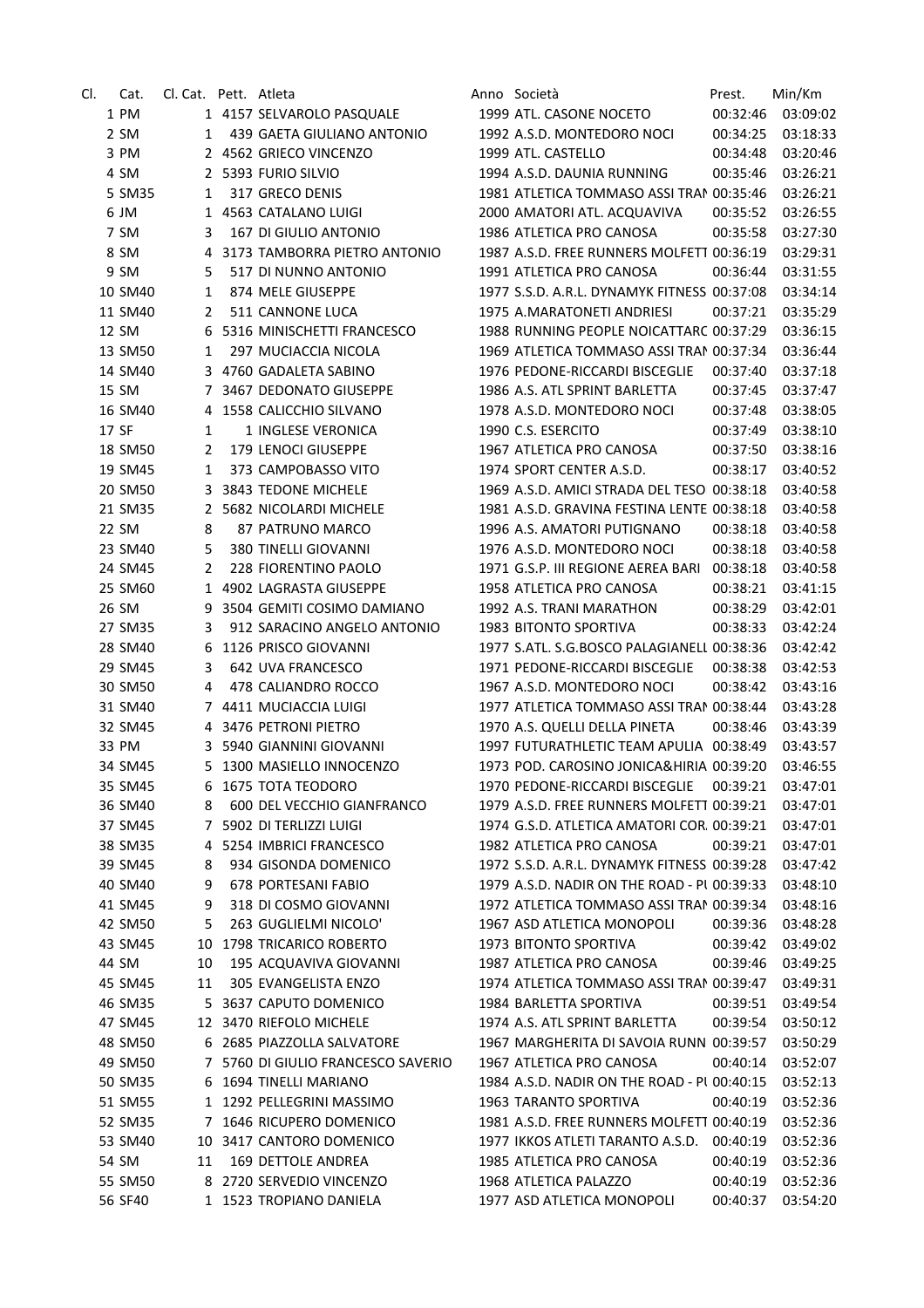| Cl. | Cat.             | Cl. Cat. Pett. Atleta |                                  | Anno Società                                     | Prest.   | Min/Km   |
|-----|------------------|-----------------------|----------------------------------|--------------------------------------------------|----------|----------|
|     | 1 PM             |                       | 1 4157 SELVAROLO PASQUALE        | 1999 ATL. CASONE NOCETO                          | 00:32:46 | 03:09:02 |
|     | 2 SM             | 1                     | 439 GAETA GIULIANO ANTONIO       | 1992 A.S.D. MONTEDORO NOCI                       | 00:34:25 | 03:18:33 |
|     | 3 PM             |                       | 2 4562 GRIECO VINCENZO           | 1999 ATL. CASTELLO                               | 00:34:48 | 03:20:46 |
|     | 4 SM             |                       | 2 5393 FURIO SILVIO              | 1994 A.S.D. DAUNIA RUNNING                       | 00:35:46 | 03:26:21 |
|     | 5 SM35           | 1                     | 317 GRECO DENIS                  | 1981 ATLETICA TOMMASO ASSI TRAN 00:35:46         |          | 03:26:21 |
|     | 6 JM             |                       | 1 4563 CATALANO LUIGI            | 2000 AMATORI ATL. ACQUAVIVA                      | 00:35:52 | 03:26:55 |
|     | 7 SM             | 3                     | 167 DI GIULIO ANTONIO            | 1986 ATLETICA PRO CANOSA                         | 00:35:58 | 03:27:30 |
|     | 8 SM             |                       | 4 3173 TAMBORRA PIETRO ANTONIO   | 1987 A.S.D. FREE RUNNERS MOLFETT 00:36:19        |          | 03:29:31 |
|     | 9 SM             | 5                     | 517 DI NUNNO ANTONIO             | 1991 ATLETICA PRO CANOSA                         | 00:36:44 | 03:31:55 |
|     | 10 SM40          | $\mathbf{1}$          | 874 MELE GIUSEPPE                | 1977 S.S.D. A.R.L. DYNAMYK FITNESS 00:37:08      |          | 03:34:14 |
|     | 11 SM40          | 2                     | 511 CANNONE LUCA                 | 1975 A.MARATONETI ANDRIESI                       | 00:37:21 | 03:35:29 |
|     | 12 SM            |                       | 6 5316 MINISCHETTI FRANCESCO     | 1988 RUNNING PEOPLE NOICATTARC 00:37:29          |          | 03:36:15 |
|     | 13 SM50          | 1                     | 297 MUCIACCIA NICOLA             | 1969 ATLETICA TOMMASO ASSI TRAM 00:37:34         |          | 03:36:44 |
|     | 14 SM40          |                       | 3 4760 GADALETA SABINO           | 1976 PEDONE-RICCARDI BISCEGLIE                   | 00:37:40 | 03:37:18 |
|     | 15 SM            | $\overline{7}$        | 3467 DEDONATO GIUSEPPE           | 1986 A.S. ATL SPRINT BARLETTA                    | 00:37:45 | 03:37:47 |
|     | 16 SM40          | 4                     | 1558 CALICCHIO SILVANO           | 1978 A.S.D. MONTEDORO NOCI                       | 00:37:48 | 03:38:05 |
|     | 17 SF            | $\mathbf{1}$          | 1 INGLESE VERONICA               | 1990 C.S. ESERCITO                               | 00:37:49 | 03:38:10 |
|     | 18 SM50          | $\overline{2}$        | 179 LENOCI GIUSEPPE              | 1967 ATLETICA PRO CANOSA                         | 00:37:50 | 03:38:16 |
|     | 19 SM45          | 1                     | 373 CAMPOBASSO VITO              | 1974 SPORT CENTER A.S.D.                         | 00:38:17 | 03:40:52 |
|     | 20 SM50          |                       | 3 3843 TEDONE MICHELE            | 1969 A.S.D. AMICI STRADA DEL TESO 00:38:18       |          | 03:40:58 |
|     | 21 SM35          |                       | 2 5682 NICOLARDI MICHELE         | 1981 A.S.D. GRAVINA FESTINA LENTE 00:38:18       |          | 03:40:58 |
|     |                  | 8                     |                                  | 1996 A.S. AMATORI PUTIGNANO                      | 00:38:18 |          |
|     | 22 SM<br>23 SM40 | 5                     | 87 PATRUNO MARCO                 | 1976 A.S.D. MONTEDORO NOCI                       |          | 03:40:58 |
|     |                  |                       | 380 TINELLI GIOVANNI             |                                                  | 00:38:18 | 03:40:58 |
|     | 24 SM45          | 2                     | 228 FIORENTINO PAOLO             | 1971 G.S.P. III REGIONE AEREA BARI 00:38:18      |          | 03:40:58 |
|     | 25 SM60          |                       | 1 4902 LAGRASTA GIUSEPPE         | 1958 ATLETICA PRO CANOSA                         | 00:38:21 | 03:41:15 |
|     | 26 SM            |                       | 9 3504 GEMITI COSIMO DAMIANO     | 1992 A.S. TRANI MARATHON                         | 00:38:29 | 03:42:01 |
|     | 27 SM35          | 3                     | 912 SARACINO ANGELO ANTONIO      | 1983 BITONTO SPORTIVA                            | 00:38:33 | 03:42:24 |
|     | 28 SM40          |                       | 6 1126 PRISCO GIOVANNI           | 1977 S.ATL. S.G.BOSCO PALAGIANELI 00:38:36       |          | 03:42:42 |
|     | 29 SM45          | 3                     | 642 UVA FRANCESCO                | 1971 PEDONE-RICCARDI BISCEGLIE                   | 00:38:38 | 03:42:53 |
|     | 30 SM50          | 4                     | 478 CALIANDRO ROCCO              | 1967 A.S.D. MONTEDORO NOCI                       | 00:38:42 | 03:43:16 |
|     | 31 SM40          |                       | 7 4411 MUCIACCIA LUIGI           | 1977 ATLETICA TOMMASO ASSI TRAN 00:38:44         |          | 03:43:28 |
|     | 32 SM45          |                       | 4 3476 PETRONI PIETRO            | 1970 A.S. QUELLI DELLA PINETA                    | 00:38:46 | 03:43:39 |
|     | 33 PM            |                       | 3 5940 GIANNINI GIOVANNI         | 1997 FUTURATHLETIC TEAM APULIA 00:38:49          |          | 03:43:57 |
|     | 34 SM45          |                       | 5 1300 MASIELLO INNOCENZO        | 1973 POD. CAROSINO JONICA&HIRIA 00:39:20         |          | 03:46:55 |
|     | 35 SM45          |                       | 6 1675 TOTA TEODORO              | 1970 PEDONE-RICCARDI BISCEGLIE 00:39:21 03:47:01 |          |          |
|     | 36 SM40          | 8                     | 600 DEL VECCHIO GIANFRANCO       | 1979 A.S.D. FREE RUNNERS MOLFETT 00:39:21        |          | 03:47:01 |
|     | 37 SM45          | 7                     | 5902 DI TERLIZZI LUIGI           | 1974 G.S.D. ATLETICA AMATORI COR. 00:39:21       |          | 03:47:01 |
|     | 38 SM35          | 4                     | 5254 IMBRICI FRANCESCO           | 1982 ATLETICA PRO CANOSA                         | 00:39:21 | 03:47:01 |
|     | 39 SM45          | 8                     | 934 GISONDA DOMENICO             | 1972 S.S.D. A.R.L. DYNAMYK FITNESS 00:39:28      |          | 03:47:42 |
|     | 40 SM40          | 9                     | <b>678 PORTESANI FABIO</b>       | 1979 A.S.D. NADIR ON THE ROAD - PI 00:39:33      |          | 03:48:10 |
|     | 41 SM45          | 9                     | 318 DI COSMO GIOVANNI            | 1972 ATLETICA TOMMASO ASSI TRAN 00:39:34         |          | 03:48:16 |
|     | 42 SM50          | 5                     | 263 GUGLIELMI NICOLO'            | 1967 ASD ATLETICA MONOPOLI                       | 00:39:36 | 03:48:28 |
|     | 43 SM45          | 10                    | <b>1798 TRICARICO ROBERTO</b>    | 1973 BITONTO SPORTIVA                            | 00:39:42 | 03:49:02 |
|     | 44 SM            | 10                    | 195 ACQUAVIVA GIOVANNI           | 1987 ATLETICA PRO CANOSA                         | 00:39:46 | 03:49:25 |
|     | 45 SM45          | 11                    | 305 EVANGELISTA ENZO             | 1974 ATLETICA TOMMASO ASSI TRAN 00:39:47         |          | 03:49:31 |
|     | 46 SM35          |                       | 5 3637 CAPUTO DOMENICO           | 1984 BARLETTA SPORTIVA                           | 00:39:51 | 03:49:54 |
|     | 47 SM45          |                       | 12 3470 RIEFOLO MICHELE          | 1974 A.S. ATL SPRINT BARLETTA                    | 00:39:54 | 03:50:12 |
|     | 48 SM50          |                       | 6 2685 PIAZZOLLA SALVATORE       | 1967 MARGHERITA DI SAVOIA RUNN 00:39:57          |          | 03:50:29 |
|     | 49 SM50          | 7                     | 5760 DI GIULIO FRANCESCO SAVERIO | 1967 ATLETICA PRO CANOSA                         | 00:40:14 | 03:52:07 |
|     | 50 SM35          | 6                     | 1694 TINELLI MARIANO             | 1984 A.S.D. NADIR ON THE ROAD - PI 00:40:15      |          | 03:52:13 |
|     | 51 SM55          |                       | 1 1292 PELLEGRINI MASSIMO        | 1963 TARANTO SPORTIVA                            | 00:40:19 | 03:52:36 |
|     | 52 SM35          |                       | 7 1646 RICUPERO DOMENICO         | 1981 A.S.D. FREE RUNNERS MOLFETT 00:40:19        |          | 03:52:36 |
|     | 53 SM40          | 10                    | 3417 CANTORO DOMENICO            | 1977 IKKOS ATLETI TARANTO A.S.D.                 | 00:40:19 | 03:52:36 |
|     | 54 SM            | 11                    | 169 DETTOLE ANDREA               | 1985 ATLETICA PRO CANOSA                         | 00:40:19 | 03:52:36 |
|     | 55 SM50          |                       | 8 2720 SERVEDIO VINCENZO         | 1968 ATLETICA PALAZZO                            | 00:40:19 | 03:52:36 |
|     | 56 SF40          |                       | 1 1523 TROPIANO DANIELA          | 1977 ASD ATLETICA MONOPOLI                       | 00:40:37 | 03:54:20 |
|     |                  |                       |                                  |                                                  |          |          |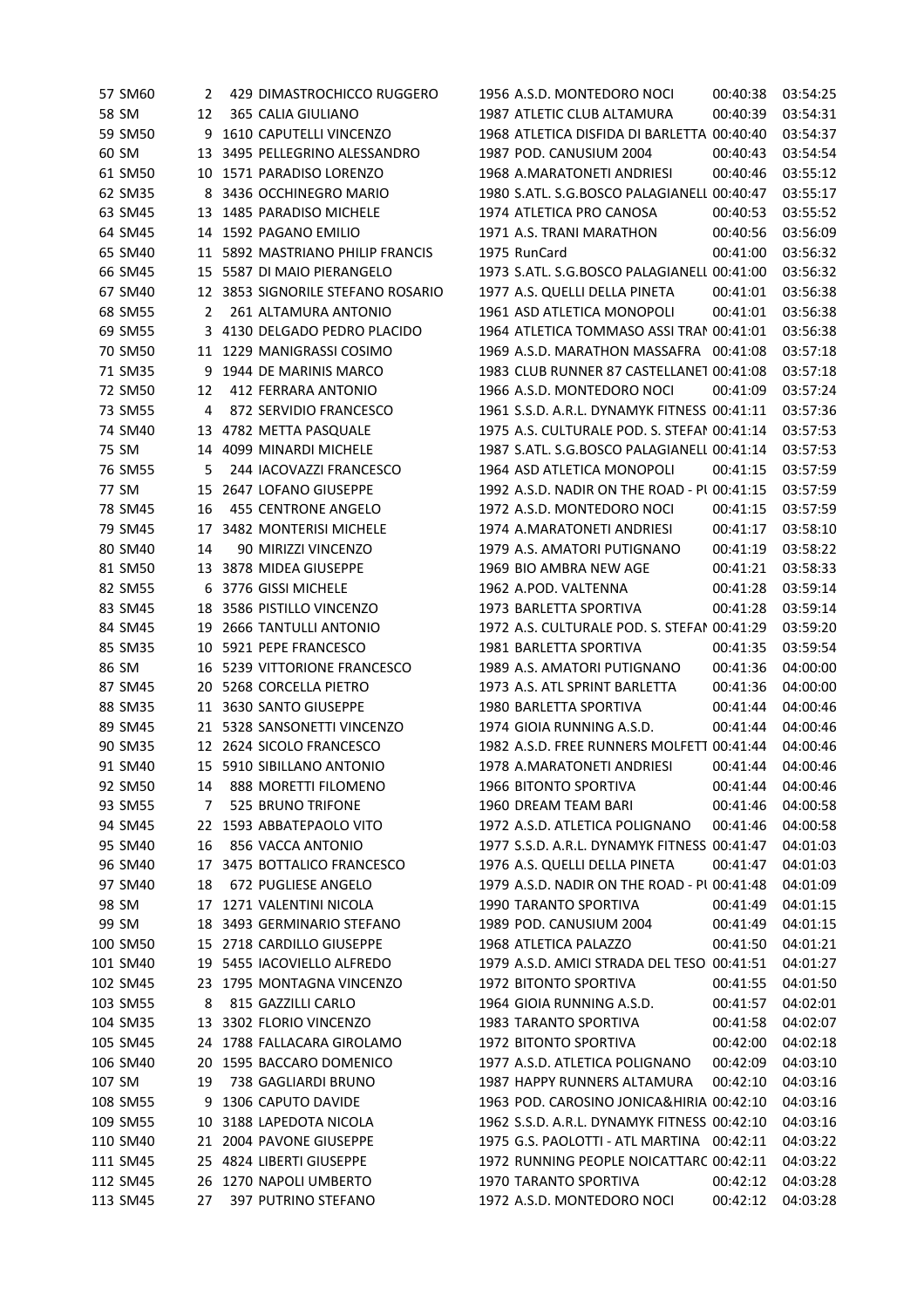| 57 SM60  | 2  | 429 DIMASTROCHICCO RUGGERO        | 1956 A.S.D. MONTEDORO NOCI                  | 00:40:38 | 03:54:25 |
|----------|----|-----------------------------------|---------------------------------------------|----------|----------|
| 58 SM    | 12 | 365 CALIA GIULIANO                | 1987 ATLETIC CLUB ALTAMURA                  | 00:40:39 | 03:54:31 |
| 59 SM50  |    | 9 1610 CAPUTELLI VINCENZO         | 1968 ATLETICA DISFIDA DI BARLETTA 00:40:40  |          | 03:54:37 |
| 60 SM    |    | 13 3495 PELLEGRINO ALESSANDRO     | 1987 POD. CANUSIUM 2004                     | 00:40:43 | 03:54:54 |
| 61 SM50  |    | 10 1571 PARADISO LORENZO          | 1968 A.MARATONETI ANDRIESI                  | 00:40:46 | 03:55:12 |
| 62 SM35  |    | 3436 OCCHINEGRO MARIO             | 1980 S.ATL. S.G.BOSCO PALAGIANELI 00:40:47  |          | 03:55:17 |
| 63 SM45  |    | 13 1485 PARADISO MICHELE          | 1974 ATLETICA PRO CANOSA                    | 00:40:53 | 03:55:52 |
| 64 SM45  |    | 14 1592 PAGANO EMILIO             | 1971 A.S. TRANI MARATHON                    | 00:40:56 | 03:56:09 |
| 65 SM40  | 11 | 5892 MASTRIANO PHILIP FRANCIS     | 1975 RunCard                                | 00:41:00 | 03:56:32 |
| 66 SM45  |    | 15 5587 DI MAIO PIERANGELO        | 1973 S.ATL. S.G.BOSCO PALAGIANELI 00:41:00  |          | 03:56:32 |
| 67 SM40  |    | 12 3853 SIGNORILE STEFANO ROSARIO | 1977 A.S. QUELLI DELLA PINETA               | 00:41:01 | 03:56:38 |
| 68 SM55  | 2  | 261 ALTAMURA ANTONIO              | 1961 ASD ATLETICA MONOPOLI                  | 00:41:01 | 03:56:38 |
| 69 SM55  | 3  | 4130 DELGADO PEDRO PLACIDO        | 1964 ATLETICA TOMMASO ASSI TRAN 00:41:01    |          | 03:56:38 |
| 70 SM50  | 11 | 1229 MANIGRASSI COSIMO            | 1969 A.S.D. MARATHON MASSAFRA 00:41:08      |          | 03:57:18 |
| 71 SM35  | 9  | 1944 DE MARINIS MARCO             | 1983 CLUB RUNNER 87 CASTELLANET 00:41:08    |          | 03:57:18 |
| 72 SM50  | 12 | <b>412 FERRARA ANTONIO</b>        | 1966 A.S.D. MONTEDORO NOCI                  | 00:41:09 | 03:57:24 |
| 73 SM55  | 4  | 872 SERVIDIO FRANCESCO            | 1961 S.S.D. A.R.L. DYNAMYK FITNESS 00:41:11 |          | 03:57:36 |
| 74 SM40  | 13 | 4782 METTA PASQUALE               | 1975 A.S. CULTURALE POD. S. STEFAN 00:41:14 |          | 03:57:53 |
| 75 SM    |    | 14 4099 MINARDI MICHELE           | 1987 S.ATL. S.G.BOSCO PALAGIANELI 00:41:14  |          | 03:57:53 |
| 76 SM55  | 5  | 244 IACOVAZZI FRANCESCO           | 1964 ASD ATLETICA MONOPOLI                  | 00:41:15 | 03:57:59 |
| 77 SM    | 15 | 2647 LOFANO GIUSEPPE              | 1992 A.S.D. NADIR ON THE ROAD - PI 00:41:15 |          | 03:57:59 |
| 78 SM45  | 16 | 455 CENTRONE ANGELO               | 1972 A.S.D. MONTEDORO NOCI                  | 00:41:15 | 03:57:59 |
| 79 SM45  | 17 | 3482 MONTERISI MICHELE            | 1974 A.MARATONETI ANDRIESI                  | 00:41:17 | 03:58:10 |
| 80 SM40  | 14 | 90 MIRIZZI VINCENZO               | 1979 A.S. AMATORI PUTIGNANO                 | 00:41:19 | 03:58:22 |
| 81 SM50  |    | 13 3878 MIDEA GIUSEPPE            | 1969 BIO AMBRA NEW AGE                      | 00:41:21 | 03:58:33 |
| 82 SM55  |    | 6 3776 GISSI MICHELE              | 1962 A.POD. VALTENNA                        | 00:41:28 | 03:59:14 |
| 83 SM45  |    | 18 3586 PISTILLO VINCENZO         | 1973 BARLETTA SPORTIVA                      | 00:41:28 | 03:59:14 |
| 84 SM45  | 19 | 2666 TANTULLI ANTONIO             | 1972 A.S. CULTURALE POD. S. STEFAN 00:41:29 |          | 03:59:20 |
| 85 SM35  | 10 | 5921 PEPE FRANCESCO               | 1981 BARLETTA SPORTIVA                      | 00:41:35 | 03:59:54 |
| 86 SM    | 16 | 5239 VITTORIONE FRANCESCO         | 1989 A.S. AMATORI PUTIGNANO                 | 00:41:36 | 04:00:00 |
| 87 SM45  |    | 20 5268 CORCELLA PIETRO           | 1973 A.S. ATL SPRINT BARLETTA               | 00:41:36 | 04:00:00 |
| 88 SM35  |    | 11 3630 SANTO GIUSEPPE            | 1980 BARLETTA SPORTIVA                      | 00:41:44 | 04:00:46 |
| 89 SM45  |    | 21 5328 SANSONETTI VINCENZO       | 1974 GIOIA RUNNING A.S.D.                   | 00:41:44 | 04:00:46 |
| 90 SM35  |    | 12 2624 SICOLO FRANCESCO          | 1982 A.S.D. FREE RUNNERS MOLFETT 00:41:44   |          | 04:00:46 |
| 91 SM40  |    | 15 5910 SIBILLANO ANTONIO         | 1978 A.MARATONETI ANDRIESI                  | 00:41:44 | 04:00:46 |
| 92 SM50  |    | 14 888 MORETTI FILOMENO           | 1966 BITONTO SPORTIVA                       | 00:41:44 | 04:00:46 |
| 93 SM55  | 7  | 525 BRUNO TRIFONE                 | 1960 DREAM TEAM BARI                        | 00:41:46 | 04:00:58 |
| 94 SM45  | 22 | 1593 ABBATEPAOLO VITO             | 1972 A.S.D. ATLETICA POLIGNANO              | 00:41:46 | 04:00:58 |
| 95 SM40  | 16 | 856 VACCA ANTONIO                 | 1977 S.S.D. A.R.L. DYNAMYK FITNESS 00:41:47 |          | 04:01:03 |
| 96 SM40  | 17 | 3475 BOTTALICO FRANCESCO          | 1976 A.S. QUELLI DELLA PINETA               | 00:41:47 | 04:01:03 |
| 97 SM40  | 18 | 672 PUGLIESE ANGELO               | 1979 A.S.D. NADIR ON THE ROAD - PI 00:41:48 |          | 04:01:09 |
| 98 SM    | 17 | 1271 VALENTINI NICOLA             | <b>1990 TARANTO SPORTIVA</b>                | 00:41:49 | 04:01:15 |
| 99 SM    |    | 18 3493 GERMINARIO STEFANO        | 1989 POD. CANUSIUM 2004                     | 00:41:49 | 04:01:15 |
| 100 SM50 |    | 15 2718 CARDILLO GIUSEPPE         | 1968 ATLETICA PALAZZO                       | 00:41:50 | 04:01:21 |
| 101 SM40 |    | 19 5455 IACOVIELLO ALFREDO        | 1979 A.S.D. AMICI STRADA DEL TESO 00:41:51  |          | 04:01:27 |
| 102 SM45 |    | 23 1795 MONTAGNA VINCENZO         | <b>1972 BITONTO SPORTIVA</b>                | 00:41:55 | 04:01:50 |
| 103 SM55 | 8  | 815 GAZZILLI CARLO                | 1964 GIOIA RUNNING A.S.D.                   | 00:41:57 | 04:02:01 |
| 104 SM35 |    | 13 3302 FLORIO VINCENZO           | 1983 TARANTO SPORTIVA                       | 00:41:58 | 04:02:07 |
| 105 SM45 |    | 24 1788 FALLACARA GIROLAMO        | 1972 BITONTO SPORTIVA                       | 00:42:00 | 04:02:18 |
| 106 SM40 | 20 | 1595 BACCARO DOMENICO             | 1977 A.S.D. ATLETICA POLIGNANO              | 00:42:09 | 04:03:10 |
| 107 SM   | 19 | 738 GAGLIARDI BRUNO               | 1987 HAPPY RUNNERS ALTAMURA                 | 00:42:10 | 04:03:16 |
| 108 SM55 |    | 9 1306 CAPUTO DAVIDE              | 1963 POD. CAROSINO JONICA&HIRIA 00:42:10    |          | 04:03:16 |
| 109 SM55 | 10 | 3188 LAPEDOTA NICOLA              | 1962 S.S.D. A.R.L. DYNAMYK FITNESS 00:42:10 |          | 04:03:16 |
| 110 SM40 | 21 | 2004 PAVONE GIUSEPPE              | 1975 G.S. PAOLOTTI - ATL MARTINA 00:42:11   |          | 04:03:22 |
| 111 SM45 | 25 | 4824 LIBERTI GIUSEPPE             | 1972 RUNNING PEOPLE NOICATTARC 00:42:11     |          | 04:03:22 |
| 112 SM45 |    | 26 1270 NAPOLI UMBERTO            | 1970 TARANTO SPORTIVA                       | 00:42:12 | 04:03:28 |
| 113 SM45 | 27 | 397 PUTRINO STEFANO               | 1972 A.S.D. MONTEDORO NOCI                  | 00:42:12 | 04:03:28 |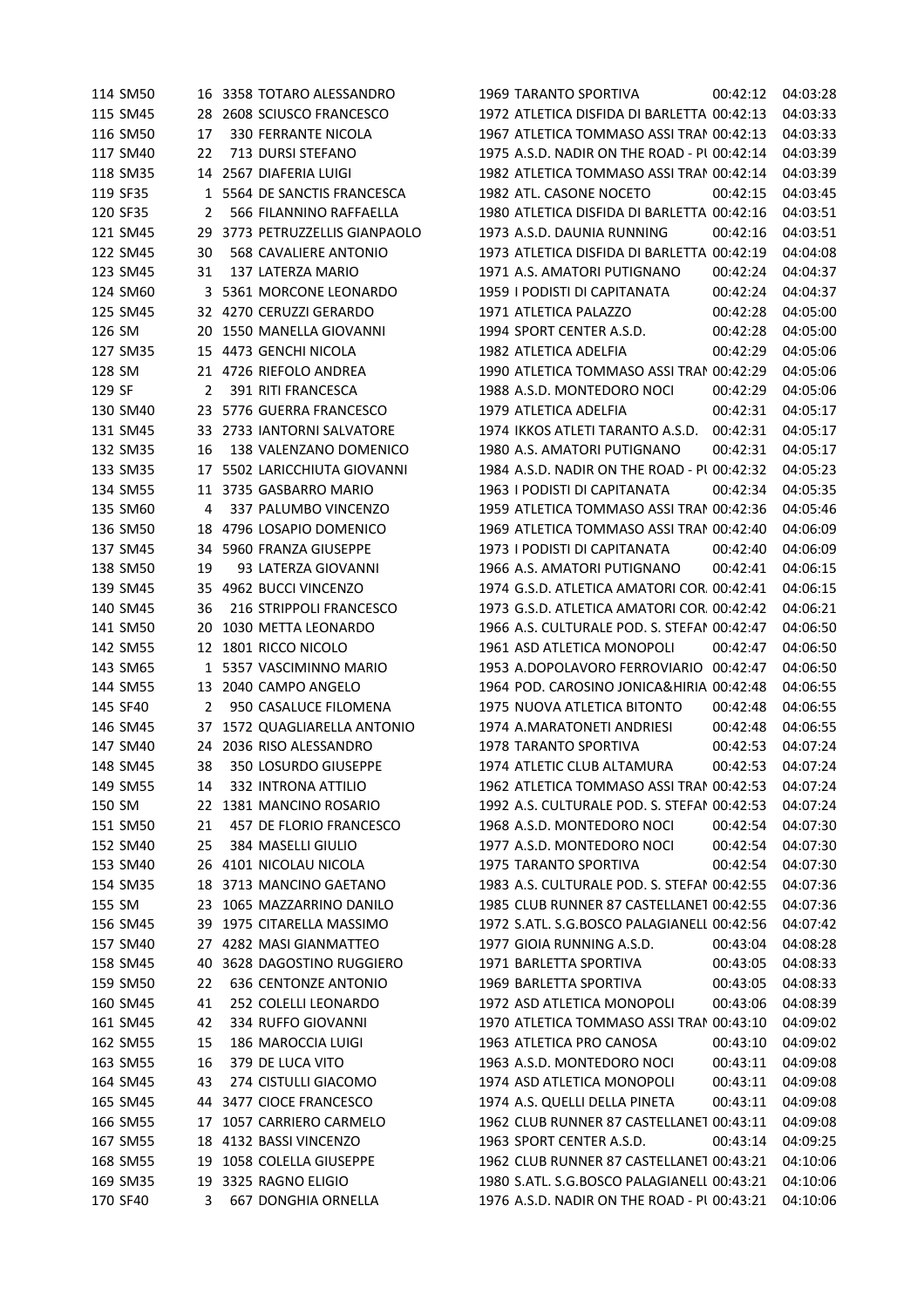| 114 SM50 |    | 16 3358 TOTARO ALESSANDRO      | 1969 TARANTO SPORTIVA                             | 00:42:12 | 04:03:28 |
|----------|----|--------------------------------|---------------------------------------------------|----------|----------|
| 115 SM45 |    | 28 2608 SCIUSCO FRANCESCO      | 1972 ATLETICA DISFIDA DI BARLETTA 00:42:13        |          | 04:03:33 |
| 116 SM50 | 17 | 330 FERRANTE NICOLA            | 1967 ATLETICA TOMMASO ASSI TRAM 00:42:13          |          | 04:03:33 |
| 117 SM40 | 22 | 713 DURSI STEFANO              | 1975 A.S.D. NADIR ON THE ROAD - PI 00:42:14       |          | 04:03:39 |
| 118 SM35 |    | 14 2567 DIAFERIA LUIGI         | 1982 ATLETICA TOMMASO ASSI TRAN 00:42:14          |          | 04:03:39 |
| 119 SF35 |    | 1 5564 DE SANCTIS FRANCESCA    | 1982 ATL. CASONE NOCETO                           | 00:42:15 | 04:03:45 |
| 120 SF35 | 2  | 566 FILANNINO RAFFAELLA        | 1980 ATLETICA DISFIDA DI BARLETTA 00:42:16        |          | 04:03:51 |
| 121 SM45 |    | 29 3773 PETRUZZELLIS GIANPAOLO | 1973 A.S.D. DAUNIA RUNNING                        | 00:42:16 | 04:03:51 |
| 122 SM45 | 30 | 568 CAVALIERE ANTONIO          | 1973 ATLETICA DISFIDA DI BARLETTA 00:42:19        |          | 04:04:08 |
| 123 SM45 | 31 | 137 LATERZA MARIO              | 1971 A.S. AMATORI PUTIGNANO                       | 00:42:24 | 04:04:37 |
| 124 SM60 |    | 3 5361 MORCONE LEONARDO        | 1959 I PODISTI DI CAPITANATA                      | 00:42:24 | 04:04:37 |
| 125 SM45 |    | 32 4270 CERUZZI GERARDO        | 1971 ATLETICA PALAZZO                             | 00:42:28 | 04:05:00 |
| 126 SM   | 20 | 1550 MANELLA GIOVANNI          | 1994 SPORT CENTER A.S.D.                          | 00:42:28 | 04:05:00 |
| 127 SM35 | 15 | 4473 GENCHI NICOLA             | 1982 ATLETICA ADELFIA                             | 00:42:29 | 04:05:06 |
| 128 SM   |    | 21 4726 RIEFOLO ANDREA         | 1990 ATLETICA TOMMASO ASSI TRAM 00:42:29          |          | 04:05:06 |
| 129 SF   | 2  | 391 RITI FRANCESCA             | 1988 A.S.D. MONTEDORO NOCI                        | 00:42:29 | 04:05:06 |
| 130 SM40 | 23 | 5776 GUERRA FRANCESCO          | 1979 ATLETICA ADELFIA                             | 00:42:31 | 04:05:17 |
| 131 SM45 | 33 | 2733 IANTORNI SALVATORE        | 1974 IKKOS ATLETI TARANTO A.S.D.                  | 00:42:31 | 04:05:17 |
| 132 SM35 | 16 | 138 VALENZANO DOMENICO         | 1980 A.S. AMATORI PUTIGNANO                       | 00:42:31 | 04:05:17 |
| 133 SM35 |    | 5502 LARICCHIUTA GIOVANNI      | 1984 A.S.D. NADIR ON THE ROAD - PI 00:42:32       |          | 04:05:23 |
|          | 17 |                                |                                                   |          |          |
| 134 SM55 |    | 11 3735 GASBARRO MARIO         | 1963 I PODISTI DI CAPITANATA                      | 00:42:34 | 04:05:35 |
| 135 SM60 | 4  | 337 PALUMBO VINCENZO           | 1959 ATLETICA TOMMASO ASSI TRAN 00:42:36          |          | 04:05:46 |
| 136 SM50 |    | 18 4796 LOSAPIO DOMENICO       | 1969 ATLETICA TOMMASO ASSI TRAN 00:42:40          |          | 04:06:09 |
| 137 SM45 |    | 34 5960 FRANZA GIUSEPPE        | 1973   PODISTI DI CAPITANATA                      | 00:42:40 | 04:06:09 |
| 138 SM50 | 19 | 93 LATERZA GIOVANNI            | 1966 A.S. AMATORI PUTIGNANO                       | 00:42:41 | 04:06:15 |
| 139 SM45 |    | 35 4962 BUCCI VINCENZO         | 1974 G.S.D. ATLETICA AMATORI COR. 00:42:41        |          | 04:06:15 |
| 140 SM45 | 36 | 216 STRIPPOLI FRANCESCO        | 1973 G.S.D. ATLETICA AMATORI COR. 00:42:42        |          | 04:06:21 |
| 141 SM50 | 20 | 1030 METTA LEONARDO            | 1966 A.S. CULTURALE POD. S. STEFAN 00:42:47       |          | 04:06:50 |
| 142 SM55 | 12 | 1801 RICCO NICOLO              | 1961 ASD ATLETICA MONOPOLI                        | 00:42:47 | 04:06:50 |
| 143 SM65 | 1  | 5357 VASCIMINNO MARIO          | 1953 A.DOPOLAVORO FERROVIARIO 00:42:47            |          | 04:06:50 |
| 144 SM55 | 13 | 2040 CAMPO ANGELO              | 1964 POD. CAROSINO JONICA&HIRIA 00:42:48          |          | 04:06:55 |
| 145 SF40 | 2  | 950 CASALUCE FILOMENA          | 1975 NUOVA ATLETICA BITONTO                       | 00:42:48 | 04:06:55 |
| 146 SM45 | 37 | 1572 QUAGLIARELLA ANTONIO      | 1974 A.MARATONETI ANDRIESI                        | 00:42:48 | 04:06:55 |
| 147 SM40 | 24 | 2036 RISO ALESSANDRO           | 1978 TARANTO SPORTIVA                             | 00:42:53 | 04:07:24 |
| 148 SM45 | 38 | 350 LOSURDO GIUSEPPE           | 1974 ATLETIC CLUB ALTAMURA                        | 00:42:53 | 04:07:24 |
| 149 SM55 |    | 14 332 INTRONA ATTILIO         | 1962 ATLETICA TOMMASO ASSI TRAM 00:42:53 04:07:24 |          |          |
| 150 SM   |    | 22 1381 MANCINO ROSARIO        | 1992 A.S. CULTURALE POD. S. STEFAN 00:42:53       |          | 04:07:24 |
| 151 SM50 | 21 | 457 DE FLORIO FRANCESCO        | 1968 A.S.D. MONTEDORO NOCI                        | 00:42:54 | 04:07:30 |
| 152 SM40 | 25 | 384 MASELLI GIULIO             | 1977 A.S.D. MONTEDORO NOCI                        | 00:42:54 | 04:07:30 |
| 153 SM40 |    | 26 4101 NICOLAU NICOLA         | 1975 TARANTO SPORTIVA                             | 00:42:54 | 04:07:30 |
| 154 SM35 | 18 | 3713 MANCINO GAETANO           | 1983 A.S. CULTURALE POD. S. STEFAN 00:42:55       |          | 04:07:36 |
| 155 SM   | 23 | 1065 MAZZARRINO DANILO         | 1985 CLUB RUNNER 87 CASTELLANET 00:42:55          |          | 04:07:36 |
| 156 SM45 |    | 39 1975 CITARELLA MASSIMO      | 1972 S.ATL. S.G.BOSCO PALAGIANELI 00:42:56        |          | 04:07:42 |
| 157 SM40 |    | 27 4282 MASI GIANMATTEO        | 1977 GIOIA RUNNING A.S.D.                         | 00:43:04 | 04:08:28 |
| 158 SM45 | 40 | 3628 DAGOSTINO RUGGIERO        | 1971 BARLETTA SPORTIVA                            | 00:43:05 | 04:08:33 |
| 159 SM50 | 22 | <b>636 CENTONZE ANTONIO</b>    | 1969 BARLETTA SPORTIVA                            | 00:43:05 | 04:08:33 |
| 160 SM45 | 41 | 252 COLELLI LEONARDO           | 1972 ASD ATLETICA MONOPOLI                        | 00:43:06 | 04:08:39 |
| 161 SM45 | 42 | 334 RUFFO GIOVANNI             | 1970 ATLETICA TOMMASO ASSI TRAM 00:43:10          |          | 04:09:02 |
| 162 SM55 | 15 | 186 MAROCCIA LUIGI             | 1963 ATLETICA PRO CANOSA                          | 00:43:10 | 04:09:02 |
| 163 SM55 | 16 | 379 DE LUCA VITO               | 1963 A.S.D. MONTEDORO NOCI                        | 00:43:11 | 04:09:08 |
| 164 SM45 | 43 | 274 CISTULLI GIACOMO           | 1974 ASD ATLETICA MONOPOLI                        | 00:43:11 | 04:09:08 |
| 165 SM45 | 44 | 3477 CIOCE FRANCESCO           | 1974 A.S. QUELLI DELLA PINETA                     | 00:43:11 | 04:09:08 |
| 166 SM55 | 17 | 1057 CARRIERO CARMELO          | 1962 CLUB RUNNER 87 CASTELLANET 00:43:11          |          | 04:09:08 |
| 167 SM55 | 18 | 4132 BASSI VINCENZO            | 1963 SPORT CENTER A.S.D.                          | 00:43:14 | 04:09:25 |
| 168 SM55 | 19 | 1058 COLELLA GIUSEPPE          | 1962 CLUB RUNNER 87 CASTELLANET 00:43:21          |          | 04:10:06 |
| 169 SM35 | 19 | 3325 RAGNO ELIGIO              | 1980 S.ATL. S.G.BOSCO PALAGIANELI 00:43:21        |          | 04:10:06 |
|          |    |                                |                                                   |          |          |
| 170 SF40 | 3  | 667 DONGHIA ORNELLA            | 1976 A.S.D. NADIR ON THE ROAD - PI 00:43:21       |          | 04:10:06 |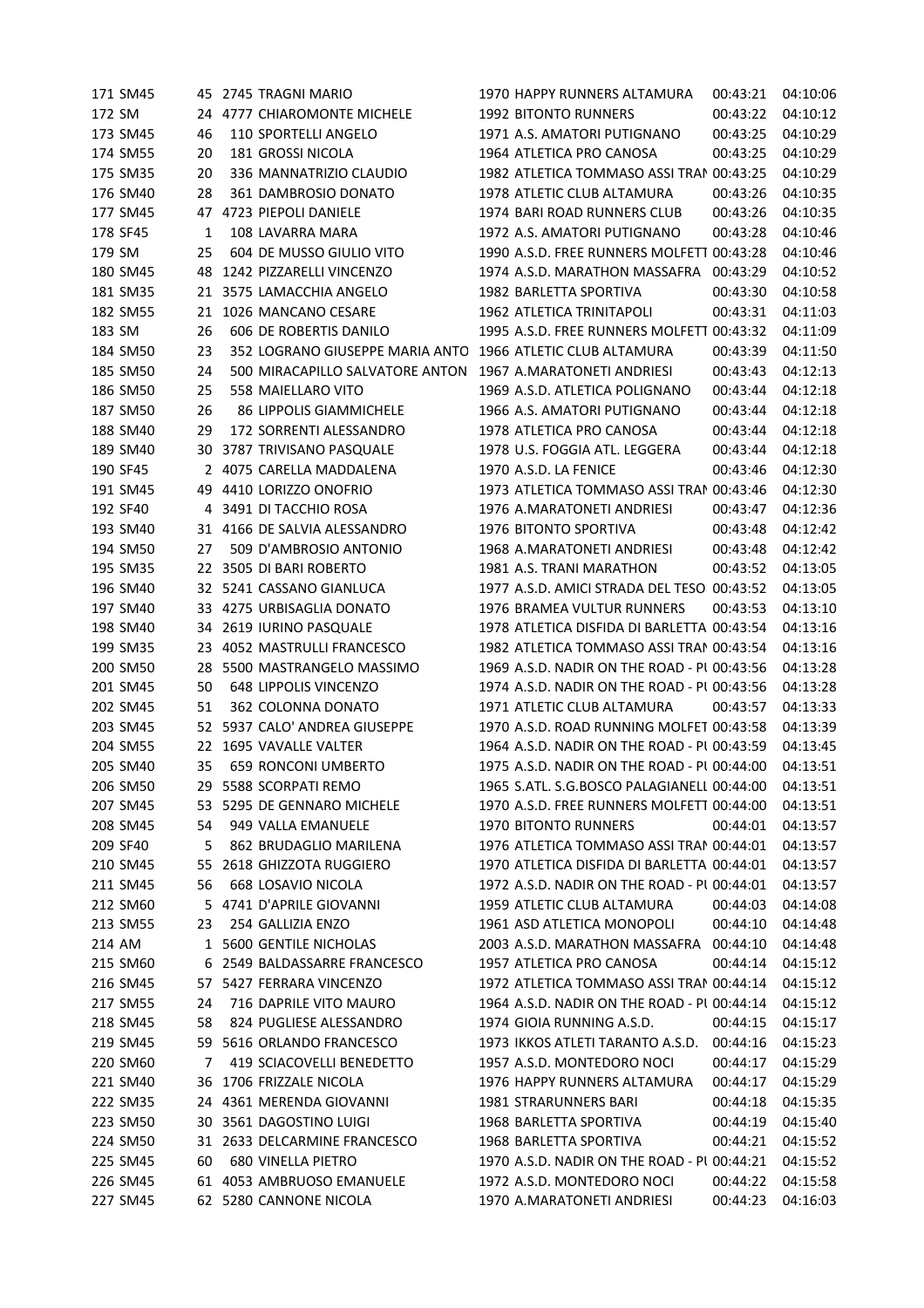| 171 SM45 |    | 45 2745 TRAGNI MARIO            | 1970 HAPPY RUNNERS ALTAMURA                 | 00:43:21 | 04:10:06 |
|----------|----|---------------------------------|---------------------------------------------|----------|----------|
| 172 SM   |    | 24 4777 CHIAROMONTE MICHELE     | <b>1992 BITONTO RUNNERS</b>                 | 00:43:22 | 04:10:12 |
| 173 SM45 | 46 | 110 SPORTELLI ANGELO            | 1971 A.S. AMATORI PUTIGNANO                 | 00:43:25 | 04:10:29 |
| 174 SM55 | 20 | 181 GROSSI NICOLA               | 1964 ATLETICA PRO CANOSA                    | 00:43:25 | 04:10:29 |
| 175 SM35 | 20 | 336 MANNATRIZIO CLAUDIO         | 1982 ATLETICA TOMMASO ASSI TRAN 00:43:25    |          | 04:10:29 |
| 176 SM40 | 28 | 361 DAMBROSIO DONATO            | 1978 ATLETIC CLUB ALTAMURA                  | 00:43:26 | 04:10:35 |
| 177 SM45 | 47 | 4723 PIEPOLI DANIELE            | 1974 BARI ROAD RUNNERS CLUB                 | 00:43:26 | 04:10:35 |
| 178 SF45 | 1  | 108 LAVARRA MARA                | 1972 A.S. AMATORI PUTIGNANO                 | 00:43:28 | 04:10:46 |
| 179 SM   | 25 | 604 DE MUSSO GIULIO VITO        | 1990 A.S.D. FREE RUNNERS MOLFETT 00:43:28   |          | 04:10:46 |
| 180 SM45 | 48 | 1242 PIZZARELLI VINCENZO        | 1974 A.S.D. MARATHON MASSAFRA               | 00:43:29 | 04:10:52 |
| 181 SM35 |    | 21 3575 LAMACCHIA ANGELO        | 1982 BARLETTA SPORTIVA                      | 00:43:30 | 04:10:58 |
| 182 SM55 | 21 | 1026 MANCANO CESARE             | <b>1962 ATLETICA TRINITAPOLI</b>            | 00:43:31 | 04:11:03 |
| 183 SM   | 26 | 606 DE ROBERTIS DANILO          | 1995 A.S.D. FREE RUNNERS MOLFETT 00:43:32   |          | 04:11:09 |
| 184 SM50 | 23 | 352 LOGRANO GIUSEPPE MARIA ANTO | 1966 ATLETIC CLUB ALTAMURA                  | 00:43:39 | 04:11:50 |
| 185 SM50 | 24 | 500 MIRACAPILLO SALVATORE ANTON | 1967 A.MARATONETI ANDRIESI                  | 00:43:43 | 04:12:13 |
| 186 SM50 | 25 | 558 MAIELLARO VITO              | 1969 A.S.D. ATLETICA POLIGNANO              | 00:43:44 | 04:12:18 |
| 187 SM50 | 26 | 86 LIPPOLIS GIAMMICHELE         | 1966 A.S. AMATORI PUTIGNANO                 | 00:43:44 | 04:12:18 |
| 188 SM40 | 29 | 172 SORRENTI ALESSANDRO         | 1978 ATLETICA PRO CANOSA                    | 00:43:44 | 04:12:18 |
| 189 SM40 |    | 30 3787 TRIVISANO PASQUALE      | 1978 U.S. FOGGIA ATL. LEGGERA               | 00:43:44 | 04:12:18 |
| 190 SF45 |    | 2 4075 CARELLA MADDALENA        | 1970 A.S.D. LA FENICE                       | 00:43:46 | 04:12:30 |
| 191 SM45 |    | 49 4410 LORIZZO ONOFRIO         | 1973 ATLETICA TOMMASO ASSI TRAN 00:43:46    |          | 04:12:30 |
| 192 SF40 |    | 4 3491 DI TACCHIO ROSA          | 1976 A.MARATONETI ANDRIESI                  | 00:43:47 | 04:12:36 |
| 193 SM40 |    | 31 4166 DE SALVIA ALESSANDRO    | 1976 BITONTO SPORTIVA                       | 00:43:48 | 04:12:42 |
| 194 SM50 | 27 | 509 D'AMBROSIO ANTONIO          | 1968 A.MARATONETI ANDRIESI                  | 00:43:48 | 04:12:42 |
| 195 SM35 |    | 22 3505 DI BARI ROBERTO         | 1981 A.S. TRANI MARATHON                    | 00:43:52 | 04:13:05 |
| 196 SM40 |    | 32 5241 CASSANO GIANLUCA        | 1977 A.S.D. AMICI STRADA DEL TESO 00:43:52  |          | 04:13:05 |
| 197 SM40 |    | 33 4275 URBISAGLIA DONATO       | 1976 BRAMEA VULTUR RUNNERS                  | 00:43:53 | 04:13:10 |
| 198 SM40 | 34 | 2619 IURINO PASQUALE            | 1978 ATLETICA DISFIDA DI BARLETTA 00:43:54  |          | 04:13:16 |
| 199 SM35 | 23 | 4052 MASTRULLI FRANCESCO        | 1982 ATLETICA TOMMASO ASSI TRAN 00:43:54    |          | 04:13:16 |
| 200 SM50 | 28 | 5500 MASTRANGELO MASSIMO        | 1969 A.S.D. NADIR ON THE ROAD - PI 00:43:56 |          | 04:13:28 |
| 201 SM45 | 50 | <b>648 LIPPOLIS VINCENZO</b>    | 1974 A.S.D. NADIR ON THE ROAD - PI 00:43:56 |          | 04:13:28 |
| 202 SM45 | 51 | 362 COLONNA DONATO              | 1971 ATLETIC CLUB ALTAMURA                  | 00:43:57 | 04:13:33 |
| 203 SM45 |    | 52 5937 CALO' ANDREA GIUSEPPE   | 1970 A.S.D. ROAD RUNNING MOLFET 00:43:58    |          | 04:13:39 |
| 204 SM55 |    | 22 1695 VAVALLE VALTER          | 1964 A.S.D. NADIR ON THE ROAD - PI 00:43:59 |          | 04:13:45 |
| 205 SM40 | 35 | <b>659 RONCONI UMBERTO</b>      | 1975 A.S.D. NADIR ON THE ROAD - PI 00:44:00 |          | 04:13:51 |
| 206 SM50 |    | 29 5588 SCORPATI REMO           | 1965 S.ATL. S.G.BOSCO PALAGIANELI 00:44:00  |          | 04:13:51 |
| 207 SM45 |    | 53 5295 DE GENNARO MICHELE      | 1970 A.S.D. FREE RUNNERS MOLFETT 00:44:00   |          | 04:13:51 |
| 208 SM45 | 54 | 949 VALLA EMANUELE              | <b>1970 BITONTO RUNNERS</b>                 | 00:44:01 | 04:13:57 |
| 209 SF40 | 5  | 862 BRUDAGLIO MARILENA          | 1976 ATLETICA TOMMASO ASSI TRAN 00:44:01    |          | 04:13:57 |
| 210 SM45 | 55 | 2618 GHIZZOTA RUGGIERO          | 1970 ATLETICA DISFIDA DI BARLETTA 00:44:01  |          | 04:13:57 |
| 211 SM45 | 56 | 668 LOSAVIO NICOLA              | 1972 A.S.D. NADIR ON THE ROAD - PL 00:44:01 |          | 04:13:57 |
| 212 SM60 | 5. | 4741 D'APRILE GIOVANNI          | 1959 ATLETIC CLUB ALTAMURA                  | 00:44:03 | 04:14:08 |
| 213 SM55 | 23 | 254 GALLIZIA ENZO               | 1961 ASD ATLETICA MONOPOLI                  | 00:44:10 | 04:14:48 |
| 214 AM   |    | 1 5600 GENTILE NICHOLAS         | 2003 A.S.D. MARATHON MASSAFRA               | 00:44:10 | 04:14:48 |
| 215 SM60 |    | 6 2549 BALDASSARRE FRANCESCO    | 1957 ATLETICA PRO CANOSA                    | 00:44:14 | 04:15:12 |
| 216 SM45 |    | 57 5427 FERRARA VINCENZO        | 1972 ATLETICA TOMMASO ASSI TRAN 00:44:14    |          | 04:15:12 |
| 217 SM55 | 24 | 716 DAPRILE VITO MAURO          | 1964 A.S.D. NADIR ON THE ROAD - PI 00:44:14 |          | 04:15:12 |
| 218 SM45 | 58 | 824 PUGLIESE ALESSANDRO         | 1974 GIOIA RUNNING A.S.D.                   | 00:44:15 | 04:15:17 |
| 219 SM45 |    | 59 5616 ORLANDO FRANCESCO       | 1973 IKKOS ATLETI TARANTO A.S.D.            | 00:44:16 | 04:15:23 |
| 220 SM60 | 7  | 419 SCIACOVELLI BENEDETTO       | 1957 A.S.D. MONTEDORO NOCI                  | 00:44:17 | 04:15:29 |
| 221 SM40 | 36 | 1706 FRIZZALE NICOLA            | 1976 HAPPY RUNNERS ALTAMURA                 | 00:44:17 | 04:15:29 |
| 222 SM35 |    | 24 4361 MERENDA GIOVANNI        | <b>1981 STRARUNNERS BARI</b>                | 00:44:18 | 04:15:35 |
| 223 SM50 | 30 | 3561 DAGOSTINO LUIGI            | 1968 BARLETTA SPORTIVA                      | 00:44:19 | 04:15:40 |
| 224 SM50 |    | 31 2633 DELCARMINE FRANCESCO    | 1968 BARLETTA SPORTIVA                      | 00:44:21 | 04:15:52 |
| 225 SM45 | 60 | <b>680 VINELLA PIETRO</b>       | 1970 A.S.D. NADIR ON THE ROAD - PI 00:44:21 |          | 04:15:52 |
| 226 SM45 | 61 | 4053 AMBRUOSO EMANUELE          | 1972 A.S.D. MONTEDORO NOCI                  | 00:44:22 | 04:15:58 |
| 227 SM45 |    | 62 5280 CANNONE NICOLA          | 1970 A.MARATONETI ANDRIESI                  | 00:44:23 | 04:16:03 |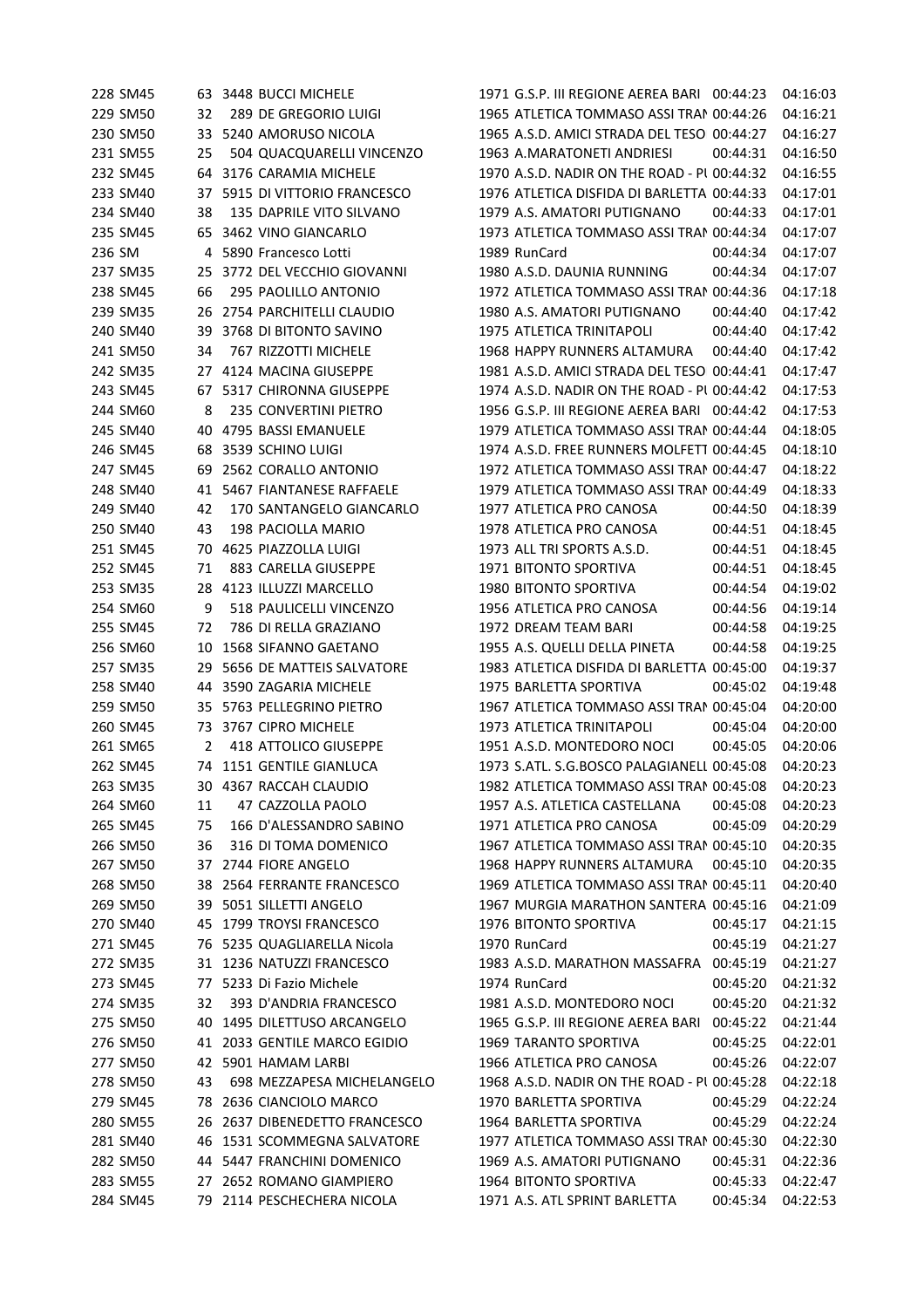|        | 228 SM45 |    | 63 3448 BUCCI MICHELE         | 1971 G.S.P. III REGIONE AEREA BARI 00:44:23       |          | 04:16:03 |
|--------|----------|----|-------------------------------|---------------------------------------------------|----------|----------|
|        | 229 SM50 | 32 | 289 DE GREGORIO LUIGI         | 1965 ATLETICA TOMMASO ASSI TRAN 00:44:26          |          | 04:16:21 |
|        | 230 SM50 | 33 | 5240 AMORUSO NICOLA           | 1965 A.S.D. AMICI STRADA DEL TESO 00:44:27        |          | 04:16:27 |
|        | 231 SM55 | 25 | 504 QUACQUARELLI VINCENZO     | 1963 A.MARATONETI ANDRIESI                        | 00:44:31 | 04:16:50 |
|        | 232 SM45 |    | 64 3176 CARAMIA MICHELE       | 1970 A.S.D. NADIR ON THE ROAD - PI 00:44:32       |          | 04:16:55 |
|        | 233 SM40 |    | 37 5915 DI VITTORIO FRANCESCO | 1976 ATLETICA DISFIDA DI BARLETTA 00:44:33        |          | 04:17:01 |
|        | 234 SM40 | 38 | 135 DAPRILE VITO SILVANO      | 1979 A.S. AMATORI PUTIGNANO                       | 00:44:33 | 04:17:01 |
|        | 235 SM45 |    | 65 3462 VINO GIANCARLO        | 1973 ATLETICA TOMMASO ASSI TRAN 00:44:34          |          | 04:17:07 |
| 236 SM |          |    | 4 5890 Francesco Lotti        | 1989 RunCard                                      | 00:44:34 | 04:17:07 |
|        | 237 SM35 |    | 25 3772 DEL VECCHIO GIOVANNI  | 1980 A.S.D. DAUNIA RUNNING                        | 00:44:34 | 04:17:07 |
|        | 238 SM45 | 66 | 295 PAOLILLO ANTONIO          | 1972 ATLETICA TOMMASO ASSI TRAM 00:44:36          |          | 04:17:18 |
|        | 239 SM35 |    | 26 2754 PARCHITELLI CLAUDIO   | 1980 A.S. AMATORI PUTIGNANO                       | 00:44:40 | 04:17:42 |
|        | 240 SM40 | 39 | 3768 DI BITONTO SAVINO        | 1975 ATLETICA TRINITAPOLI                         | 00:44:40 | 04:17:42 |
|        | 241 SM50 | 34 | 767 RIZZOTTI MICHELE          | 1968 HAPPY RUNNERS ALTAMURA                       | 00:44:40 | 04:17:42 |
|        | 242 SM35 |    | 27 4124 MACINA GIUSEPPE       | 1981 A.S.D. AMICI STRADA DEL TESO 00:44:41        |          | 04:17:47 |
|        | 243 SM45 | 67 | 5317 CHIRONNA GIUSEPPE        | 1974 A.S.D. NADIR ON THE ROAD - PI 00:44:42       |          | 04:17:53 |
|        | 244 SM60 | 8  | 235 CONVERTINI PIETRO         | 1956 G.S.P. III REGIONE AEREA BARI 00:44:42       |          | 04:17:53 |
|        | 245 SM40 | 40 | 4795 BASSI EMANUELE           | 1979 ATLETICA TOMMASO ASSI TRAN 00:44:44          |          | 04:18:05 |
|        | 246 SM45 | 68 | 3539 SCHINO LUIGI             | 1974 A.S.D. FREE RUNNERS MOLFETT 00:44:45         |          | 04:18:10 |
|        | 247 SM45 | 69 | 2562 CORALLO ANTONIO          | 1972 ATLETICA TOMMASO ASSI TRAN 00:44:47          |          | 04:18:22 |
|        | 248 SM40 |    | 41 5467 FIANTANESE RAFFAELE   | 1979 ATLETICA TOMMASO ASSI TRAN 00:44:49          |          | 04:18:33 |
|        | 249 SM40 | 42 | 170 SANTANGELO GIANCARLO      | 1977 ATLETICA PRO CANOSA                          | 00:44:50 | 04:18:39 |
|        | 250 SM40 | 43 | 198 PACIOLLA MARIO            | 1978 ATLETICA PRO CANOSA                          | 00:44:51 | 04:18:45 |
|        | 251 SM45 |    | 70 4625 PIAZZOLLA LUIGI       | 1973 ALL TRI SPORTS A.S.D.                        | 00:44:51 | 04:18:45 |
|        | 252 SM45 | 71 | 883 CARELLA GIUSEPPE          | 1971 BITONTO SPORTIVA                             | 00:44:51 | 04:18:45 |
|        | 253 SM35 |    | 28 4123 ILLUZZI MARCELLO      | 1980 BITONTO SPORTIVA                             | 00:44:54 | 04:19:02 |
|        | 254 SM60 | 9  | 518 PAULICELLI VINCENZO       | 1956 ATLETICA PRO CANOSA                          | 00:44:56 | 04:19:14 |
|        | 255 SM45 | 72 | 786 DI RELLA GRAZIANO         | 1972 DREAM TEAM BARI                              |          |          |
|        |          |    |                               |                                                   | 00:44:58 | 04:19:25 |
|        | 256 SM60 | 10 | 1568 SIFANNO GAETANO          | 1955 A.S. QUELLI DELLA PINETA                     | 00:44:58 | 04:19:25 |
|        | 257 SM35 | 29 | 5656 DE MATTEIS SALVATORE     | 1983 ATLETICA DISFIDA DI BARLETTA 00:45:00        |          | 04:19:37 |
|        | 258 SM40 |    | 44 3590 ZAGARIA MICHELE       | 1975 BARLETTA SPORTIVA                            | 00:45:02 | 04:19:48 |
|        | 259 SM50 | 35 | 5763 PELLEGRINO PIETRO        | 1967 ATLETICA TOMMASO ASSI TRAM 00:45:04          |          | 04:20:00 |
|        | 260 SM45 |    | 73 3767 CIPRO MICHELE         | 1973 ATLETICA TRINITAPOLI                         | 00:45:04 | 04:20:00 |
|        | 261 SM65 | 2  | 418 ATTOLICO GIUSEPPE         | 1951 A.S.D. MONTEDORO NOCI                        | 00:45:05 | 04:20:06 |
|        | 262 SM45 |    | 74 1151 GENTILE GIANLUCA      | 1973 S.ATL. S.G.BOSCO PALAGIANELI 00:45:08        |          | 04:20:23 |
|        | 263 SM35 |    | 30 4367 RACCAH CLAUDIO        | 1982 ATLETICA TOMMASO ASSI TRAM 00:45:08 04:20:23 |          |          |
|        | 264 SM60 | 11 | 47 CAZZOLLA PAOLO             | 1957 A.S. ATLETICA CASTELLANA                     | 00:45:08 | 04:20:23 |
|        | 265 SM45 | 75 | 166 D'ALESSANDRO SABINO       | 1971 ATLETICA PRO CANOSA                          | 00:45:09 | 04:20:29 |
|        | 266 SM50 | 36 | 316 DI TOMA DOMENICO          | 1967 ATLETICA TOMMASO ASSI TRAN 00:45:10          |          | 04:20:35 |
|        | 267 SM50 |    | 37 2744 FIORE ANGELO          | 1968 HAPPY RUNNERS ALTAMURA                       | 00:45:10 | 04:20:35 |
|        | 268 SM50 |    | 38 2564 FERRANTE FRANCESCO    | 1969 ATLETICA TOMMASO ASSI TRAN 00:45:11          |          | 04:20:40 |
|        | 269 SM50 | 39 | 5051 SILLETTI ANGELO          | 1967 MURGIA MARATHON SANTERA 00:45:16             |          | 04:21:09 |
|        | 270 SM40 | 45 | 1799 TROYSI FRANCESCO         | 1976 BITONTO SPORTIVA                             | 00:45:17 | 04:21:15 |
|        | 271 SM45 |    | 76 5235 QUAGLIARELLA Nicola   | 1970 RunCard                                      | 00:45:19 | 04:21:27 |
|        | 272 SM35 |    | 31 1236 NATUZZI FRANCESCO     | 1983 A.S.D. MARATHON MASSAFRA 00:45:19            |          | 04:21:27 |
|        | 273 SM45 |    | 77 5233 Di Fazio Michele      | 1974 RunCard                                      | 00:45:20 | 04:21:32 |
|        | 274 SM35 | 32 | 393 D'ANDRIA FRANCESCO        | 1981 A.S.D. MONTEDORO NOCI                        | 00:45:20 | 04:21:32 |
|        | 275 SM50 |    | 40 1495 DILETTUSO ARCANGELO   | 1965 G.S.P. III REGIONE AEREA BARI                | 00:45:22 | 04:21:44 |
|        | 276 SM50 |    | 41 2033 GENTILE MARCO EGIDIO  | 1969 TARANTO SPORTIVA                             | 00:45:25 | 04:22:01 |
|        | 277 SM50 |    | 42 5901 HAMAM LARBI           | 1966 ATLETICA PRO CANOSA                          | 00:45:26 | 04:22:07 |
|        | 278 SM50 | 43 | 698 MEZZAPESA MICHELANGELO    | 1968 A.S.D. NADIR ON THE ROAD - PI 00:45:28       |          | 04:22:18 |
|        | 279 SM45 |    | 78 2636 CIANCIOLO MARCO       | 1970 BARLETTA SPORTIVA                            | 00:45:29 | 04:22:24 |
|        | 280 SM55 |    | 26 2637 DIBENEDETTO FRANCESCO | 1964 BARLETTA SPORTIVA                            | 00:45:29 | 04:22:24 |
|        | 281 SM40 |    | 46 1531 SCOMMEGNA SALVATORE   | 1977 ATLETICA TOMMASO ASSI TRAN 00:45:30          |          | 04:22:30 |
|        | 282 SM50 |    | 44 5447 FRANCHINI DOMENICO    | 1969 A.S. AMATORI PUTIGNANO                       | 00:45:31 | 04:22:36 |
|        | 283 SM55 |    | 27 2652 ROMANO GIAMPIERO      | 1964 BITONTO SPORTIVA                             | 00:45:33 | 04:22:47 |
|        | 284 SM45 |    | 79 2114 PESCHECHERA NICOLA    | 1971 A.S. ATL SPRINT BARLETTA                     | 00:45:34 | 04:22:53 |
|        |          |    |                               |                                                   |          |          |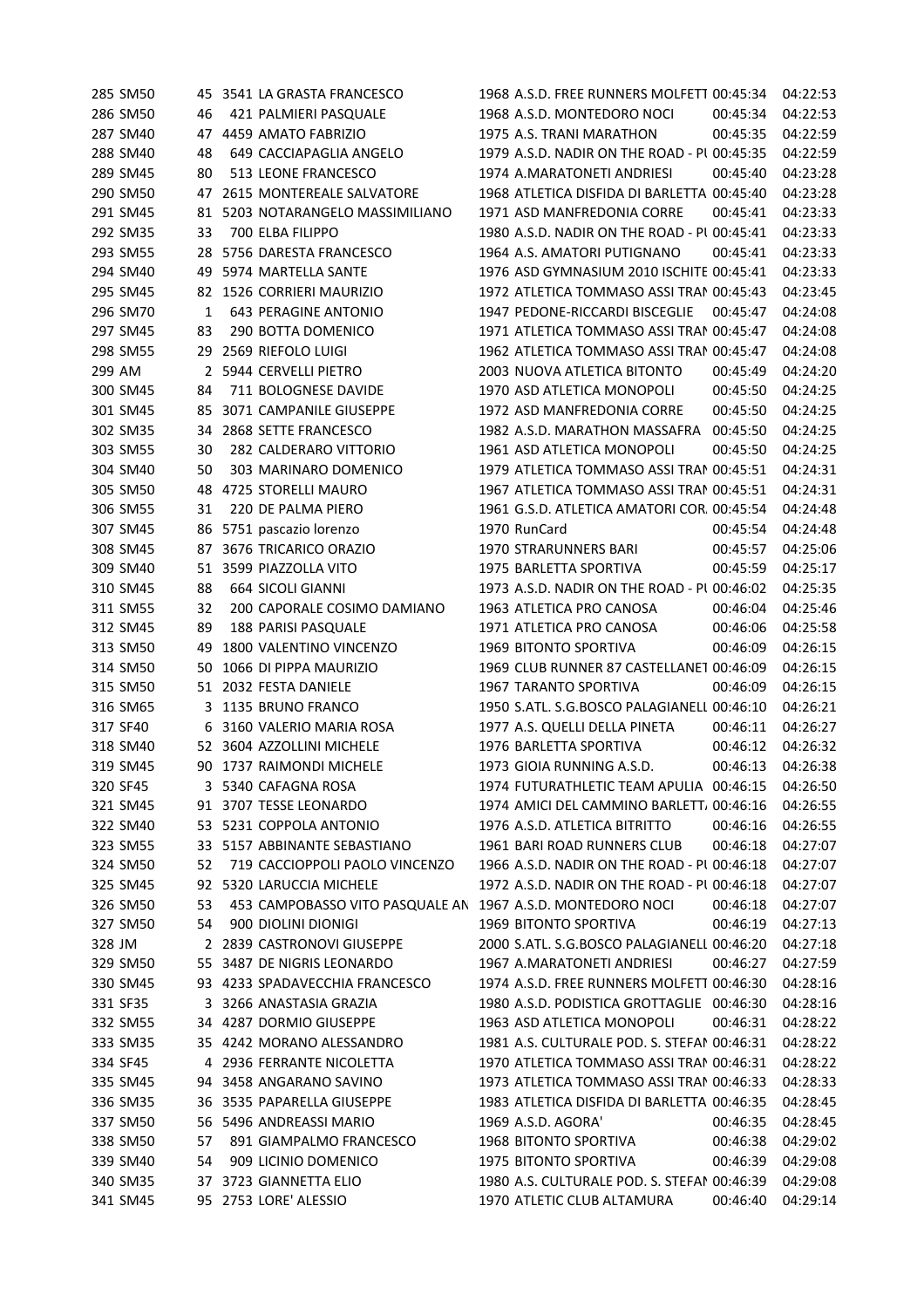| 285 SM50 |     | 45 3541 LA GRASTA FRANCESCO      | 1968 A.S.D. FREE RUNNERS MOLFETT 00:45:34        |          | 04:22:53 |
|----------|-----|----------------------------------|--------------------------------------------------|----------|----------|
| 286 SM50 | 46  | 421 PALMIERI PASQUALE            | 1968 A.S.D. MONTEDORO NOCI                       | 00:45:34 | 04:22:53 |
| 287 SM40 | 47  | 4459 AMATO FABRIZIO              | 1975 A.S. TRANI MARATHON                         | 00:45:35 | 04:22:59 |
| 288 SM40 | 48  | 649 CACCIAPAGLIA ANGELO          | 1979 A.S.D. NADIR ON THE ROAD - PI 00:45:35      |          | 04:22:59 |
| 289 SM45 | 80  | 513 LEONE FRANCESCO              | 1974 A.MARATONETI ANDRIESI                       | 00:45:40 | 04:23:28 |
| 290 SM50 |     | 47 2615 MONTEREALE SALVATORE     | 1968 ATLETICA DISFIDA DI BARLETTA 00:45:40       |          | 04:23:28 |
| 291 SM45 |     | 81 5203 NOTARANGELO MASSIMILIANO | 1971 ASD MANFREDONIA CORRE                       | 00:45:41 | 04:23:33 |
| 292 SM35 | 33  | 700 ELBA FILIPPO                 | 1980 A.S.D. NADIR ON THE ROAD - PI 00:45:41      |          | 04:23:33 |
| 293 SM55 |     | 28 5756 DARESTA FRANCESCO        | 1964 A.S. AMATORI PUTIGNANO                      | 00:45:41 | 04:23:33 |
| 294 SM40 |     | 49 5974 MARTELLA SANTE           | 1976 ASD GYMNASIUM 2010 ISCHITE 00:45:41         |          | 04:23:33 |
| 295 SM45 |     | 82 1526 CORRIERI MAURIZIO        | 1972 ATLETICA TOMMASO ASSI TRAM 00:45:43         |          | 04:23:45 |
| 296 SM70 | 1   | <b>643 PERAGINE ANTONIO</b>      | 1947 PEDONE-RICCARDI BISCEGLIE                   | 00:45:47 | 04:24:08 |
| 297 SM45 | 83  | 290 BOTTA DOMENICO               | 1971 ATLETICA TOMMASO ASSI TRAN 00:45:47         |          | 04:24:08 |
| 298 SM55 |     | 29 2569 RIEFOLO LUIGI            | 1962 ATLETICA TOMMASO ASSI TRAN 00:45:47         |          | 04:24:08 |
| 299 AM   | 2   | 5944 CERVELLI PIETRO             | 2003 NUOVA ATLETICA BITONTO                      | 00:45:49 | 04:24:20 |
| 300 SM45 | 84  | 711 BOLOGNESE DAVIDE             | 1970 ASD ATLETICA MONOPOLI                       | 00:45:50 | 04:24:25 |
| 301 SM45 | 85  | 3071 CAMPANILE GIUSEPPE          | 1972 ASD MANFREDONIA CORRE                       | 00:45:50 | 04:24:25 |
| 302 SM35 | 34  | 2868 SETTE FRANCESCO             | 1982 A.S.D. MARATHON MASSAFRA                    | 00:45:50 | 04:24:25 |
| 303 SM55 | 30  | 282 CALDERARO VITTORIO           | 1961 ASD ATLETICA MONOPOLI                       | 00:45:50 | 04:24:25 |
| 304 SM40 | 50  | 303 MARINARO DOMENICO            | 1979 ATLETICA TOMMASO ASSI TRAN 00:45:51         |          | 04:24:31 |
| 305 SM50 |     | 48 4725 STORELLI MAURO           | 1967 ATLETICA TOMMASO ASSI TRAN 00:45:51         |          | 04:24:31 |
|          |     | 220 DE PALMA PIERO               | 1961 G.S.D. ATLETICA AMATORI COR. 00:45:54       |          |          |
| 306 SM55 | 31  |                                  |                                                  |          | 04:24:48 |
| 307 SM45 |     | 86 5751 pascazio lorenzo         | 1970 RunCard                                     | 00:45:54 | 04:24:48 |
| 308 SM45 |     | 87 3676 TRICARICO ORAZIO         | <b>1970 STRARUNNERS BARI</b>                     | 00:45:57 | 04:25:06 |
| 309 SM40 |     | 51 3599 PIAZZOLLA VITO           | 1975 BARLETTA SPORTIVA                           | 00:45:59 | 04:25:17 |
| 310 SM45 | 88  | 664 SICOLI GIANNI                | 1973 A.S.D. NADIR ON THE ROAD - PI 00:46:02      |          | 04:25:35 |
| 311 SM55 | 32  | 200 CAPORALE COSIMO DAMIANO      | 1963 ATLETICA PRO CANOSA                         | 00:46:04 | 04:25:46 |
| 312 SM45 | 89  | 188 PARISI PASQUALE              | 1971 ATLETICA PRO CANOSA                         | 00:46:06 | 04:25:58 |
| 313 SM50 | 49  | 1800 VALENTINO VINCENZO          | 1969 BITONTO SPORTIVA                            | 00:46:09 | 04:26:15 |
| 314 SM50 | 50  | 1066 DI PIPPA MAURIZIO           | 1969 CLUB RUNNER 87 CASTELLANET 00:46:09         |          | 04:26:15 |
| 315 SM50 |     | 51 2032 FESTA DANIELE            | 1967 TARANTO SPORTIVA                            | 00:46:09 | 04:26:15 |
| 316 SM65 | 3   | 1135 BRUNO FRANCO                | 1950 S.ATL. S.G.BOSCO PALAGIANELI 00:46:10       |          | 04:26:21 |
| 317 SF40 | 6   | 3160 VALERIO MARIA ROSA          | 1977 A.S. QUELLI DELLA PINETA                    | 00:46:11 | 04:26:27 |
| 318 SM40 |     | 52 3604 AZZOLLINI MICHELE        | 1976 BARLETTA SPORTIVA                           | 00:46:12 | 04:26:32 |
| 319 SM45 |     | 90 1737 RAIMONDI MICHELE         | 1973 GIOIA RUNNING A.S.D.                        | 00:46:13 | 04:26:38 |
| 320 SF45 |     | 3 5340 CAFAGNA ROSA              | 1974 FUTURATHLETIC TEAM APULIA 00:46:15 04:26:50 |          |          |
| 321 SM45 |     | 91 3707 TESSE LEONARDO           | 1974 AMICI DEL CAMMINO BARLETT, 00:46:16         |          | 04:26:55 |
| 322 SM40 |     | 53 5231 COPPOLA ANTONIO          | 1976 A.S.D. ATLETICA BITRITTO                    | 00:46:16 | 04:26:55 |
| 323 SM55 | 33  | 5157 ABBINANTE SEBASTIANO        | 1961 BARI ROAD RUNNERS CLUB                      | 00:46:18 | 04:27:07 |
| 324 SM50 | 52  | 719 CACCIOPPOLI PAOLO VINCENZO   | 1966 A.S.D. NADIR ON THE ROAD - PL 00:46:18      |          | 04:27:07 |
| 325 SM45 |     | 92 5320 LARUCCIA MICHELE         | 1972 A.S.D. NADIR ON THE ROAD - PL 00:46:18      |          | 04:27:07 |
| 326 SM50 | 53  | 453 CAMPOBASSO VITO PASQUALE AN  | 1967 A.S.D. MONTEDORO NOCI                       | 00:46:18 | 04:27:07 |
| 327 SM50 | 54  | 900 DIOLINI DIONIGI              | 1969 BITONTO SPORTIVA                            | 00:46:19 | 04:27:13 |
| 328 JM   |     | 2 2839 CASTRONOVI GIUSEPPE       | 2000 S.ATL. S.G.BOSCO PALAGIANELI 00:46:20       |          | 04:27:18 |
| 329 SM50 |     | 55 3487 DE NIGRIS LEONARDO       | 1967 A.MARATONETI ANDRIESI                       | 00:46:27 | 04:27:59 |
| 330 SM45 |     | 93 4233 SPADAVECCHIA FRANCESCO   | 1974 A.S.D. FREE RUNNERS MOLFETT 00:46:30        |          | 04:28:16 |
| 331 SF35 |     | 3266 ANASTASIA GRAZIA            | 1980 A.S.D. PODISTICA GROTTAGLIE 00:46:30        |          | 04:28:16 |
| 332 SM55 |     | 34 4287 DORMIO GIUSEPPE          | 1963 ASD ATLETICA MONOPOLI                       | 00:46:31 | 04:28:22 |
| 333 SM35 |     | 35 4242 MORANO ALESSANDRO        | 1981 A.S. CULTURALE POD. S. STEFAN 00:46:31      |          | 04:28:22 |
| 334 SF45 | 4   | 2936 FERRANTE NICOLETTA          | 1970 ATLETICA TOMMASO ASSI TRAN 00:46:31         |          | 04:28:22 |
| 335 SM45 | 94. | 3458 ANGARANO SAVINO             | 1973 ATLETICA TOMMASO ASSI TRAN 00:46:33         |          | 04:28:33 |
| 336 SM35 |     | 36 3535 PAPARELLA GIUSEPPE       | 1983 ATLETICA DISFIDA DI BARLETTA 00:46:35       |          | 04:28:45 |
| 337 SM50 |     | 56 5496 ANDREASSI MARIO          | 1969 A.S.D. AGORA'                               | 00:46:35 | 04:28:45 |
| 338 SM50 | 57  | 891 GIAMPALMO FRANCESCO          | 1968 BITONTO SPORTIVA                            | 00:46:38 | 04:29:02 |
| 339 SM40 | 54  | 909 LICINIO DOMENICO             | 1975 BITONTO SPORTIVA                            | 00:46:39 | 04:29:08 |
| 340 SM35 | 37  | 3723 GIANNETTA ELIO              | 1980 A.S. CULTURALE POD. S. STEFAI 00:46:39      |          | 04:29:08 |
| 341 SM45 |     | 95 2753 LORE' ALESSIO            | 1970 ATLETIC CLUB ALTAMURA                       | 00:46:40 | 04:29:14 |
|          |     |                                  |                                                  |          |          |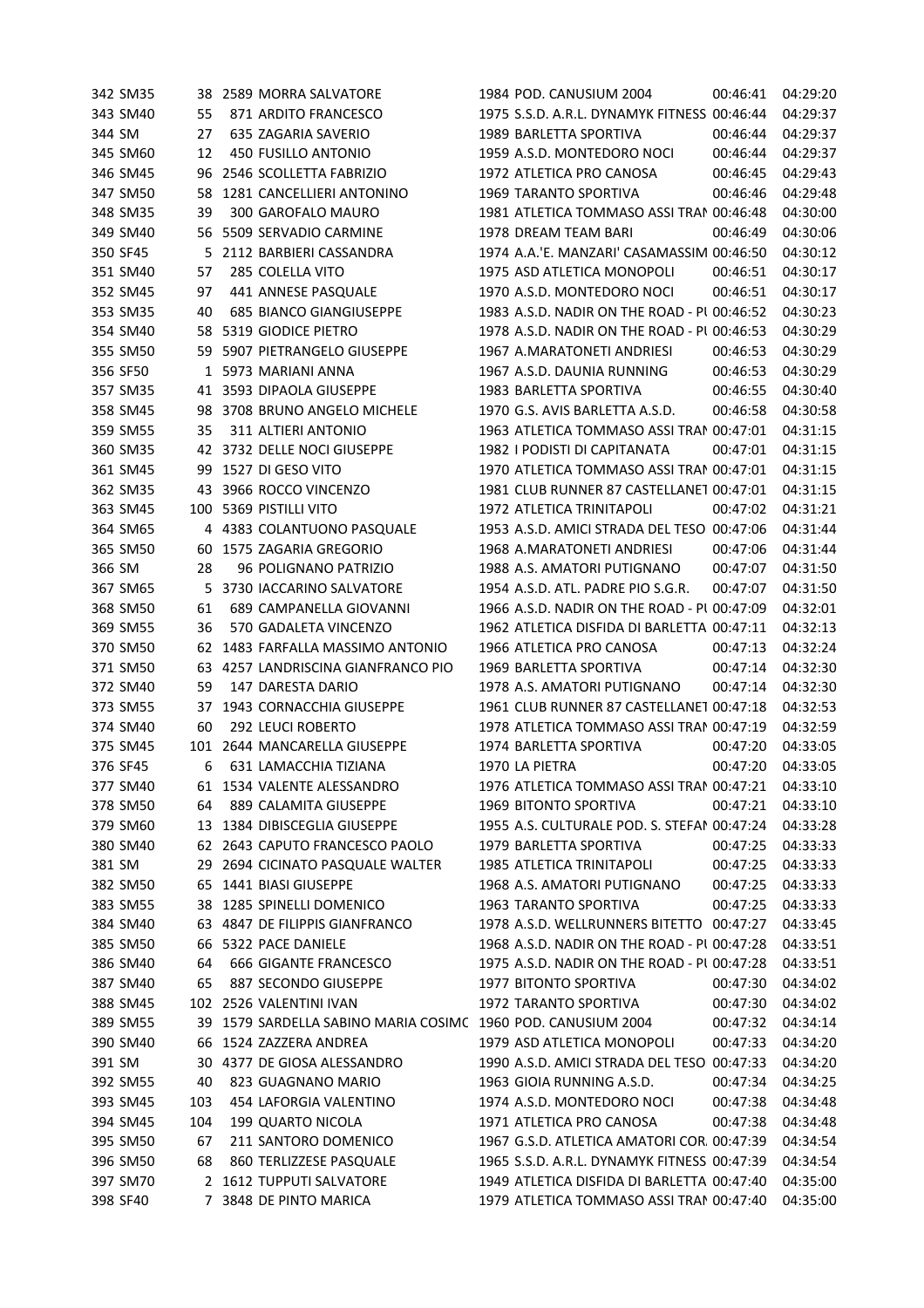|          | 342 SM35 |     | 38 2589 MORRA SALVATORE                                      | 1984 POD. CANUSIUM 2004                           | 00:46:41 | 04:29:20 |
|----------|----------|-----|--------------------------------------------------------------|---------------------------------------------------|----------|----------|
|          | 343 SM40 | 55  | 871 ARDITO FRANCESCO                                         | 1975 S.S.D. A.R.L. DYNAMYK FITNESS 00:46:44       |          | 04:29:37 |
| 344 SM   |          | 27  | 635 ZAGARIA SAVERIO                                          | 1989 BARLETTA SPORTIVA                            | 00:46:44 | 04:29:37 |
|          | 345 SM60 | 12  | 450 FUSILLO ANTONIO                                          | 1959 A.S.D. MONTEDORO NOCI                        | 00:46:44 | 04:29:37 |
|          | 346 SM45 |     | 96 2546 SCOLLETTA FABRIZIO                                   | 1972 ATLETICA PRO CANOSA                          | 00:46:45 | 04:29:43 |
|          | 347 SM50 |     | 58 1281 CANCELLIERI ANTONINO                                 | <b>1969 TARANTO SPORTIVA</b>                      | 00:46:46 | 04:29:48 |
|          | 348 SM35 | 39  | 300 GAROFALO MAURO                                           | 1981 ATLETICA TOMMASO ASSI TRAM 00:46:48          |          | 04:30:00 |
|          | 349 SM40 |     | 56 5509 SERVADIO CARMINE                                     | 1978 DREAM TEAM BARI                              | 00:46:49 | 04:30:06 |
| 350 SF45 |          |     | 5 2112 BARBIERI CASSANDRA                                    | 1974 A.A.'E. MANZARI' CASAMASSIM 00:46:50         |          | 04:30:12 |
|          | 351 SM40 | 57  | 285 COLELLA VITO                                             | 1975 ASD ATLETICA MONOPOLI                        | 00:46:51 | 04:30:17 |
|          | 352 SM45 | 97  | 441 ANNESE PASQUALE                                          | 1970 A.S.D. MONTEDORO NOCI                        | 00:46:51 | 04:30:17 |
|          | 353 SM35 | 40  | <b>685 BIANCO GIANGIUSEPPE</b>                               | 1983 A.S.D. NADIR ON THE ROAD - PI 00:46:52       |          | 04:30:23 |
|          | 354 SM40 | 58  | 5319 GIODICE PIETRO                                          | 1978 A.S.D. NADIR ON THE ROAD - PI 00:46:53       |          | 04:30:29 |
|          | 355 SM50 | 59  | 5907 PIETRANGELO GIUSEPPE                                    | 1967 A.MARATONETI ANDRIESI                        | 00:46:53 | 04:30:29 |
| 356 SF50 |          |     | 1 5973 MARIANI ANNA                                          | 1967 A.S.D. DAUNIA RUNNING                        | 00:46:53 | 04:30:29 |
|          | 357 SM35 |     | 41 3593 DIPAOLA GIUSEPPE                                     | 1983 BARLETTA SPORTIVA                            | 00:46:55 | 04:30:40 |
|          | 358 SM45 |     | 98 3708 BRUNO ANGELO MICHELE                                 | 1970 G.S. AVIS BARLETTA A.S.D.                    | 00:46:58 | 04:30:58 |
|          | 359 SM55 | 35  | 311 ALTIERI ANTONIO                                          | 1963 ATLETICA TOMMASO ASSI TRAN 00:47:01          |          | 04:31:15 |
|          | 360 SM35 |     | 42 3732 DELLE NOCI GIUSEPPE                                  | 1982   PODISTI DI CAPITANATA                      | 00:47:01 | 04:31:15 |
|          | 361 SM45 |     | 99 1527 DI GESO VITO                                         | 1970 ATLETICA TOMMASO ASSI TRAN 00:47:01          |          | 04:31:15 |
|          |          |     |                                                              |                                                   |          | 04:31:15 |
|          | 362 SM35 |     | 43 3966 ROCCO VINCENZO                                       | 1981 CLUB RUNNER 87 CASTELLANET 00:47:01          |          |          |
|          | 363 SM45 |     | 100 5369 PISTILLI VITO                                       | 1972 ATLETICA TRINITAPOLI                         | 00:47:02 | 04:31:21 |
|          | 364 SM65 |     | 4 4383 COLANTUONO PASQUALE                                   | 1953 A.S.D. AMICI STRADA DEL TESO 00:47:06        |          | 04:31:44 |
|          | 365 SM50 | 60  | 1575 ZAGARIA GREGORIO                                        | 1968 A.MARATONETI ANDRIESI                        | 00:47:06 | 04:31:44 |
| 366 SM   |          | 28  | 96 POLIGNANO PATRIZIO                                        | 1988 A.S. AMATORI PUTIGNANO                       | 00:47:07 | 04:31:50 |
|          | 367 SM65 |     | 5 3730 IACCARINO SALVATORE                                   | 1954 A.S.D. ATL. PADRE PIO S.G.R.                 | 00:47:07 | 04:31:50 |
|          | 368 SM50 | 61  | 689 CAMPANELLA GIOVANNI                                      | 1966 A.S.D. NADIR ON THE ROAD - PI 00:47:09       |          | 04:32:01 |
|          | 369 SM55 | 36  | 570 GADALETA VINCENZO                                        | 1962 ATLETICA DISFIDA DI BARLETTA 00:47:11        |          | 04:32:13 |
|          | 370 SM50 | 62  | 1483 FARFALLA MASSIMO ANTONIO                                | 1966 ATLETICA PRO CANOSA                          | 00:47:13 | 04:32:24 |
|          | 371 SM50 | 63  | 4257 LANDRISCINA GIANFRANCO PIO                              | 1969 BARLETTA SPORTIVA                            | 00:47:14 | 04:32:30 |
|          | 372 SM40 | 59  | 147 DARESTA DARIO                                            | 1978 A.S. AMATORI PUTIGNANO                       | 00:47:14 | 04:32:30 |
|          | 373 SM55 | 37  | 1943 CORNACCHIA GIUSEPPE                                     | 1961 CLUB RUNNER 87 CASTELLANET 00:47:18          |          | 04:32:53 |
|          | 374 SM40 | 60  | 292 LEUCI ROBERTO                                            | 1978 ATLETICA TOMMASO ASSI TRAM 00:47:19          |          | 04:32:59 |
|          | 375 SM45 |     | 101 2644 MANCARELLA GIUSEPPE                                 | 1974 BARLETTA SPORTIVA                            | 00:47:20 | 04:33:05 |
| 376 SF45 |          | 6   | 631 LAMACCHIA TIZIANA                                        | 1970 LA PIETRA                                    | 00:47:20 | 04:33:05 |
| 377 SM40 |          |     | 61 1534 VALENTE ALESSANDRO                                   | 1976 ATLETICA TOMMASO ASSI TRAM 00:47:21 04:33:10 |          |          |
|          | 378 SM50 | 64  | 889 CALAMITA GIUSEPPE                                        | 1969 BITONTO SPORTIVA                             | 00:47:21 | 04:33:10 |
|          | 379 SM60 | 13  | 1384 DIBISCEGLIA GIUSEPPE                                    | 1955 A.S. CULTURALE POD. S. STEFAN 00:47:24       |          | 04:33:28 |
|          | 380 SM40 |     | 62 2643 CAPUTO FRANCESCO PAOLO                               | 1979 BARLETTA SPORTIVA                            | 00:47:25 | 04:33:33 |
| 381 SM   |          |     | 29 2694 CICINATO PASQUALE WALTER                             | 1985 ATLETICA TRINITAPOLI                         | 00:47:25 | 04:33:33 |
|          | 382 SM50 | 65  | 1441 BIASI GIUSEPPE                                          | 1968 A.S. AMATORI PUTIGNANO                       | 00:47:25 | 04:33:33 |
|          | 383 SM55 | 38  | 1285 SPINELLI DOMENICO                                       | 1963 TARANTO SPORTIVA                             | 00:47:25 | 04:33:33 |
|          | 384 SM40 | 63  | 4847 DE FILIPPIS GIANFRANCO                                  | 1978 A.S.D. WELLRUNNERS BITETTO 00:47:27          |          | 04:33:45 |
|          | 385 SM50 | 66  | 5322 PACE DANIELE                                            | 1968 A.S.D. NADIR ON THE ROAD - PI 00:47:28       |          | 04:33:51 |
|          | 386 SM40 | 64  | 666 GIGANTE FRANCESCO                                        | 1975 A.S.D. NADIR ON THE ROAD - PI 00:47:28       |          | 04:33:51 |
|          | 387 SM40 | 65  | 887 SECONDO GIUSEPPE                                         | 1977 BITONTO SPORTIVA                             | 00:47:30 | 04:34:02 |
|          | 388 SM45 |     | 102 2526 VALENTINI IVAN                                      | 1972 TARANTO SPORTIVA                             | 00:47:30 | 04:34:02 |
|          | 389 SM55 |     | 39 1579 SARDELLA SABINO MARIA COSIMC 1960 POD. CANUSIUM 2004 |                                                   | 00:47:32 | 04:34:14 |
|          | 390 SM40 | 66  | 1524 ZAZZERA ANDREA                                          | 1979 ASD ATLETICA MONOPOLI                        | 00:47:33 | 04:34:20 |
| 391 SM   |          | 30  | 4377 DE GIOSA ALESSANDRO                                     | 1990 A.S.D. AMICI STRADA DEL TESO 00:47:33        |          | 04:34:20 |
|          | 392 SM55 | 40  | 823 GUAGNANO MARIO                                           | 1963 GIOIA RUNNING A.S.D.                         | 00:47:34 | 04:34:25 |
|          | 393 SM45 | 103 | 454 LAFORGIA VALENTINO                                       | 1974 A.S.D. MONTEDORO NOCI                        | 00:47:38 | 04:34:48 |
|          | 394 SM45 | 104 | 199 QUARTO NICOLA                                            | 1971 ATLETICA PRO CANOSA                          | 00:47:38 | 04:34:48 |
|          | 395 SM50 | 67  | 211 SANTORO DOMENICO                                         | 1967 G.S.D. ATLETICA AMATORI COR. 00:47:39        |          | 04:34:54 |
|          | 396 SM50 | 68  | 860 TERLIZZESE PASQUALE                                      | 1965 S.S.D. A.R.L. DYNAMYK FITNESS 00:47:39       |          | 04:34:54 |
|          | 397 SM70 | 2   | <b>1612 TUPPUTI SALVATORE</b>                                | 1949 ATLETICA DISFIDA DI BARLETTA 00:47:40        |          | 04:35:00 |
|          |          |     |                                                              | 1979 ATLETICA TOMMASO ASSI TRAN 00:47:40          |          |          |
| 398 SF40 |          |     | 7 3848 DE PINTO MARICA                                       |                                                   |          | 04:35:00 |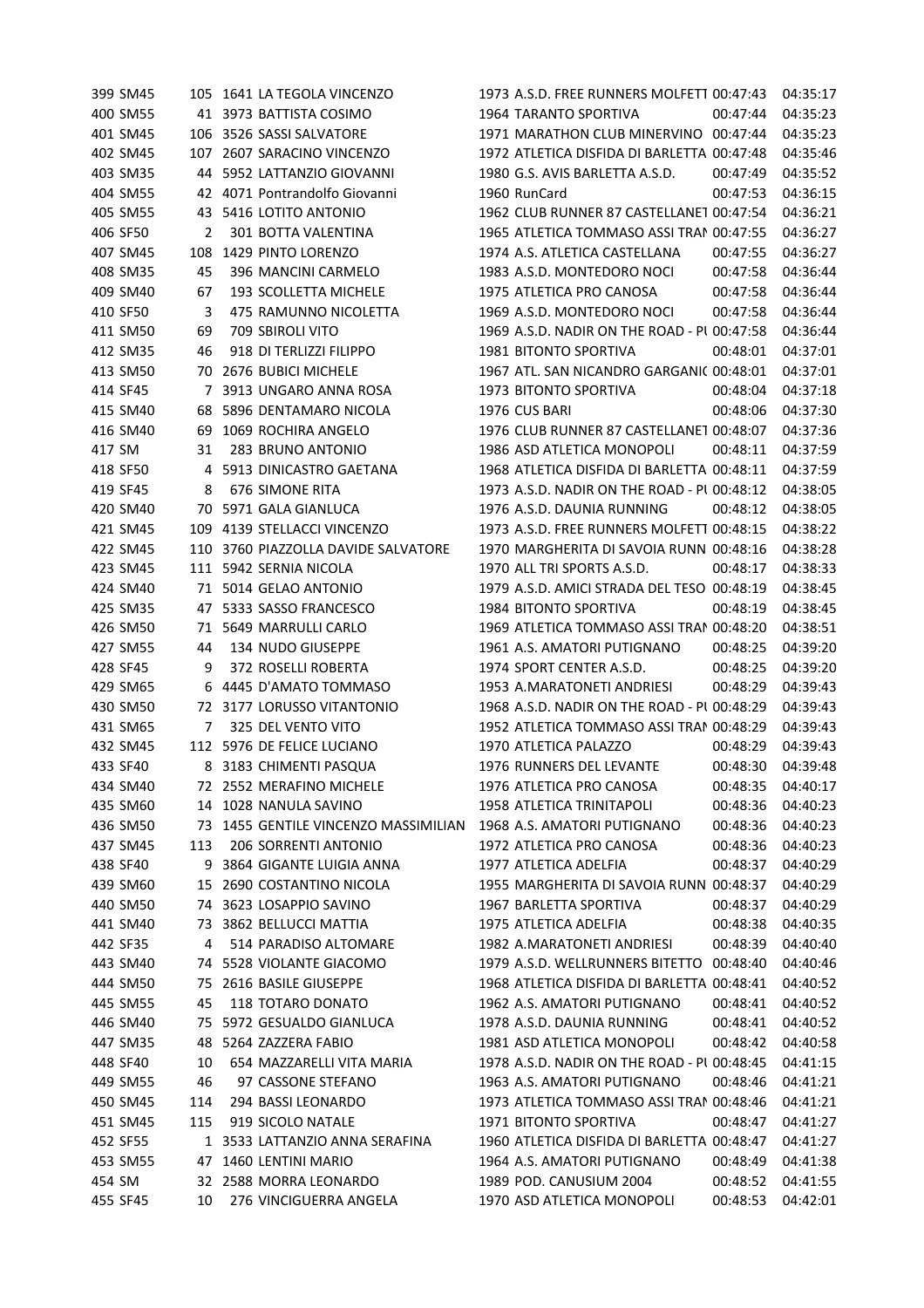| 399 SM45 |     | 105 1641 LA TEGOLA VINCENZO          | 1973 A.S.D. FREE RUNNERS MOLFETT 00:47:43   |                   | 04:35:17 |
|----------|-----|--------------------------------------|---------------------------------------------|-------------------|----------|
| 400 SM55 |     | 41 3973 BATTISTA COSIMO              | <b>1964 TARANTO SPORTIVA</b>                | 00:47:44          | 04:35:23 |
| 401 SM45 |     | 106 3526 SASSI SALVATORE             | 1971 MARATHON CLUB MINERVINO 00:47:44       |                   | 04:35:23 |
| 402 SM45 |     | 107 2607 SARACINO VINCENZO           | 1972 ATLETICA DISFIDA DI BARLETTA 00:47:48  |                   | 04:35:46 |
| 403 SM35 |     | 44 5952 LATTANZIO GIOVANNI           | 1980 G.S. AVIS BARLETTA A.S.D.              | 00:47:49          | 04:35:52 |
| 404 SM55 |     | 42 4071 Pontrandolfo Giovanni        | 1960 RunCard                                | 00:47:53          | 04:36:15 |
| 405 SM55 |     | 43 5416 LOTITO ANTONIO               | 1962 CLUB RUNNER 87 CASTELLANET 00:47:54    |                   | 04:36:21 |
| 406 SF50 | 2   | 301 BOTTA VALENTINA                  | 1965 ATLETICA TOMMASO ASSI TRAM 00:47:55    |                   | 04:36:27 |
| 407 SM45 |     | 108 1429 PINTO LORENZO               | 1974 A.S. ATLETICA CASTELLANA               | 00:47:55          | 04:36:27 |
| 408 SM35 | 45  | 396 MANCINI CARMELO                  | 1983 A.S.D. MONTEDORO NOCI                  | 00:47:58          | 04:36:44 |
| 409 SM40 | 67  | 193 SCOLLETTA MICHELE                | 1975 ATLETICA PRO CANOSA                    | 00:47:58          | 04:36:44 |
| 410 SF50 | 3   | 475 RAMUNNO NICOLETTA                | 1969 A.S.D. MONTEDORO NOCI                  | 00:47:58          | 04:36:44 |
| 411 SM50 | 69  | 709 SBIROLI VITO                     | 1969 A.S.D. NADIR ON THE ROAD - PI 00:47:58 |                   | 04:36:44 |
| 412 SM35 | 46  | 918 DI TERLIZZI FILIPPO              | 1981 BITONTO SPORTIVA                       | 00:48:01          | 04:37:01 |
| 413 SM50 |     | 70 2676 BUBICI MICHELE               | 1967 ATL. SAN NICANDRO GARGANIC 00:48:01    |                   | 04:37:01 |
| 414 SF45 | 7   | 3913 UNGARO ANNA ROSA                | 1973 BITONTO SPORTIVA                       | 00:48:04          | 04:37:18 |
| 415 SM40 | 68  | 5896 DENTAMARO NICOLA                | 1976 CUS BARI                               | 00:48:06          | 04:37:30 |
| 416 SM40 |     | 69 1069 ROCHIRA ANGELO               | 1976 CLUB RUNNER 87 CASTELLANET 00:48:07    |                   | 04:37:36 |
| 417 SM   | 31  | 283 BRUNO ANTONIO                    | 1986 ASD ATLETICA MONOPOLI                  | 00:48:11          | 04:37:59 |
| 418 SF50 |     | 4 5913 DINICASTRO GAETANA            | 1968 ATLETICA DISFIDA DI BARLETTA 00:48:11  |                   | 04:37:59 |
| 419 SF45 | 8   | <b>676 SIMONE RITA</b>               | 1973 A.S.D. NADIR ON THE ROAD - PI 00:48:12 |                   | 04:38:05 |
| 420 SM40 |     | 70 5971 GALA GIANLUCA                | 1976 A.S.D. DAUNIA RUNNING                  | 00:48:12          | 04:38:05 |
| 421 SM45 |     | 109 4139 STELLACCI VINCENZO          | 1973 A.S.D. FREE RUNNERS MOLFETT 00:48:15   |                   | 04:38:22 |
| 422 SM45 |     | 110 3760 PIAZZOLLA DAVIDE SALVATORE  | 1970 MARGHERITA DI SAVOIA RUNN 00:48:16     |                   | 04:38:28 |
| 423 SM45 |     | 111 5942 SERNIA NICOLA               | 1970 ALL TRI SPORTS A.S.D.                  | 00:48:17          | 04:38:33 |
| 424 SM40 |     | 71 5014 GELAO ANTONIO                | 1979 A.S.D. AMICI STRADA DEL TESO 00:48:19  |                   | 04:38:45 |
| 425 SM35 |     | 47 5333 SASSO FRANCESCO              | 1984 BITONTO SPORTIVA                       | 00:48:19          | 04:38:45 |
| 426 SM50 |     | 71 5649 MARRULLI CARLO               | 1969 ATLETICA TOMMASO ASSI TRAM 00:48:20    |                   | 04:38:51 |
| 427 SM55 | 44  | 134 NUDO GIUSEPPE                    | 1961 A.S. AMATORI PUTIGNANO                 | 00:48:25          | 04:39:20 |
| 428 SF45 | 9   | 372 ROSELLI ROBERTA                  | 1974 SPORT CENTER A.S.D.                    | 00:48:25          | 04:39:20 |
| 429 SM65 |     | 6 4445 D'AMATO TOMMASO               | 1953 A.MARATONETI ANDRIESI                  | 00:48:29          | 04:39:43 |
| 430 SM50 |     | 72 3177 LORUSSO VITANTONIO           | 1968 A.S.D. NADIR ON THE ROAD - PI 00:48:29 |                   | 04:39:43 |
| 431 SM65 | 7   | 325 DEL VENTO VITO                   | 1952 ATLETICA TOMMASO ASSI TRAM 00:48:29    |                   | 04:39:43 |
| 432 SM45 |     | 112 5976 DE FELICE LUCIANO           | 1970 ATLETICA PALAZZO                       | 00:48:29          | 04:39:43 |
| 433 SF40 |     | 8 3183 CHIMENTI PASQUA               | 1976 RUNNERS DEL LEVANTE                    | 00:48:30          | 04:39:48 |
| 434 SM40 |     | 72 2552 MERAFINO MICHELE             | 1976 ATLETICA PRO CANOSA                    | 00:48:35 04:40:17 |          |
| 435 SM60 |     | 14 1028 NANULA SAVINO                | 1958 ATLETICA TRINITAPOLI                   | 00:48:36          | 04:40:23 |
| 436 SM50 |     | 73 1455 GENTILE VINCENZO MASSIMILIAN | 1968 A.S. AMATORI PUTIGNANO                 | 00:48:36          | 04:40:23 |
| 437 SM45 | 113 | <b>206 SORRENTI ANTONIO</b>          | 1972 ATLETICA PRO CANOSA                    | 00:48:36          | 04:40:23 |
| 438 SF40 | 9   | 3864 GIGANTE LUIGIA ANNA             | 1977 ATLETICA ADELFIA                       | 00:48:37          | 04:40:29 |
| 439 SM60 | 15  | 2690 COSTANTINO NICOLA               | 1955 MARGHERITA DI SAVOIA RUNN 00:48:37     |                   | 04:40:29 |
| 440 SM50 | 74  | 3623 LOSAPPIO SAVINO                 | 1967 BARLETTA SPORTIVA                      | 00:48:37          | 04:40:29 |
| 441 SM40 | 73  | 3862 BELLUCCI MATTIA                 | 1975 ATLETICA ADELFIA                       | 00:48:38          | 04:40:35 |
| 442 SF35 | 4   | 514 PARADISO ALTOMARE                | 1982 A.MARATONETI ANDRIESI                  | 00:48:39          | 04:40:40 |
| 443 SM40 |     | 74 5528 VIOLANTE GIACOMO             | 1979 A.S.D. WELLRUNNERS BITETTO 00:48:40    |                   | 04:40:46 |
| 444 SM50 |     | 75 2616 BASILE GIUSEPPE              | 1968 ATLETICA DISFIDA DI BARLETTA 00:48:41  |                   | 04:40:52 |
| 445 SM55 | 45  | 118 TOTARO DONATO                    | 1962 A.S. AMATORI PUTIGNANO                 | 00:48:41          | 04:40:52 |
| 446 SM40 |     | 75 5972 GESUALDO GIANLUCA            | 1978 A.S.D. DAUNIA RUNNING                  | 00:48:41          | 04:40:52 |
| 447 SM35 | 48  | 5264 ZAZZERA FABIO                   | 1981 ASD ATLETICA MONOPOLI                  | 00:48:42          | 04:40:58 |
| 448 SF40 | 10  | 654 MAZZARELLI VITA MARIA            | 1978 A.S.D. NADIR ON THE ROAD - PI 00:48:45 |                   | 04:41:15 |
| 449 SM55 | 46  | 97 CASSONE STEFANO                   | 1963 A.S. AMATORI PUTIGNANO                 | 00:48:46          | 04:41:21 |
| 450 SM45 | 114 | 294 BASSI LEONARDO                   | 1973 ATLETICA TOMMASO ASSI TRAN 00:48:46    |                   | 04:41:21 |
| 451 SM45 | 115 | 919 SICOLO NATALE                    | 1971 BITONTO SPORTIVA                       | 00:48:47          | 04:41:27 |
| 452 SF55 |     | 1 3533 LATTANZIO ANNA SERAFINA       | 1960 ATLETICA DISFIDA DI BARLETTA 00:48:47  |                   | 04:41:27 |
| 453 SM55 |     | 47 1460 LENTINI MARIO                | 1964 A.S. AMATORI PUTIGNANO                 | 00:48:49          | 04:41:38 |
| 454 SM   |     | 32 2588 MORRA LEONARDO               | 1989 POD. CANUSIUM 2004                     | 00:48:52          | 04:41:55 |
| 455 SF45 | 10  | 276 VINCIGUERRA ANGELA               | 1970 ASD ATLETICA MONOPOLI                  | 00:48:53          | 04:42:01 |
|          |     |                                      |                                             |                   |          |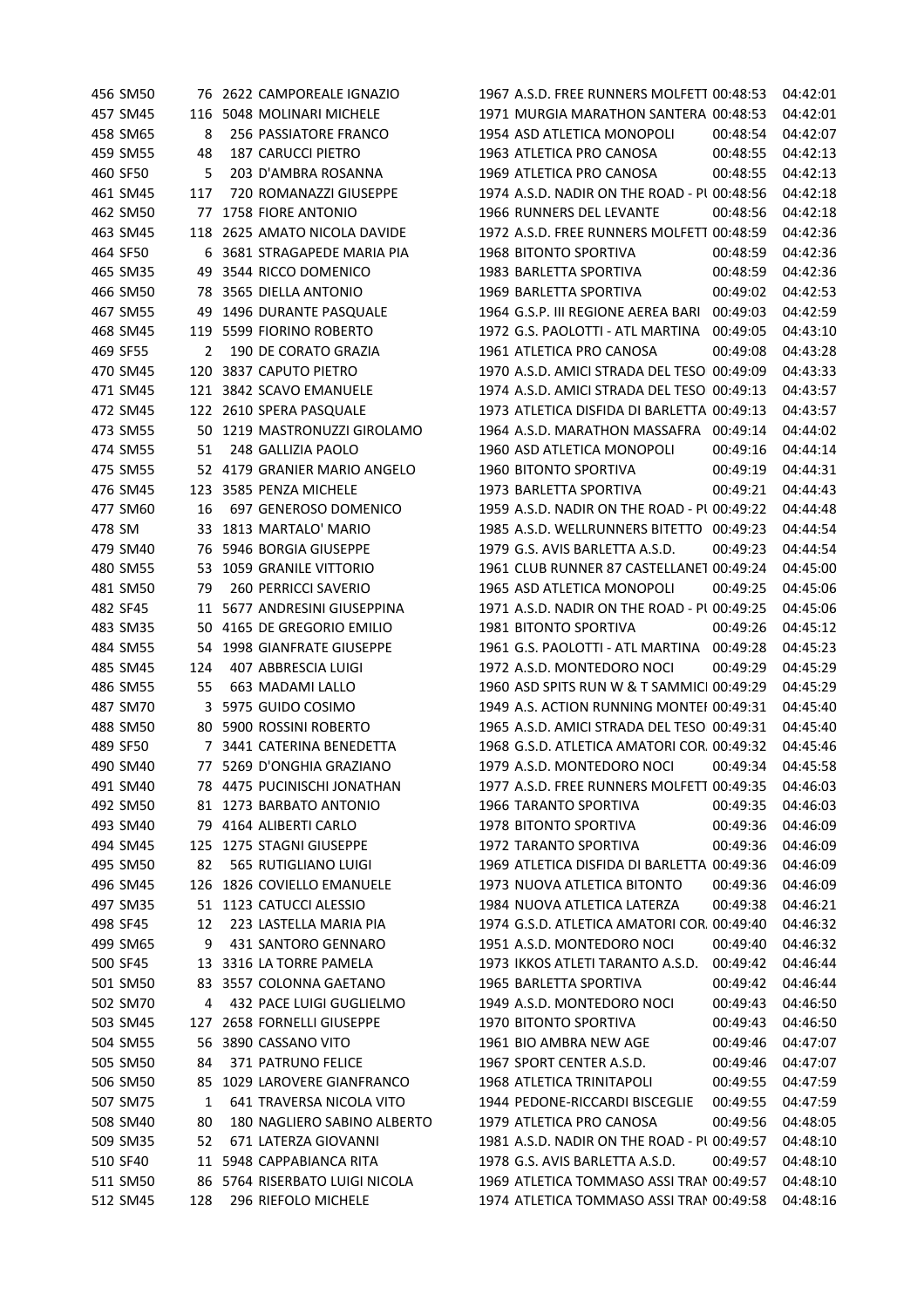|        | 456 SM50 |     | 76 2622 CAMPOREALE IGNAZIO   | 1967 A.S.D. FREE RUNNERS MOLFETT 00:48:53          |          | 04:42:01 |
|--------|----------|-----|------------------------------|----------------------------------------------------|----------|----------|
|        | 457 SM45 | 116 | 5048 MOLINARI MICHELE        | 1971 MURGIA MARATHON SANTERA 00:48:53              |          | 04:42:01 |
|        | 458 SM65 | 8   | 256 PASSIATORE FRANCO        | 1954 ASD ATLETICA MONOPOLI                         | 00:48:54 | 04:42:07 |
|        | 459 SM55 | 48  | <b>187 CARUCCI PIETRO</b>    | 1963 ATLETICA PRO CANOSA                           | 00:48:55 | 04:42:13 |
|        | 460 SF50 | 5   | 203 D'AMBRA ROSANNA          | 1969 ATLETICA PRO CANOSA                           | 00:48:55 | 04:42:13 |
|        | 461 SM45 | 117 | 720 ROMANAZZI GIUSEPPE       | 1974 A.S.D. NADIR ON THE ROAD - PL 00:48:56        |          | 04:42:18 |
|        | 462 SM50 | 77  | 1758 FIORE ANTONIO           | 1966 RUNNERS DEL LEVANTE                           | 00:48:56 | 04:42:18 |
|        | 463 SM45 |     | 118 2625 AMATO NICOLA DAVIDE | 1972 A.S.D. FREE RUNNERS MOLFETT 00:48:59          |          | 04:42:36 |
|        | 464 SF50 |     | 6 3681 STRAGAPEDE MARIA PIA  | 1968 BITONTO SPORTIVA                              | 00:48:59 | 04:42:36 |
|        | 465 SM35 | 49  | 3544 RICCO DOMENICO          | 1983 BARLETTA SPORTIVA                             | 00:48:59 | 04:42:36 |
|        | 466 SM50 |     | 78 3565 DIELLA ANTONIO       | 1969 BARLETTA SPORTIVA                             | 00:49:02 | 04:42:53 |
|        | 467 SM55 | 49  | 1496 DURANTE PASQUALE        | 1964 G.S.P. III REGIONE AEREA BARI                 | 00:49:03 | 04:42:59 |
|        | 468 SM45 |     | 119 5599 FIORINO ROBERTO     | 1972 G.S. PAOLOTTI - ATL MARTINA                   | 00:49:05 | 04:43:10 |
|        | 469 SF55 | 2   | 190 DE CORATO GRAZIA         | 1961 ATLETICA PRO CANOSA                           | 00:49:08 | 04:43:28 |
|        | 470 SM45 |     | 120 3837 CAPUTO PIETRO       | 1970 A.S.D. AMICI STRADA DEL TESO 00:49:09         |          | 04:43:33 |
|        | 471 SM45 | 121 | 3842 SCAVO EMANUELE          | 1974 A.S.D. AMICI STRADA DEL TESO 00:49:13         |          | 04:43:57 |
|        | 472 SM45 |     | 122 2610 SPERA PASQUALE      | 1973 ATLETICA DISFIDA DI BARLETTA 00:49:13         |          | 04:43:57 |
|        | 473 SM55 | 50  | 1219 MASTRONUZZI GIROLAMO    | 1964 A.S.D. MARATHON MASSAFRA                      | 00:49:14 | 04:44:02 |
|        | 474 SM55 | 51  | 248 GALLIZIA PAOLO           | 1960 ASD ATLETICA MONOPOLI                         | 00:49:16 | 04:44:14 |
|        | 475 SM55 |     | 52 4179 GRANIER MARIO ANGELO | 1960 BITONTO SPORTIVA                              | 00:49:19 | 04:44:31 |
|        | 476 SM45 |     | 123 3585 PENZA MICHELE       | 1973 BARLETTA SPORTIVA                             | 00:49:21 | 04:44:43 |
|        | 477 SM60 | 16  | 697 GENEROSO DOMENICO        | 1959 A.S.D. NADIR ON THE ROAD - PL 00:49:22        |          | 04:44:48 |
| 478 SM |          |     | 33 1813 MARTALO' MARIO       | 1985 A.S.D. WELLRUNNERS BITETTO 00:49:23           |          |          |
|        |          |     |                              |                                                    |          | 04:44:54 |
|        | 479 SM40 |     | 76 5946 BORGIA GIUSEPPE      | 1979 G.S. AVIS BARLETTA A.S.D.                     | 00:49:23 | 04:44:54 |
|        | 480 SM55 |     | 53 1059 GRANILE VITTORIO     | 1961 CLUB RUNNER 87 CASTELLANET 00:49:24           |          | 04:45:00 |
|        | 481 SM50 | 79  | 260 PERRICCI SAVERIO         | 1965 ASD ATLETICA MONOPOLI                         | 00:49:25 | 04:45:06 |
|        | 482 SF45 |     | 11 5677 ANDRESINI GIUSEPPINA | 1971 A.S.D. NADIR ON THE ROAD - PI 00:49:25        |          | 04:45:06 |
|        | 483 SM35 |     | 50 4165 DE GREGORIO EMILIO   | 1981 BITONTO SPORTIVA                              | 00:49:26 | 04:45:12 |
|        | 484 SM55 | 54  | 1998 GIANFRATE GIUSEPPE      | 1961 G.S. PAOLOTTI - ATL MARTINA                   | 00:49:28 | 04:45:23 |
|        | 485 SM45 | 124 | 407 ABBRESCIA LUIGI          | 1972 A.S.D. MONTEDORO NOCI                         | 00:49:29 | 04:45:29 |
|        | 486 SM55 | 55  | 663 MADAMI LALLO             | 1960 ASD SPITS RUN W & T SAMMICI 00:49:29          |          | 04:45:29 |
|        | 487 SM70 | 3   | 5975 GUIDO COSIMO            | 1949 A.S. ACTION RUNNING MONTEI 00:49:31           |          | 04:45:40 |
|        | 488 SM50 |     | 80 5900 ROSSINI ROBERTO      | 1965 A.S.D. AMICI STRADA DEL TESO 00:49:31         |          | 04:45:40 |
|        | 489 SF50 |     | 7 3441 CATERINA BENEDETTA    | 1968 G.S.D. ATLETICA AMATORI COR. 00:49:32         |          | 04:45:46 |
|        | 490 SM40 |     | 77 5269 D'ONGHIA GRAZIANO    | 1979 A.S.D. MONTEDORO NOCI                         | 00:49:34 | 04:45:58 |
|        | 491 SM40 |     | 78 4475 PUCINISCHI JONATHAN  | 1977 A.S.D. FREE RUNNERS MOLFETT 00:49:35 04:46:03 |          |          |
|        | 492 SM50 |     | 81 1273 BARBATO ANTONIO      | 1966 TARANTO SPORTIVA                              | 00:49:35 | 04:46:03 |
|        | 493 SM40 | 79  | 4164 ALIBERTI CARLO          | 1978 BITONTO SPORTIVA                              | 00:49:36 | 04:46:09 |
|        | 494 SM45 | 125 | 1275 STAGNI GIUSEPPE         | 1972 TARANTO SPORTIVA                              | 00:49:36 | 04:46:09 |
|        | 495 SM50 | 82  | 565 RUTIGLIANO LUIGI         | 1969 ATLETICA DISFIDA DI BARLETTA 00:49:36         |          | 04:46:09 |
|        | 496 SM45 | 126 | 1826 COVIELLO EMANUELE       | 1973 NUOVA ATLETICA BITONTO                        | 00:49:36 | 04:46:09 |
|        | 497 SM35 | 51  | 1123 CATUCCI ALESSIO         | 1984 NUOVA ATLETICA LATERZA                        | 00:49:38 | 04:46:21 |
|        | 498 SF45 | 12  | 223 LASTELLA MARIA PIA       | 1974 G.S.D. ATLETICA AMATORI COR 00:49:40          |          | 04:46:32 |
|        | 499 SM65 | 9   | 431 SANTORO GENNARO          | 1951 A.S.D. MONTEDORO NOCI                         | 00:49:40 | 04:46:32 |
|        | 500 SF45 |     | 13 3316 LA TORRE PAMELA      | 1973 IKKOS ATLETI TARANTO A.S.D.                   | 00:49:42 | 04:46:44 |
|        | 501 SM50 |     | 83 3557 COLONNA GAETANO      | 1965 BARLETTA SPORTIVA                             | 00:49:42 | 04:46:44 |
|        | 502 SM70 | 4   | 432 PACE LUIGI GUGLIELMO     | 1949 A.S.D. MONTEDORO NOCI                         | 00:49:43 | 04:46:50 |
|        | 503 SM45 |     | 127 2658 FORNELLI GIUSEPPE   | 1970 BITONTO SPORTIVA                              | 00:49:43 | 04:46:50 |
|        | 504 SM55 |     | 56 3890 CASSANO VITO         | 1961 BIO AMBRA NEW AGE                             | 00:49:46 | 04:47:07 |
|        | 505 SM50 | 84  | 371 PATRUNO FELICE           | 1967 SPORT CENTER A.S.D.                           | 00:49:46 | 04:47:07 |
|        | 506 SM50 | 85  | 1029 LAROVERE GIANFRANCO     | 1968 ATLETICA TRINITAPOLI                          | 00:49:55 | 04:47:59 |
|        | 507 SM75 | 1   | 641 TRAVERSA NICOLA VITO     | 1944 PEDONE-RICCARDI BISCEGLIE                     | 00:49:55 | 04:47:59 |
|        | 508 SM40 | 80  | 180 NAGLIERO SABINO ALBERTO  | 1979 ATLETICA PRO CANOSA                           | 00:49:56 | 04:48:05 |
|        | 509 SM35 | 52  | 671 LATERZA GIOVANNI         | 1981 A.S.D. NADIR ON THE ROAD - PI 00:49:57        |          | 04:48:10 |
|        | 510 SF40 | 11  | 5948 CAPPABIANCA RITA        | 1978 G.S. AVIS BARLETTA A.S.D.                     | 00:49:57 | 04:48:10 |
|        | 511 SM50 | 86  | 5764 RISERBATO LUIGI NICOLA  | 1969 ATLETICA TOMMASO ASSI TRAN 00:49:57           |          | 04:48:10 |
|        | 512 SM45 | 128 | 296 RIEFOLO MICHELE          | 1974 ATLETICA TOMMASO ASSI TRAN 00:49:58           |          | 04:48:16 |
|        |          |     |                              |                                                    |          |          |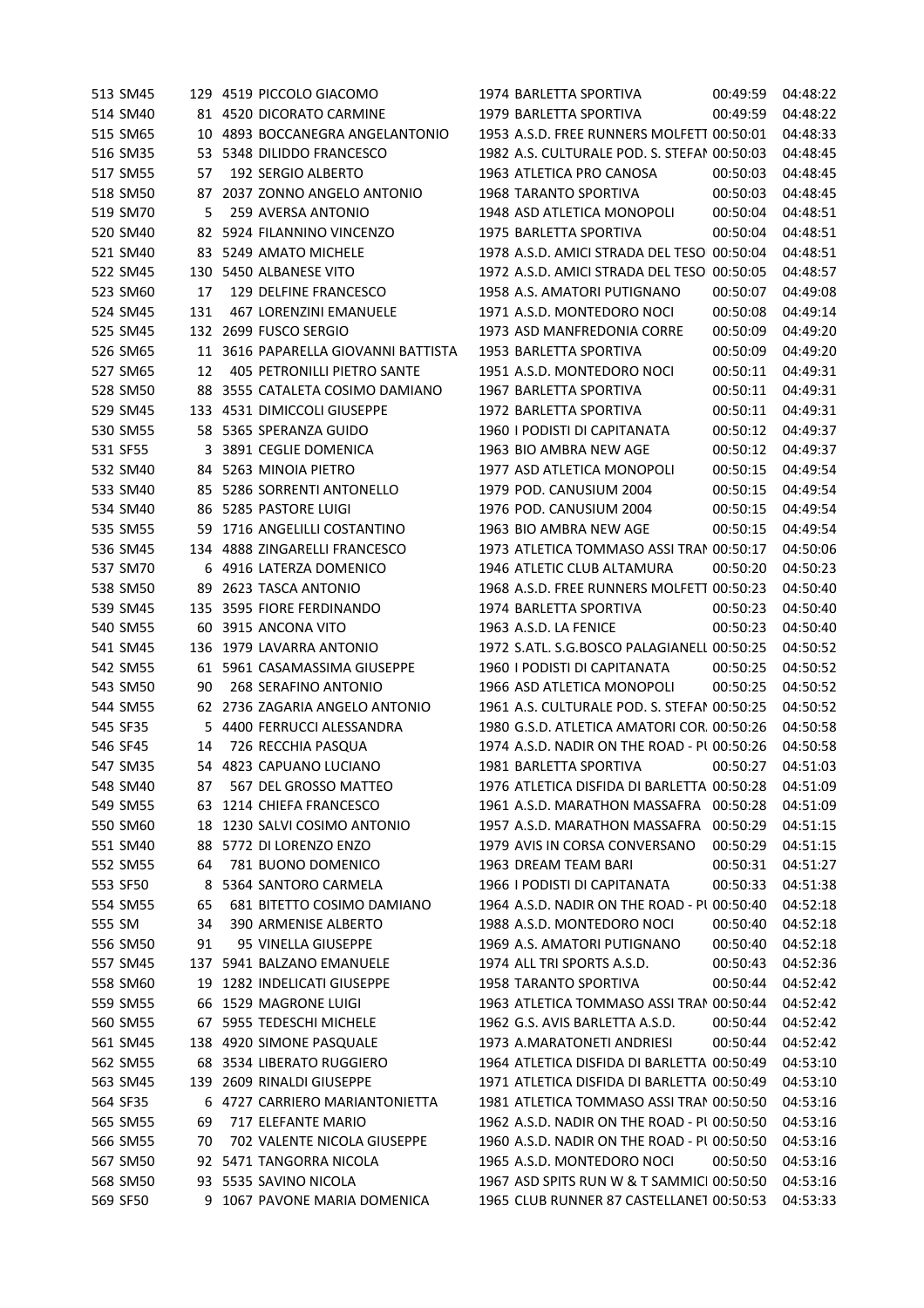| 513 SM45 |     | 129 4519 PICCOLO GIACOMO            | 1974 BARLETTA SPORTIVA                              | 00:49:59 | 04:48:22 |
|----------|-----|-------------------------------------|-----------------------------------------------------|----------|----------|
| 514 SM40 |     | 81 4520 DICORATO CARMINE            | 1979 BARLETTA SPORTIVA                              | 00:49:59 | 04:48:22 |
| 515 SM65 |     | 10 4893 BOCCANEGRA ANGELANTONIO     | 1953 A.S.D. FREE RUNNERS MOLFETT 00:50:01           |          | 04:48:33 |
| 516 SM35 |     | 53 5348 DILIDDO FRANCESCO           | 1982 A.S. CULTURALE POD. S. STEFAN 00:50:03         |          | 04:48:45 |
| 517 SM55 | 57  | <b>192 SERGIO ALBERTO</b>           | 1963 ATLETICA PRO CANOSA                            | 00:50:03 | 04:48:45 |
| 518 SM50 |     | 87 2037 ZONNO ANGELO ANTONIO        | <b>1968 TARANTO SPORTIVA</b>                        | 00:50:03 | 04:48:45 |
| 519 SM70 | 5   | 259 AVERSA ANTONIO                  | 1948 ASD ATLETICA MONOPOLI                          | 00:50:04 | 04:48:51 |
| 520 SM40 |     | 82 5924 FILANNINO VINCENZO          | 1975 BARLETTA SPORTIVA                              | 00:50:04 | 04:48:51 |
| 521 SM40 |     | 83 5249 AMATO MICHELE               | 1978 A.S.D. AMICI STRADA DEL TESO 00:50:04          |          | 04:48:51 |
| 522 SM45 |     | 130 5450 ALBANESE VITO              | 1972 A.S.D. AMICI STRADA DEL TESO 00:50:05          |          | 04:48:57 |
| 523 SM60 | 17  | 129 DELFINE FRANCESCO               | 1958 A.S. AMATORI PUTIGNANO                         | 00:50:07 | 04:49:08 |
| 524 SM45 | 131 | 467 LORENZINI EMANUELE              | 1971 A.S.D. MONTEDORO NOCI                          | 00:50:08 | 04:49:14 |
| 525 SM45 |     | 132 2699 FUSCO SERGIO               | 1973 ASD MANFREDONIA CORRE                          | 00:50:09 | 04:49:20 |
| 526 SM65 |     | 11 3616 PAPARELLA GIOVANNI BATTISTA | 1953 BARLETTA SPORTIVA                              | 00:50:09 | 04:49:20 |
| 527 SM65 | 12  | 405 PETRONILLI PIETRO SANTE         | 1951 A.S.D. MONTEDORO NOCI                          | 00:50:11 | 04:49:31 |
| 528 SM50 | 88  | 3555 CATALETA COSIMO DAMIANO        | 1967 BARLETTA SPORTIVA                              | 00:50:11 | 04:49:31 |
| 529 SM45 |     | 133 4531 DIMICCOLI GIUSEPPE         | 1972 BARLETTA SPORTIVA                              | 00:50:11 | 04:49:31 |
| 530 SM55 |     | 58 5365 SPERANZA GUIDO              | 1960   PODISTI DI CAPITANATA                        | 00:50:12 | 04:49:37 |
| 531 SF55 |     | 3 3891 CEGLIE DOMENICA              | 1963 BIO AMBRA NEW AGE                              | 00:50:12 | 04:49:37 |
| 532 SM40 |     | 84 5263 MINOIA PIETRO               | 1977 ASD ATLETICA MONOPOLI                          | 00:50:15 | 04:49:54 |
| 533 SM40 |     | 85 5286 SORRENTI ANTONELLO          | 1979 POD. CANUSIUM 2004                             | 00:50:15 | 04:49:54 |
| 534 SM40 |     | 86 5285 PASTORE LUIGI               | 1976 POD. CANUSIUM 2004                             | 00:50:15 | 04:49:54 |
| 535 SM55 | 59  | 1716 ANGELILLI COSTANTINO           | 1963 BIO AMBRA NEW AGE                              | 00:50:15 | 04:49:54 |
| 536 SM45 |     | 4888 ZINGARELLI FRANCESCO           | 1973 ATLETICA TOMMASO ASSI TRAN 00:50:17            |          | 04:50:06 |
|          | 134 |                                     |                                                     |          |          |
| 537 SM70 |     | 6 4916 LATERZA DOMENICO             | 1946 ATLETIC CLUB ALTAMURA                          | 00:50:20 | 04:50:23 |
| 538 SM50 |     | 89 2623 TASCA ANTONIO               | 1968 A.S.D. FREE RUNNERS MOLFETT 00:50:23           |          | 04:50:40 |
| 539 SM45 |     | 135 3595 FIORE FERDINANDO           | 1974 BARLETTA SPORTIVA                              | 00:50:23 | 04:50:40 |
| 540 SM55 | 60  | 3915 ANCONA VITO                    | 1963 A.S.D. LA FENICE                               | 00:50:23 | 04:50:40 |
| 541 SM45 | 136 | 1979 LAVARRA ANTONIO                | 1972 S.ATL. S.G.BOSCO PALAGIANELI 00:50:25          |          | 04:50:52 |
| 542 SM55 |     | 61 5961 CASAMASSIMA GIUSEPPE        | 1960 I PODISTI DI CAPITANATA                        | 00:50:25 | 04:50:52 |
| 543 SM50 | 90  | 268 SERAFINO ANTONIO                | 1966 ASD ATLETICA MONOPOLI                          | 00:50:25 | 04:50:52 |
| 544 SM55 |     | 62 2736 ZAGARIA ANGELO ANTONIO      | 1961 A.S. CULTURALE POD. S. STEFAN 00:50:25         |          | 04:50:52 |
| 545 SF35 |     | 5 4400 FERRUCCI ALESSANDRA          | 1980 G.S.D. ATLETICA AMATORI COR. 00:50:26          |          | 04:50:58 |
| 546 SF45 | 14  | 726 RECCHIA PASQUA                  | 1974 A.S.D. NADIR ON THE ROAD - PI 00:50:26         |          | 04:50:58 |
| 547 SM35 |     | 54 4823 CAPUANO LUCIANO             | 1981 BARLETTA SPORTIVA                              | 00:50:27 | 04:51:03 |
| 548 SM40 |     | 87 567 DEL GROSSO MATTEO            | 1976 ATLETICA DISFIDA DI BARLETTA 00:50:28 04:51:09 |          |          |
| 549 SM55 | 63  | 1214 CHIEFA FRANCESCO               | 1961 A.S.D. MARATHON MASSAFRA 00:50:28              |          | 04:51:09 |
| 550 SM60 | 18  | 1230 SALVI COSIMO ANTONIO           | 1957 A.S.D. MARATHON MASSAFRA                       | 00:50:29 | 04:51:15 |
| 551 SM40 | 88  | 5772 DI LORENZO ENZO                | 1979 AVIS IN CORSA CONVERSANO                       | 00:50:29 | 04:51:15 |
| 552 SM55 | 64  | 781 BUONO DOMENICO                  | 1963 DREAM TEAM BARI                                | 00:50:31 | 04:51:27 |
| 553 SF50 | 8   | 5364 SANTORO CARMELA                | 1966   PODISTI DI CAPITANATA                        | 00:50:33 | 04:51:38 |
| 554 SM55 | 65  | 681 BITETTO COSIMO DAMIANO          | 1964 A.S.D. NADIR ON THE ROAD - PI 00:50:40         |          | 04:52:18 |
| 555 SM   | 34  | 390 ARMENISE ALBERTO                | 1988 A.S.D. MONTEDORO NOCI                          | 00:50:40 | 04:52:18 |
| 556 SM50 | 91  | 95 VINELLA GIUSEPPE                 | 1969 A.S. AMATORI PUTIGNANO                         | 00:50:40 | 04:52:18 |
| 557 SM45 |     | 137 5941 BALZANO EMANUELE           | 1974 ALL TRI SPORTS A.S.D.                          | 00:50:43 | 04:52:36 |
| 558 SM60 |     | 19 1282 INDELICATI GIUSEPPE         | 1958 TARANTO SPORTIVA                               | 00:50:44 | 04:52:42 |
| 559 SM55 | 66  | 1529 MAGRONE LUIGI                  | 1963 ATLETICA TOMMASO ASSI TRAN 00:50:44            |          | 04:52:42 |
| 560 SM55 | 67  | 5955 TEDESCHI MICHELE               | 1962 G.S. AVIS BARLETTA A.S.D.                      | 00:50:44 | 04:52:42 |
| 561 SM45 | 138 | 4920 SIMONE PASQUALE                | 1973 A.MARATONETI ANDRIESI                          | 00:50:44 | 04:52:42 |
| 562 SM55 | 68  | 3534 LIBERATO RUGGIERO              | 1964 ATLETICA DISFIDA DI BARLETTA 00:50:49          |          | 04:53:10 |
| 563 SM45 |     | 139 2609 RINALDI GIUSEPPE           | 1971 ATLETICA DISFIDA DI BARLETTA 00:50:49          |          | 04:53:10 |
| 564 SF35 |     | 6 4727 CARRIERO MARIANTONIETTA      | 1981 ATLETICA TOMMASO ASSI TRAN 00:50:50            |          | 04:53:16 |
| 565 SM55 | 69  | 717 ELEFANTE MARIO                  | 1962 A.S.D. NADIR ON THE ROAD - PI 00:50:50         |          | 04:53:16 |
| 566 SM55 | 70  | 702 VALENTE NICOLA GIUSEPPE         | 1960 A.S.D. NADIR ON THE ROAD - PI 00:50:50         |          | 04:53:16 |
| 567 SM50 | 92  | 5471 TANGORRA NICOLA                | 1965 A.S.D. MONTEDORO NOCI                          | 00:50:50 | 04:53:16 |
| 568 SM50 |     | 93 5535 SAVINO NICOLA               | 1967 ASD SPITS RUN W & T SAMMICI 00:50:50           |          | 04:53:16 |
| 569 SF50 | 9   | 1067 PAVONE MARIA DOMENICA          | 1965 CLUB RUNNER 87 CASTELLANET 00:50:53            |          | 04:53:33 |
|          |     |                                     |                                                     |          |          |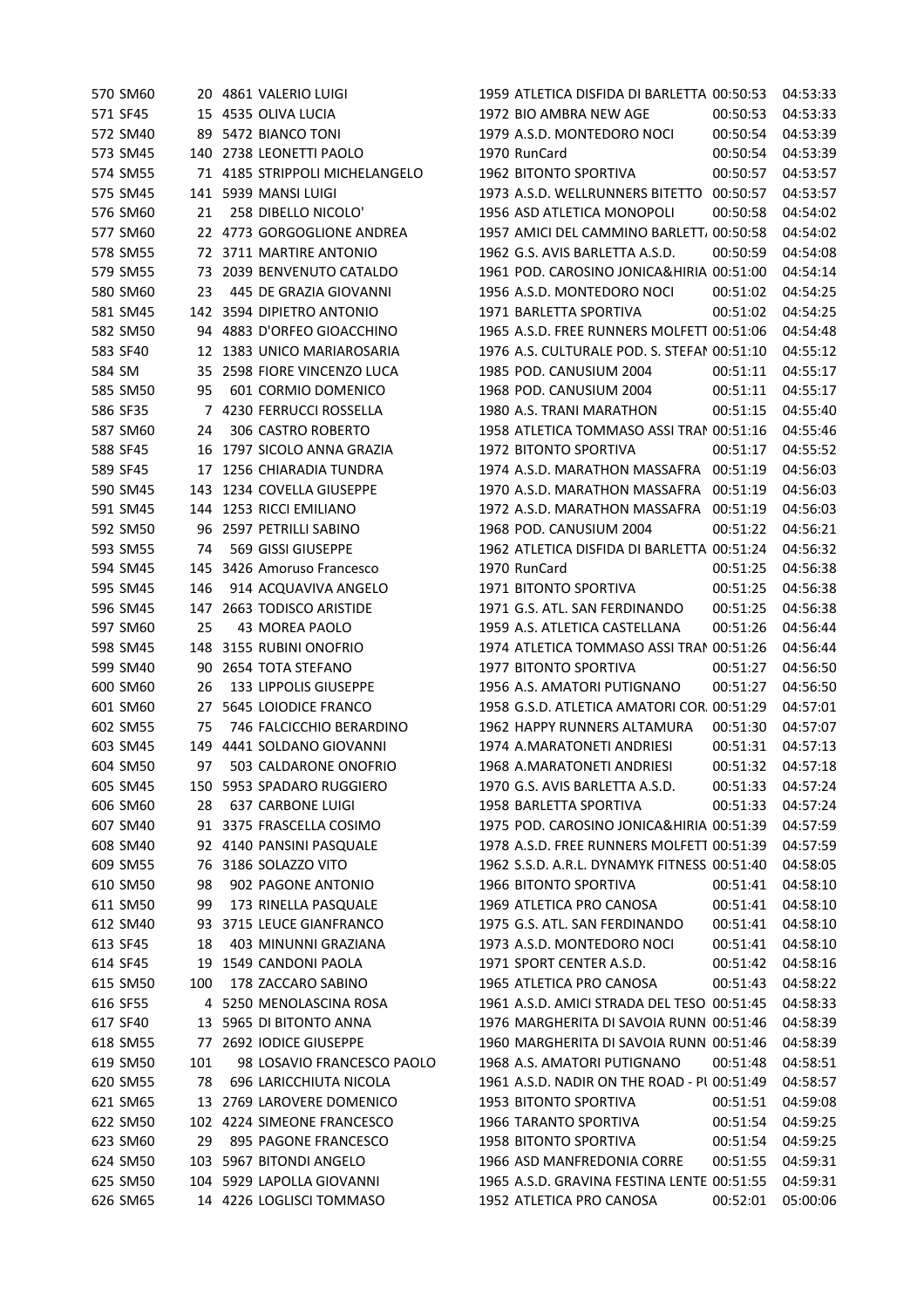| 570 SM60 |          | 20 4861 VALERIO LUIGI          | 1959 ATLETICA DISFIDA DI BARLETTA 00:50:53  |                    | 04:53:33 |
|----------|----------|--------------------------------|---------------------------------------------|--------------------|----------|
| 571 SF45 |          | 15 4535 OLIVA LUCIA            | 1972 BIO AMBRA NEW AGE                      | 00:50:53           | 04:53:33 |
| 572 SM40 | 89       | 5472 BIANCO TONI               | 1979 A.S.D. MONTEDORO NOCI                  | 00:50:54           | 04:53:39 |
| 573 SM45 |          | 140 2738 LEONETTI PAOLO        | 1970 RunCard                                | 00:50:54           | 04:53:39 |
| 574 SM55 |          | 71 4185 STRIPPOLI MICHELANGELO | 1962 BITONTO SPORTIVA                       | 00:50:57           | 04:53:57 |
| 575 SM45 |          | 141 5939 MANSI LUIGI           | 1973 A.S.D. WELLRUNNERS BITETTO             | 00:50:57           | 04:53:57 |
| 576 SM60 | 21       | 258 DIBELLO NICOLO'            | 1956 ASD ATLETICA MONOPOLI                  | 00:50:58           | 04:54:02 |
| 577 SM60 |          | 22 4773 GORGOGLIONE ANDREA     | 1957 AMICI DEL CAMMINO BARLETT, 00:50:58    |                    | 04:54:02 |
| 578 SM55 |          | 72 3711 MARTIRE ANTONIO        | 1962 G.S. AVIS BARLETTA A.S.D.              | 00:50:59           | 04:54:08 |
| 579 SM55 |          | 73 2039 BENVENUTO CATALDO      | 1961 POD. CAROSINO JONICA&HIRIA 00:51:00    |                    | 04:54:14 |
| 580 SM60 | 23       | 445 DE GRAZIA GIOVANNI         | 1956 A.S.D. MONTEDORO NOCI                  | 00:51:02           | 04:54:25 |
| 581 SM45 |          | 142 3594 DIPIETRO ANTONIO      | 1971 BARLETTA SPORTIVA                      | 00:51:02           | 04:54:25 |
| 582 SM50 |          | 94 4883 D'ORFEO GIOACCHINO     | 1965 A.S.D. FREE RUNNERS MOLFETT 00:51:06   |                    | 04:54:48 |
| 583 SF40 |          | 12 1383 UNICO MARIAROSARIA     | 1976 A.S. CULTURALE POD. S. STEFAN 00:51:10 |                    | 04:55:12 |
| 584 SM   |          | 35 2598 FIORE VINCENZO LUCA    | 1985 POD. CANUSIUM 2004                     | 00:51:11           | 04:55:17 |
| 585 SM50 | 95       | 601 CORMIO DOMENICO            | 1968 POD. CANUSIUM 2004                     | 00:51:11           | 04:55:17 |
| 586 SF35 | 7        | 4230 FERRUCCI ROSSELLA         | 1980 A.S. TRANI MARATHON                    | 00:51:15           | 04:55:40 |
| 587 SM60 | 24       | <b>306 CASTRO ROBERTO</b>      | 1958 ATLETICA TOMMASO ASSI TRAM 00:51:16    |                    | 04:55:46 |
| 588 SF45 | 16       | 1797 SICOLO ANNA GRAZIA        | <b>1972 BITONTO SPORTIVA</b>                | 00:51:17           | 04:55:52 |
| 589 SF45 | 17       | 1256 CHIARADIA TUNDRA          | 1974 A.S.D. MARATHON MASSAFRA 00:51:19      |                    | 04:56:03 |
| 590 SM45 |          | 143 1234 COVELLA GIUSEPPE      | 1970 A.S.D. MARATHON MASSAFRA               | 00:51:19           | 04:56:03 |
| 591 SM45 |          | 144 1253 RICCI EMILIANO        | 1972 A.S.D. MARATHON MASSAFRA               | 00:51:19           | 04:56:03 |
| 592 SM50 |          | 96 2597 PETRILLI SABINO        | 1968 POD. CANUSIUM 2004                     | 00:51:22           | 04:56:21 |
| 593 SM55 | 74       | 569 GISSI GIUSEPPE             | 1962 ATLETICA DISFIDA DI BARLETTA 00:51:24  |                    | 04:56:32 |
| 594 SM45 |          | 145 3426 Amoruso Francesco     | 1970 RunCard                                | 00:51:25           | 04:56:38 |
| 595 SM45 | 146      | 914 ACQUAVIVA ANGELO           | 1971 BITONTO SPORTIVA                       | 00:51:25           | 04:56:38 |
| 596 SM45 | 147      | 2663 TODISCO ARISTIDE          | 1971 G.S. ATL. SAN FERDINANDO               | 00:51:25           | 04:56:38 |
| 597 SM60 | 25       | 43 MOREA PAOLO                 | 1959 A.S. ATLETICA CASTELLANA               | 00:51:26           | 04:56:44 |
| 598 SM45 |          | 148 3155 RUBINI ONOFRIO        | 1974 ATLETICA TOMMASO ASSI TRAM 00:51:26    |                    | 04:56:44 |
| 599 SM40 |          | 90 2654 TOTA STEFANO           | 1977 BITONTO SPORTIVA                       | 00:51:27           | 04:56:50 |
| 600 SM60 | 26       | 133 LIPPOLIS GIUSEPPE          | 1956 A.S. AMATORI PUTIGNANO                 | 00:51:27           | 04:56:50 |
| 601 SM60 |          | 27 5645 LOIODICE FRANCO        | 1958 G.S.D. ATLETICA AMATORI COR. 00:51:29  |                    | 04:57:01 |
| 602 SM55 | 75       | 746 FALCICCHIO BERARDINO       | 1962 HAPPY RUNNERS ALTAMURA                 | 00:51:30           | 04:57:07 |
| 603 SM45 |          | 149 4441 SOLDANO GIOVANNI      | 1974 A.MARATONETI ANDRIESI                  | 00:51:31           | 04:57:13 |
| 604 SM50 | 97       | 503 CALDARONE ONOFRIO          | 1968 A.MARATONETI ANDRIESI                  | 00:51:32           | 04:57:18 |
| 605 SM45 |          | 150 5953 SPADARO RUGGIERO      | 1970 G.S. AVIS BARLETTA A.S.D.              | 00:51:33  04:57:24 |          |
| 606 SM60 | 28       | <b>637 CARBONE LUIGI</b>       | 1958 BARLETTA SPORTIVA                      | 00:51:33           | 04:57:24 |
| 607 SM40 |          | 91 3375 FRASCELLA COSIMO       | 1975 POD. CAROSINO JONICA&HIRIA 00:51:39    |                    | 04:57:59 |
| 608 SM40 |          | 92 4140 PANSINI PASQUALE       | 1978 A.S.D. FREE RUNNERS MOLFETT 00:51:39   |                    | 04:57:59 |
| 609 SM55 |          | 3186 SOLAZZO VITO              | 1962 S.S.D. A.R.L. DYNAMYK FITNESS 00:51:40 |                    | 04:58:05 |
| 610 SM50 | 76<br>98 | 902 PAGONE ANTONIO             | 1966 BITONTO SPORTIVA                       | 00:51:41           | 04:58:10 |
| 611 SM50 |          |                                | 1969 ATLETICA PRO CANOSA                    |                    |          |
|          | 99       | 173 RINELLA PASQUALE           |                                             | 00:51:41           | 04:58:10 |
| 612 SM40 | 93       | 3715 LEUCE GIANFRANCO          | 1975 G.S. ATL. SAN FERDINANDO               | 00:51:41           | 04:58:10 |
| 613 SF45 | 18       | 403 MINUNNI GRAZIANA           | 1973 A.S.D. MONTEDORO NOCI                  | 00:51:41           | 04:58:10 |
| 614 SF45 | 19       | 1549 CANDONI PAOLA             | 1971 SPORT CENTER A.S.D.                    | 00:51:42           | 04:58:16 |
| 615 SM50 | 100      | 178 ZACCARO SABINO             | 1965 ATLETICA PRO CANOSA                    | 00:51:43           | 04:58:22 |
| 616 SF55 |          | 4 5250 MENOLASCINA ROSA        | 1961 A.S.D. AMICI STRADA DEL TESO 00:51:45  |                    | 04:58:33 |
| 617 SF40 |          | 13 5965 DI BITONTO ANNA        | 1976 MARGHERITA DI SAVOIA RUNN 00:51:46     |                    | 04:58:39 |
| 618 SM55 |          | 77 2692 IODICE GIUSEPPE        | 1960 MARGHERITA DI SAVOIA RUNN 00:51:46     |                    | 04:58:39 |
| 619 SM50 | 101      | 98 LOSAVIO FRANCESCO PAOLO     | 1968 A.S. AMATORI PUTIGNANO                 | 00:51:48           | 04:58:51 |
| 620 SM55 | 78       | 696 LARICCHIUTA NICOLA         | 1961 A.S.D. NADIR ON THE ROAD - PI 00:51:49 |                    | 04:58:57 |
| 621 SM65 |          | 13 2769 LAROVERE DOMENICO      | 1953 BITONTO SPORTIVA                       | 00:51:51           | 04:59:08 |
| 622 SM50 |          | 102 4224 SIMEONE FRANCESCO     | 1966 TARANTO SPORTIVA                       | 00:51:54           | 04:59:25 |
| 623 SM60 | 29       | 895 PAGONE FRANCESCO           | 1958 BITONTO SPORTIVA                       | 00:51:54           | 04:59:25 |
| 624 SM50 |          | 103 5967 BITONDI ANGELO        | 1966 ASD MANFREDONIA CORRE                  | 00:51:55           | 04:59:31 |
| 625 SM50 |          | 104 5929 LAPOLLA GIOVANNI      | 1965 A.S.D. GRAVINA FESTINA LENTE 00:51:55  |                    | 04:59:31 |
| 626 SM65 |          | 14 4226 LOGLISCI TOMMASO       | 1952 ATLETICA PRO CANOSA                    | 00:52:01           | 05:00:06 |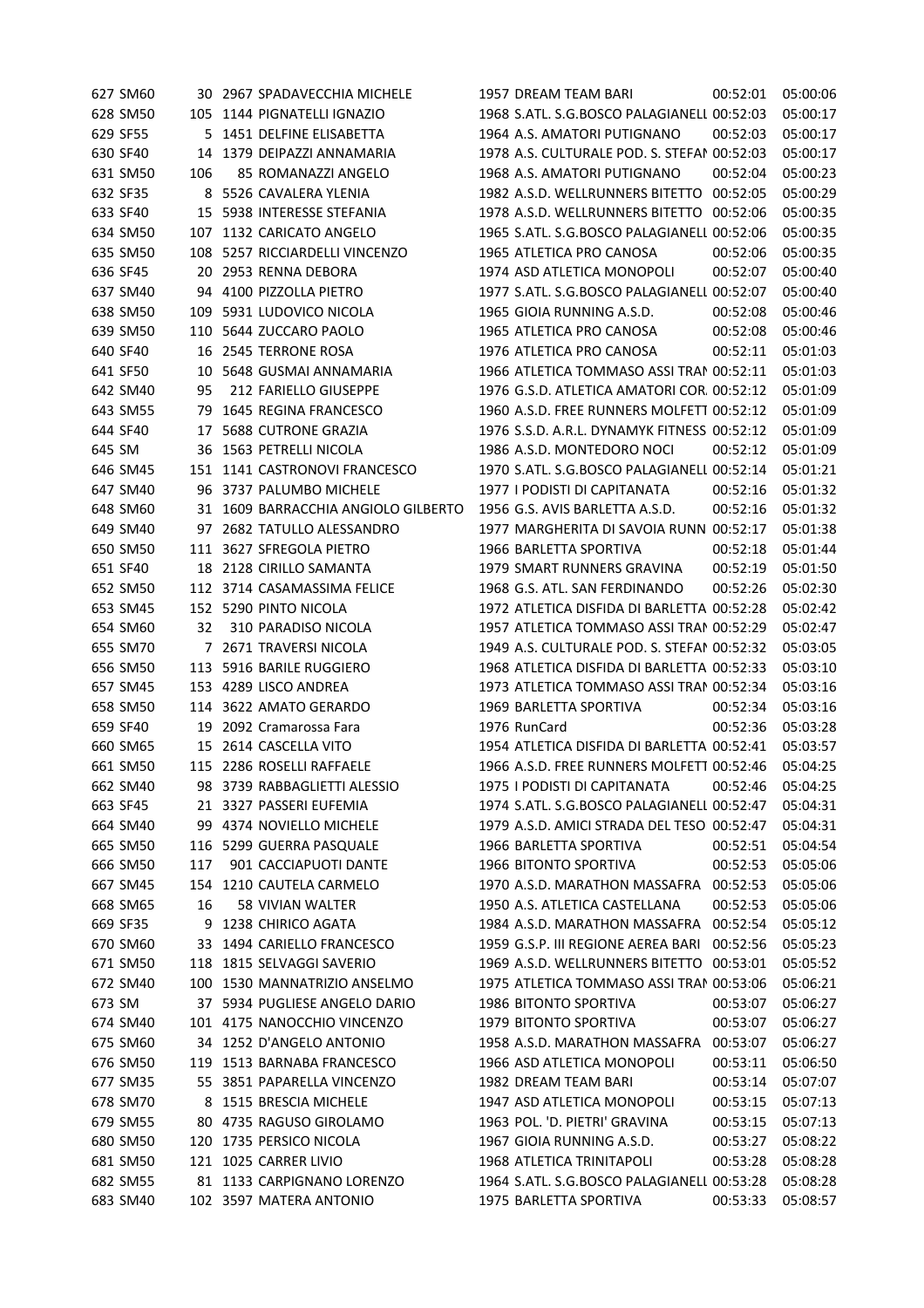| 627 SM60 |     | 30 2967 SPADAVECCHIA MICHELE        | 1957 DREAM TEAM BARI                        | 00:52:01 | 05:00:06 |
|----------|-----|-------------------------------------|---------------------------------------------|----------|----------|
| 628 SM50 |     | 105 1144 PIGNATELLI IGNAZIO         | 1968 S.ATL. S.G.BOSCO PALAGIANELI 00:52:03  |          | 05:00:17 |
| 629 SF55 |     | 5 1451 DELFINE ELISABETTA           | 1964 A.S. AMATORI PUTIGNANO                 | 00:52:03 | 05:00:17 |
| 630 SF40 |     | 14 1379 DEIPAZZI ANNAMARIA          | 1978 A.S. CULTURALE POD. S. STEFAI 00:52:03 |          | 05:00:17 |
| 631 SM50 | 106 | 85 ROMANAZZI ANGELO                 | 1968 A.S. AMATORI PUTIGNANO                 | 00:52:04 | 05:00:23 |
| 632 SF35 |     | 8 5526 CAVALERA YLENIA              | 1982 A.S.D. WELLRUNNERS BITETTO 00:52:05    |          | 05:00:29 |
| 633 SF40 |     | 15 5938 INTERESSE STEFANIA          | 1978 A.S.D. WELLRUNNERS BITETTO 00:52:06    |          | 05:00:35 |
| 634 SM50 |     | 107 1132 CARICATO ANGELO            | 1965 S.ATL. S.G.BOSCO PALAGIANELI 00:52:06  |          | 05:00:35 |
| 635 SM50 |     | 108 5257 RICCIARDELLI VINCENZO      | 1965 ATLETICA PRO CANOSA                    | 00:52:06 | 05:00:35 |
| 636 SF45 |     | 20 2953 RENNA DEBORA                | 1974 ASD ATLETICA MONOPOLI                  | 00:52:07 | 05:00:40 |
| 637 SM40 |     | 94 4100 PIZZOLLA PIETRO             | 1977 S.ATL. S.G.BOSCO PALAGIANELI 00:52:07  |          | 05:00:40 |
| 638 SM50 |     | 109 5931 LUDOVICO NICOLA            | 1965 GIOIA RUNNING A.S.D.                   | 00:52:08 | 05:00:46 |
| 639 SM50 |     | 110 5644 ZUCCARO PAOLO              | 1965 ATLETICA PRO CANOSA                    | 00:52:08 | 05:00:46 |
| 640 SF40 |     | 16 2545 TERRONE ROSA                | 1976 ATLETICA PRO CANOSA                    | 00:52:11 | 05:01:03 |
| 641 SF50 | 10  | 5648 GUSMAI ANNAMARIA               | 1966 ATLETICA TOMMASO ASSI TRAM 00:52:11    |          | 05:01:03 |
| 642 SM40 | 95  | 212 FARIELLO GIUSEPPE               | 1976 G.S.D. ATLETICA AMATORI COR. 00:52:12  |          | 05:01:09 |
| 643 SM55 | 79  | 1645 REGINA FRANCESCO               | 1960 A.S.D. FREE RUNNERS MOLFETT 00:52:12   |          | 05:01:09 |
| 644 SF40 |     | 17 5688 CUTRONE GRAZIA              | 1976 S.S.D. A.R.L. DYNAMYK FITNESS 00:52:12 |          | 05:01:09 |
| 645 SM   |     | 36 1563 PETRELLI NICOLA             | 1986 A.S.D. MONTEDORO NOCI                  | 00:52:12 | 05:01:09 |
| 646 SM45 |     | 151 1141 CASTRONOVI FRANCESCO       | 1970 S.ATL. S.G.BOSCO PALAGIANELI 00:52:14  |          | 05:01:21 |
| 647 SM40 |     | 96 3737 PALUMBO MICHELE             | 1977 I PODISTI DI CAPITANATA                | 00:52:16 | 05:01:32 |
| 648 SM60 |     | 31 1609 BARRACCHIA ANGIOLO GILBERTO | 1956 G.S. AVIS BARLETTA A.S.D.              | 00:52:16 | 05:01:32 |
| 649 SM40 |     | 97 2682 TATULLO ALESSANDRO          | 1977 MARGHERITA DI SAVOIA RUNN 00:52:17     |          | 05:01:38 |
| 650 SM50 |     | 111 3627 SFREGOLA PIETRO            | 1966 BARLETTA SPORTIVA                      | 00:52:18 | 05:01:44 |
| 651 SF40 |     | 18 2128 CIRILLO SAMANTA             | 1979 SMART RUNNERS GRAVINA                  | 00:52:19 | 05:01:50 |
| 652 SM50 |     | 112 3714 CASAMASSIMA FELICE         | 1968 G.S. ATL. SAN FERDINANDO               | 00:52:26 | 05:02:30 |
| 653 SM45 |     | 152 5290 PINTO NICOLA               | 1972 ATLETICA DISFIDA DI BARLETTA 00:52:28  |          | 05:02:42 |
| 654 SM60 | 32  | 310 PARADISO NICOLA                 | 1957 ATLETICA TOMMASO ASSI TRAM 00:52:29    |          | 05:02:47 |
| 655 SM70 |     | 7 2671 TRAVERSI NICOLA              | 1949 A.S. CULTURALE POD. S. STEFAI 00:52:32 |          | 05:03:05 |
| 656 SM50 |     | 113 5916 BARILE RUGGIERO            | 1968 ATLETICA DISFIDA DI BARLETTA 00:52:33  |          | 05:03:10 |
| 657 SM45 |     | 153 4289 LISCO ANDREA               | 1973 ATLETICA TOMMASO ASSI TRAN 00:52:34    |          | 05:03:16 |
| 658 SM50 |     | 114 3622 AMATO GERARDO              | 1969 BARLETTA SPORTIVA                      | 00:52:34 | 05:03:16 |
| 659 SF40 | 19  | 2092 Cramarossa Fara                | 1976 RunCard                                | 00:52:36 | 05:03:28 |
| 660 SM65 |     | 15 2614 CASCELLA VITO               | 1954 ATLETICA DISFIDA DI BARLETTA 00:52:41  |          | 05:03:57 |
| 661 SM50 |     | 115 2286 ROSELLI RAFFAELE           | 1966 A.S.D. FREE RUNNERS MOLFETT 00:52:46   |          | 05:04:25 |
| 662 SM40 |     | 98 3739 RABBAGLIETTI ALESSIO        |                                             |          |          |
| 663 SF45 |     | 21 3327 PASSERI EUFEMIA             | 1974 S.ATL. S.G.BOSCO PALAGIANELI 00:52:47  |          | 05:04:31 |
| 664 SM40 |     | 99 4374 NOVIELLO MICHELE            | 1979 A.S.D. AMICI STRADA DEL TESO 00:52:47  |          | 05:04:31 |
| 665 SM50 |     | 116 5299 GUERRA PASQUALE            | 1966 BARLETTA SPORTIVA                      | 00:52:51 | 05:04:54 |
| 666 SM50 | 117 | 901 CACCIAPUOTI DANTE               | 1966 BITONTO SPORTIVA                       | 00:52:53 | 05:05:06 |
| 667 SM45 | 154 | 1210 CAUTELA CARMELO                | 1970 A.S.D. MARATHON MASSAFRA 00:52:53      |          | 05:05:06 |
| 668 SM65 | 16  | <b>58 VIVIAN WALTER</b>             | 1950 A.S. ATLETICA CASTELLANA               | 00:52:53 | 05:05:06 |
| 669 SF35 |     | 9 1238 CHIRICO AGATA                | 1984 A.S.D. MARATHON MASSAFRA 00:52:54      |          | 05:05:12 |
| 670 SM60 |     | 33 1494 CARIELLO FRANCESCO          | 1959 G.S.P. III REGIONE AEREA BARI 00:52:56 |          | 05:05:23 |
| 671 SM50 |     | 118 1815 SELVAGGI SAVERIO           | 1969 A.S.D. WELLRUNNERS BITETTO 00:53:01    |          | 05:05:52 |
| 672 SM40 |     | 100 1530 MANNATRIZIO ANSELMO        | 1975 ATLETICA TOMMASO ASSI TRAN 00:53:06    |          | 05:06:21 |
| 673 SM   |     | 37 5934 PUGLIESE ANGELO DARIO       | 1986 BITONTO SPORTIVA                       | 00:53:07 | 05:06:27 |
| 674 SM40 |     | 101 4175 NANOCCHIO VINCENZO         | 1979 BITONTO SPORTIVA                       | 00:53:07 | 05:06:27 |
| 675 SM60 |     | 34 1252 D'ANGELO ANTONIO            | 1958 A.S.D. MARATHON MASSAFRA               | 00:53:07 | 05:06:27 |
| 676 SM50 |     | 119 1513 BARNABA FRANCESCO          | 1966 ASD ATLETICA MONOPOLI                  | 00:53:11 | 05:06:50 |
| 677 SM35 |     | 55 3851 PAPARELLA VINCENZO          | 1982 DREAM TEAM BARI                        | 00:53:14 | 05:07:07 |
| 678 SM70 |     | 8 1515 BRESCIA MICHELE              | 1947 ASD ATLETICA MONOPOLI                  | 00:53:15 | 05:07:13 |
| 679 SM55 |     | 80 4735 RAGUSO GIROLAMO             | 1963 POL. 'D. PIETRI' GRAVINA               | 00:53:15 | 05:07:13 |
| 680 SM50 | 120 | 1735 PERSICO NICOLA                 | 1967 GIOIA RUNNING A.S.D.                   | 00:53:27 | 05:08:22 |
| 681 SM50 |     | 121 1025 CARRER LIVIO               | 1968 ATLETICA TRINITAPOLI                   | 00:53:28 | 05:08:28 |
| 682 SM55 |     | 81 1133 CARPIGNANO LORENZO          | 1964 S.ATL. S.G.BOSCO PALAGIANELI 00:53:28  |          | 05:08:28 |
| 683 SM40 |     | 102 3597 MATERA ANTONIO             | 1975 BARLETTA SPORTIVA                      | 00:53:33 | 05:08:57 |
|          |     |                                     |                                             |          |          |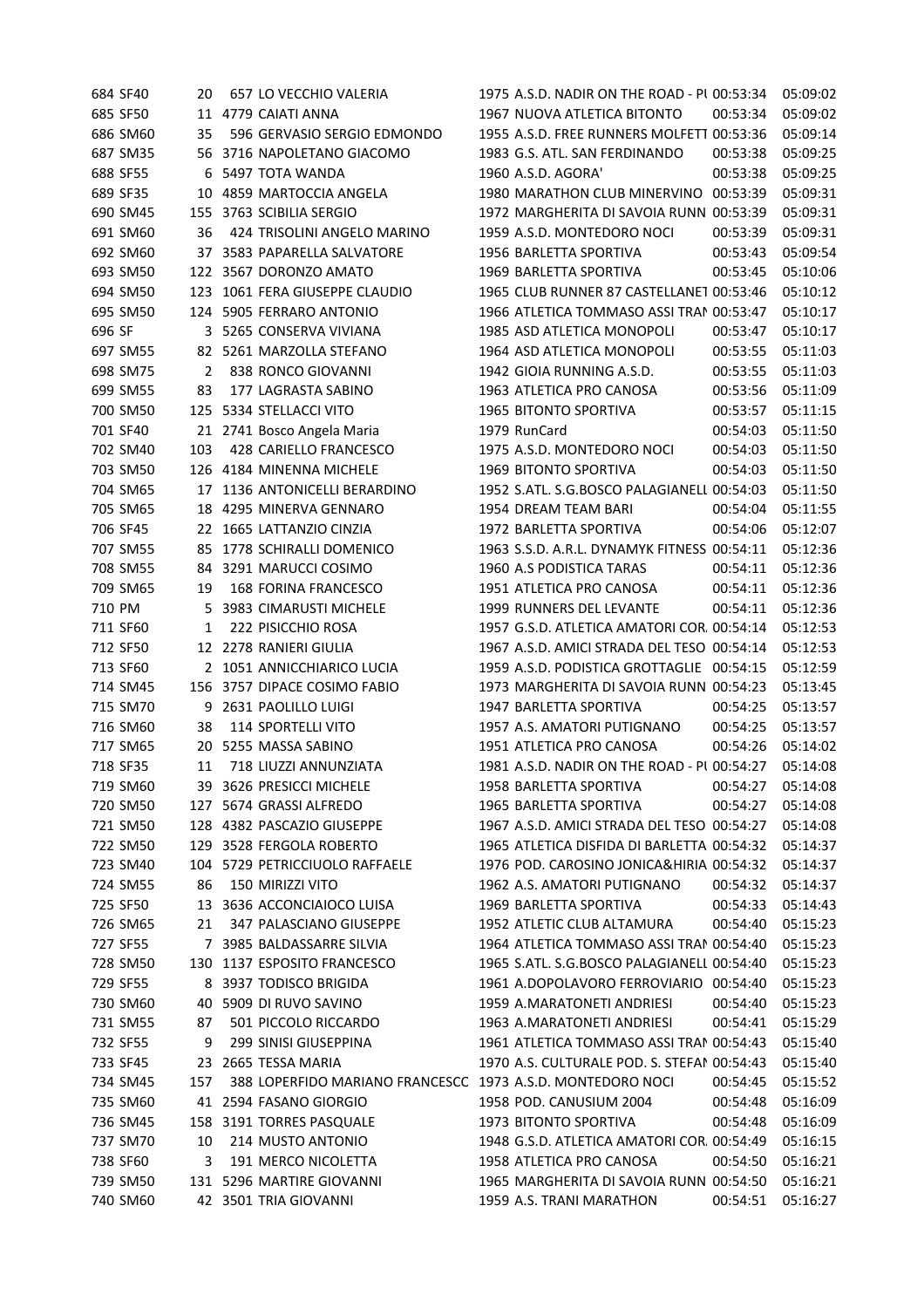| 684 SF40 | 20             | 657 LO VECCHIO VALERIA                                     | 1975 A.S.D. NADIR ON THE ROAD - PI 00:53:34 |          | 05:09:02 |
|----------|----------------|------------------------------------------------------------|---------------------------------------------|----------|----------|
| 685 SF50 |                | 11 4779 CAIATI ANNA                                        | 1967 NUOVA ATLETICA BITONTO                 | 00:53:34 | 05:09:02 |
| 686 SM60 | 35             | 596 GERVASIO SERGIO EDMONDO                                | 1955 A.S.D. FREE RUNNERS MOLFETT 00:53:36   |          | 05:09:14 |
| 687 SM35 |                | 56 3716 NAPOLETANO GIACOMO                                 | 1983 G.S. ATL. SAN FERDINANDO               | 00:53:38 | 05:09:25 |
| 688 SF55 |                | 6 5497 TOTA WANDA                                          | 1960 A.S.D. AGORA'                          | 00:53:38 | 05:09:25 |
| 689 SF35 |                | 10 4859 MARTOCCIA ANGELA                                   | 1980 MARATHON CLUB MINERVINO 00:53:39       |          | 05:09:31 |
| 690 SM45 |                | 155 3763 SCIBILIA SERGIO                                   | 1972 MARGHERITA DI SAVOIA RUNN 00:53:39     |          | 05:09:31 |
| 691 SM60 | 36             | 424 TRISOLINI ANGELO MARINO                                | 1959 A.S.D. MONTEDORO NOCI                  | 00:53:39 | 05:09:31 |
| 692 SM60 |                | 37 3583 PAPARELLA SALVATORE                                | 1956 BARLETTA SPORTIVA                      | 00:53:43 | 05:09:54 |
| 693 SM50 |                | 122 3567 DORONZO AMATO                                     | 1969 BARLETTA SPORTIVA                      | 00:53:45 | 05:10:06 |
| 694 SM50 |                | 123 1061 FERA GIUSEPPE CLAUDIO                             | 1965 CLUB RUNNER 87 CASTELLANET 00:53:46    |          | 05:10:12 |
| 695 SM50 |                | 124 5905 FERRARO ANTONIO                                   | 1966 ATLETICA TOMMASO ASSI TRAM 00:53:47    |          | 05:10:17 |
| 696 SF   |                | 5265 CONSERVA VIVIANA                                      | 1985 ASD ATLETICA MONOPOLI                  | 00:53:47 | 05:10:17 |
| 697 SM55 |                | 82 5261 MARZOLLA STEFANO                                   | 1964 ASD ATLETICA MONOPOLI                  | 00:53:55 | 05:11:03 |
| 698 SM75 | $\overline{2}$ | 838 RONCO GIOVANNI                                         | 1942 GIOIA RUNNING A.S.D.                   | 00:53:55 | 05:11:03 |
| 699 SM55 | 83             | 177 LAGRASTA SABINO                                        | 1963 ATLETICA PRO CANOSA                    | 00:53:56 | 05:11:09 |
| 700 SM50 |                | 125 5334 STELLACCI VITO                                    | 1965 BITONTO SPORTIVA                       | 00:53:57 | 05:11:15 |
| 701 SF40 |                | 21 2741 Bosco Angela Maria                                 | 1979 RunCard                                | 00:54:03 | 05:11:50 |
| 702 SM40 | 103            | 428 CARIELLO FRANCESCO                                     | 1975 A.S.D. MONTEDORO NOCI                  | 00:54:03 | 05:11:50 |
| 703 SM50 |                | 126 4184 MINENNA MICHELE                                   | 1969 BITONTO SPORTIVA                       | 00:54:03 | 05:11:50 |
| 704 SM65 |                | 17 1136 ANTONICELLI BERARDINO                              | 1952 S.ATL. S.G.BOSCO PALAGIANELI 00:54:03  |          | 05:11:50 |
| 705 SM65 |                | 18 4295 MINERVA GENNARO                                    | 1954 DREAM TEAM BARI                        | 00:54:04 | 05:11:55 |
| 706 SF45 |                | 22 1665 LATTANZIO CINZIA                                   | 1972 BARLETTA SPORTIVA                      | 00:54:06 | 05:12:07 |
| 707 SM55 |                | 85 1778 SCHIRALLI DOMENICO                                 | 1963 S.S.D. A.R.L. DYNAMYK FITNESS 00:54:11 |          | 05:12:36 |
| 708 SM55 |                | 84 3291 MARUCCI COSIMO                                     | 1960 A.S PODISTICA TARAS                    | 00:54:11 | 05:12:36 |
| 709 SM65 | 19             | 168 FORINA FRANCESCO                                       | 1951 ATLETICA PRO CANOSA                    | 00:54:11 | 05:12:36 |
| 710 PM   | 5.             | 3983 CIMARUSTI MICHELE                                     | 1999 RUNNERS DEL LEVANTE                    | 00:54:11 | 05:12:36 |
| 711 SF60 | 1              | 222 PISICCHIO ROSA                                         | 1957 G.S.D. ATLETICA AMATORI COR. 00:54:14  |          | 05:12:53 |
| 712 SF50 |                | 12 2278 RANIERI GIULIA                                     | 1967 A.S.D. AMICI STRADA DEL TESO 00:54:14  |          | 05:12:53 |
| 713 SF60 |                | 1051 ANNICCHIARICO LUCIA                                   | 1959 A.S.D. PODISTICA GROTTAGLIE 00:54:15   |          | 05:12:59 |
| 714 SM45 |                | 156 3757 DIPACE COSIMO FABIO                               | 1973 MARGHERITA DI SAVOIA RUNN 00:54:23     |          | 05:13:45 |
| 715 SM70 |                | 9 2631 PAOLILLO LUIGI                                      | 1947 BARLETTA SPORTIVA                      | 00:54:25 | 05:13:57 |
| 716 SM60 | 38             | 114 SPORTELLI VITO                                         | 1957 A.S. AMATORI PUTIGNANO                 | 00:54:25 | 05:13:57 |
| 717 SM65 |                | 20 5255 MASSA SABINO                                       | 1951 ATLETICA PRO CANOSA                    | 00:54:26 | 05:14:02 |
| 718 SF35 | 11             | 718 LIUZZI ANNUNZIATA                                      | 1981 A.S.D. NADIR ON THE ROAD - PI 00:54:27 |          | 05:14:08 |
| 719 SM60 |                | 39 3626 PRESICCI MICHELE                                   | 1958 BARLETTA SPORTIVA                      | 00:54:27 | 05:14:08 |
| 720 SM50 |                | 127 5674 GRASSI ALFREDO                                    | 1965 BARLETTA SPORTIVA                      | 00:54:27 | 05:14:08 |
| 721 SM50 |                | 128 4382 PASCAZIO GIUSEPPE                                 | 1967 A.S.D. AMICI STRADA DEL TESO 00:54:27  |          | 05:14:08 |
| 722 SM50 |                | 129 3528 FERGOLA ROBERTO                                   | 1965 ATLETICA DISFIDA DI BARLETTA 00:54:32  |          | 05:14:37 |
| 723 SM40 |                | 104 5729 PETRICCIUOLO RAFFAELE                             | 1976 POD. CAROSINO JONICA&HIRIA 00:54:32    |          | 05:14:37 |
| 724 SM55 | 86             | 150 MIRIZZI VITO                                           | 1962 A.S. AMATORI PUTIGNANO                 | 00:54:32 | 05:14:37 |
| 725 SF50 | 13             | 3636 ACCONCIAIOCO LUISA                                    | 1969 BARLETTA SPORTIVA                      | 00:54:33 | 05:14:43 |
| 726 SM65 | 21             | 347 PALASCIANO GIUSEPPE                                    | 1952 ATLETIC CLUB ALTAMURA                  | 00:54:40 | 05:15:23 |
| 727 SF55 |                | 7 3985 BALDASSARRE SILVIA                                  | 1964 ATLETICA TOMMASO ASSI TRAN 00:54:40    |          | 05:15:23 |
| 728 SM50 |                | 130 1137 ESPOSITO FRANCESCO                                | 1965 S.ATL. S.G.BOSCO PALAGIANELI 00:54:40  |          | 05:15:23 |
| 729 SF55 |                | 8 3937 TODISCO BRIGIDA                                     | 1961 A.DOPOLAVORO FERROVIARIO 00:54:40      |          | 05:15:23 |
| 730 SM60 |                | 40 5909 DI RUVO SAVINO                                     | 1959 A.MARATONETI ANDRIESI                  | 00:54:40 | 05:15:23 |
| 731 SM55 | 87             | 501 PICCOLO RICCARDO                                       | 1963 A.MARATONETI ANDRIESI                  | 00:54:41 | 05:15:29 |
| 732 SF55 | 9              | 299 SINISI GIUSEPPINA                                      | 1961 ATLETICA TOMMASO ASSI TRAN 00:54:43    |          | 05:15:40 |
| 733 SF45 |                | 23 2665 TESSA MARIA                                        | 1970 A.S. CULTURALE POD. S. STEFAN 00:54:43 |          | 05:15:40 |
| 734 SM45 | 157            | 388 LOPERFIDO MARIANO FRANCESCC 1973 A.S.D. MONTEDORO NOCI |                                             | 00:54:45 | 05:15:52 |
| 735 SM60 |                | 41 2594 FASANO GIORGIO                                     | 1958 POD. CANUSIUM 2004                     | 00:54:48 | 05:16:09 |
| 736 SM45 |                | 158 3191 TORRES PASQUALE                                   | 1973 BITONTO SPORTIVA                       | 00:54:48 | 05:16:09 |
| 737 SM70 | 10             | 214 MUSTO ANTONIO                                          | 1948 G.S.D. ATLETICA AMATORI COR. 00:54:49  |          | 05:16:15 |
| 738 SF60 | 3              | 191 MERCO NICOLETTA                                        | 1958 ATLETICA PRO CANOSA                    | 00:54:50 | 05:16:21 |
| 739 SM50 |                | 131 5296 MARTIRE GIOVANNI                                  | 1965 MARGHERITA DI SAVOIA RUNN 00:54:50     |          | 05:16:21 |
| 740 SM60 |                | 42 3501 TRIA GIOVANNI                                      | 1959 A.S. TRANI MARATHON                    | 00:54:51 | 05:16:27 |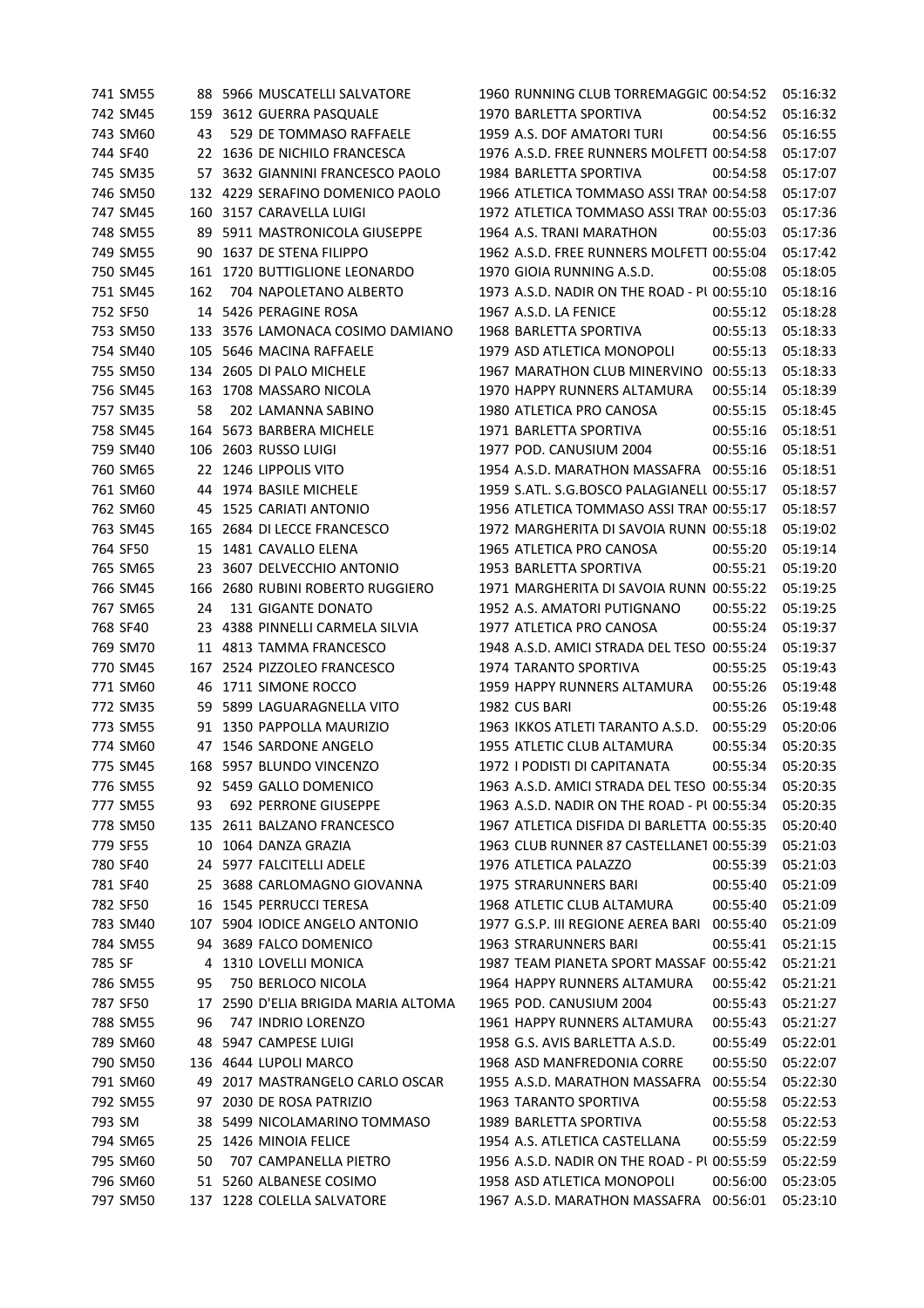|        | 741 SM55 |     | 88 5966 MUSCATELLI SALVATORE        | 1960 RUNNING CLUB TORREMAGGIC 00:54:52              |          | 05:16:32 |
|--------|----------|-----|-------------------------------------|-----------------------------------------------------|----------|----------|
|        | 742 SM45 |     | 159 3612 GUERRA PASQUALE            | 1970 BARLETTA SPORTIVA                              | 00:54:52 | 05:16:32 |
|        | 743 SM60 | 43  | 529 DE TOMMASO RAFFAELE             | 1959 A.S. DOF AMATORI TURI                          | 00:54:56 | 05:16:55 |
|        | 744 SF40 |     | 22 1636 DE NICHILO FRANCESCA        | 1976 A.S.D. FREE RUNNERS MOLFETT 00:54:58           |          | 05:17:07 |
|        | 745 SM35 |     | 57 3632 GIANNINI FRANCESCO PAOLO    | 1984 BARLETTA SPORTIVA                              | 00:54:58 | 05:17:07 |
|        | 746 SM50 |     | 132 4229 SERAFINO DOMENICO PAOLO    | 1966 ATLETICA TOMMASO ASSI TRAM 00:54:58            |          | 05:17:07 |
|        | 747 SM45 |     | 160 3157 CARAVELLA LUIGI            | 1972 ATLETICA TOMMASO ASSI TRAM 00:55:03            |          | 05:17:36 |
|        | 748 SM55 |     | 89 5911 MASTRONICOLA GIUSEPPE       | 1964 A.S. TRANI MARATHON                            | 00:55:03 | 05:17:36 |
|        | 749 SM55 |     | 90 1637 DE STENA FILIPPO            | 1962 A.S.D. FREE RUNNERS MOLFETT 00:55:04           |          | 05:17:42 |
|        | 750 SM45 |     | 161 1720 BUTTIGLIONE LEONARDO       | 1970 GIOIA RUNNING A.S.D.                           | 00:55:08 | 05:18:05 |
|        | 751 SM45 | 162 | 704 NAPOLETANO ALBERTO              | 1973 A.S.D. NADIR ON THE ROAD - PI 00:55:10         |          | 05:18:16 |
|        | 752 SF50 |     | 14 5426 PERAGINE ROSA               | 1967 A.S.D. LA FENICE                               | 00:55:12 | 05:18:28 |
|        | 753 SM50 |     | 133 3576 LAMONACA COSIMO DAMIANO    | 1968 BARLETTA SPORTIVA                              | 00:55:13 | 05:18:33 |
|        | 754 SM40 |     | 105 5646 MACINA RAFFAELE            | 1979 ASD ATLETICA MONOPOLI                          | 00:55:13 | 05:18:33 |
|        | 755 SM50 |     | 134 2605 DI PALO MICHELE            | 1967 MARATHON CLUB MINERVINO                        | 00:55:13 | 05:18:33 |
|        | 756 SM45 |     | 163 1708 MASSARO NICOLA             | 1970 HAPPY RUNNERS ALTAMURA                         | 00:55:14 | 05:18:39 |
|        | 757 SM35 | 58  | 202 LAMANNA SABINO                  | 1980 ATLETICA PRO CANOSA                            | 00:55:15 | 05:18:45 |
|        | 758 SM45 |     | 164 5673 BARBERA MICHELE            | 1971 BARLETTA SPORTIVA                              | 00:55:16 | 05:18:51 |
|        | 759 SM40 |     | 106 2603 RUSSO LUIGI                | 1977 POD. CANUSIUM 2004                             | 00:55:16 | 05:18:51 |
|        | 760 SM65 |     | 22 1246 LIPPOLIS VITO               | 1954 A.S.D. MARATHON MASSAFRA 00:55:16              |          | 05:18:51 |
|        | 761 SM60 |     | 44 1974 BASILE MICHELE              | 1959 S.ATL. S.G.BOSCO PALAGIANELI 00:55:17          |          | 05:18:57 |
|        | 762 SM60 |     | 45 1525 CARIATI ANTONIO             | 1956 ATLETICA TOMMASO ASSI TRAM 00:55:17            |          | 05:18:57 |
|        | 763 SM45 |     | 165 2684 DI LECCE FRANCESCO         | 1972 MARGHERITA DI SAVOIA RUNN 00:55:18             |          | 05:19:02 |
|        | 764 SF50 |     | 15 1481 CAVALLO ELENA               | 1965 ATLETICA PRO CANOSA                            | 00:55:20 | 05:19:14 |
|        | 765 SM65 |     | 23 3607 DELVECCHIO ANTONIO          | 1953 BARLETTA SPORTIVA                              | 00:55:21 | 05:19:20 |
|        | 766 SM45 |     | 166 2680 RUBINI ROBERTO RUGGIERO    | 1971 MARGHERITA DI SAVOIA RUNN 00:55:22             |          | 05:19:25 |
|        | 767 SM65 | 24  | 131 GIGANTE DONATO                  | 1952 A.S. AMATORI PUTIGNANO                         | 00:55:22 | 05:19:25 |
|        | 768 SF40 |     | 23 4388 PINNELLI CARMELA SILVIA     | 1977 ATLETICA PRO CANOSA                            | 00:55:24 | 05:19:37 |
|        | 769 SM70 |     | 11 4813 TAMMA FRANCESCO             | 1948 A.S.D. AMICI STRADA DEL TESO 00:55:24          |          | 05:19:37 |
|        | 770 SM45 |     | 167 2524 PIZZOLEO FRANCESCO         | 1974 TARANTO SPORTIVA                               | 00:55:25 | 05:19:43 |
|        | 771 SM60 |     | 46 1711 SIMONE ROCCO                | 1959 HAPPY RUNNERS ALTAMURA                         | 00:55:26 | 05:19:48 |
|        | 772 SM35 |     | 59 5899 LAGUARAGNELLA VITO          | 1982 CUS BARI                                       | 00:55:26 | 05:19:48 |
|        | 773 SM55 |     | 91 1350 PAPPOLLA MAURIZIO           | 1963 IKKOS ATLETI TARANTO A.S.D.                    | 00:55:29 | 05:20:06 |
|        | 774 SM60 |     | 47 1546 SARDONE ANGELO              | 1955 ATLETIC CLUB ALTAMURA                          | 00:55:34 | 05:20:35 |
|        | 775 SM45 |     | 168 5957 BLUNDO VINCENZO            | 1972 I PODISTI DI CAPITANATA                        | 00:55:34 | 05:20:35 |
|        | 776 SM55 |     | 92 5459 GALLO DOMENICO              | 1963 A.S.D. AMICI STRADA DEL TESO 00:55:34 05:20:35 |          |          |
|        | 777 SM55 | 93  | <b>692 PERRONE GIUSEPPE</b>         | 1963 A.S.D. NADIR ON THE ROAD - PL 00:55:34         |          | 05:20:35 |
|        | 778 SM50 |     | 135 2611 BALZANO FRANCESCO          | 1967 ATLETICA DISFIDA DI BARLETTA 00:55:35          |          | 05:20:40 |
|        | 779 SF55 | 10  | 1064 DANZA GRAZIA                   | 1963 CLUB RUNNER 87 CASTELLANET 00:55:39            |          | 05:21:03 |
|        | 780 SF40 |     | 24 5977 FALCITELLI ADELE            | 1976 ATLETICA PALAZZO                               | 00:55:39 | 05:21:03 |
|        | 781 SF40 |     | 25 3688 CARLOMAGNO GIOVANNA         | <b>1975 STRARUNNERS BARI</b>                        | 00:55:40 | 05:21:09 |
|        | 782 SF50 |     | 16 1545 PERRUCCI TERESA             | 1968 ATLETIC CLUB ALTAMURA                          | 00:55:40 | 05:21:09 |
|        | 783 SM40 |     | 107 5904 IODICE ANGELO ANTONIO      | 1977 G.S.P. III REGIONE AEREA BARI                  | 00:55:40 | 05:21:09 |
|        | 784 SM55 |     | 94 3689 FALCO DOMENICO              | <b>1963 STRARUNNERS BARI</b>                        | 00:55:41 | 05:21:15 |
| 785 SF |          | 4   | 1310 LOVELLI MONICA                 | 1987 TEAM PIANETA SPORT MASSAF 00:55:42             |          | 05:21:21 |
|        | 786 SM55 | 95  | 750 BERLOCO NICOLA                  | 1964 HAPPY RUNNERS ALTAMURA                         | 00:55:42 | 05:21:21 |
|        | 787 SF50 |     | 17 2590 D'ELIA BRIGIDA MARIA ALTOMA | 1965 POD. CANUSIUM 2004                             | 00:55:43 | 05:21:27 |
|        | 788 SM55 | 96  | 747 INDRIO LORENZO                  | 1961 HAPPY RUNNERS ALTAMURA                         | 00:55:43 | 05:21:27 |
|        | 789 SM60 | 48  | 5947 CAMPESE LUIGI                  | 1958 G.S. AVIS BARLETTA A.S.D.                      | 00:55:49 | 05:22:01 |
|        | 790 SM50 |     | 136 4644 LUPOLI MARCO               | 1968 ASD MANFREDONIA CORRE                          | 00:55:50 | 05:22:07 |
|        | 791 SM60 |     | 49 2017 MASTRANGELO CARLO OSCAR     | 1955 A.S.D. MARATHON MASSAFRA                       | 00:55:54 | 05:22:30 |
|        | 792 SM55 |     | 97 2030 DE ROSA PATRIZIO            | 1963 TARANTO SPORTIVA                               | 00:55:58 | 05:22:53 |
| 793 SM |          | 38  | 5499 NICOLAMARINO TOMMASO           | 1989 BARLETTA SPORTIVA                              | 00:55:58 | 05:22:53 |
|        | 794 SM65 | 25  | 1426 MINOIA FELICE                  | 1954 A.S. ATLETICA CASTELLANA                       | 00:55:59 | 05:22:59 |
|        |          |     | 707 CAMPANELLA PIETRO               | 1956 A.S.D. NADIR ON THE ROAD - PI 00:55:59         |          | 05:22:59 |
|        | 795 SM60 | 50  |                                     |                                                     |          |          |
|        | 796 SM60 |     | 51 5260 ALBANESE COSIMO             | 1958 ASD ATLETICA MONOPOLI                          | 00:56:00 | 05:23:05 |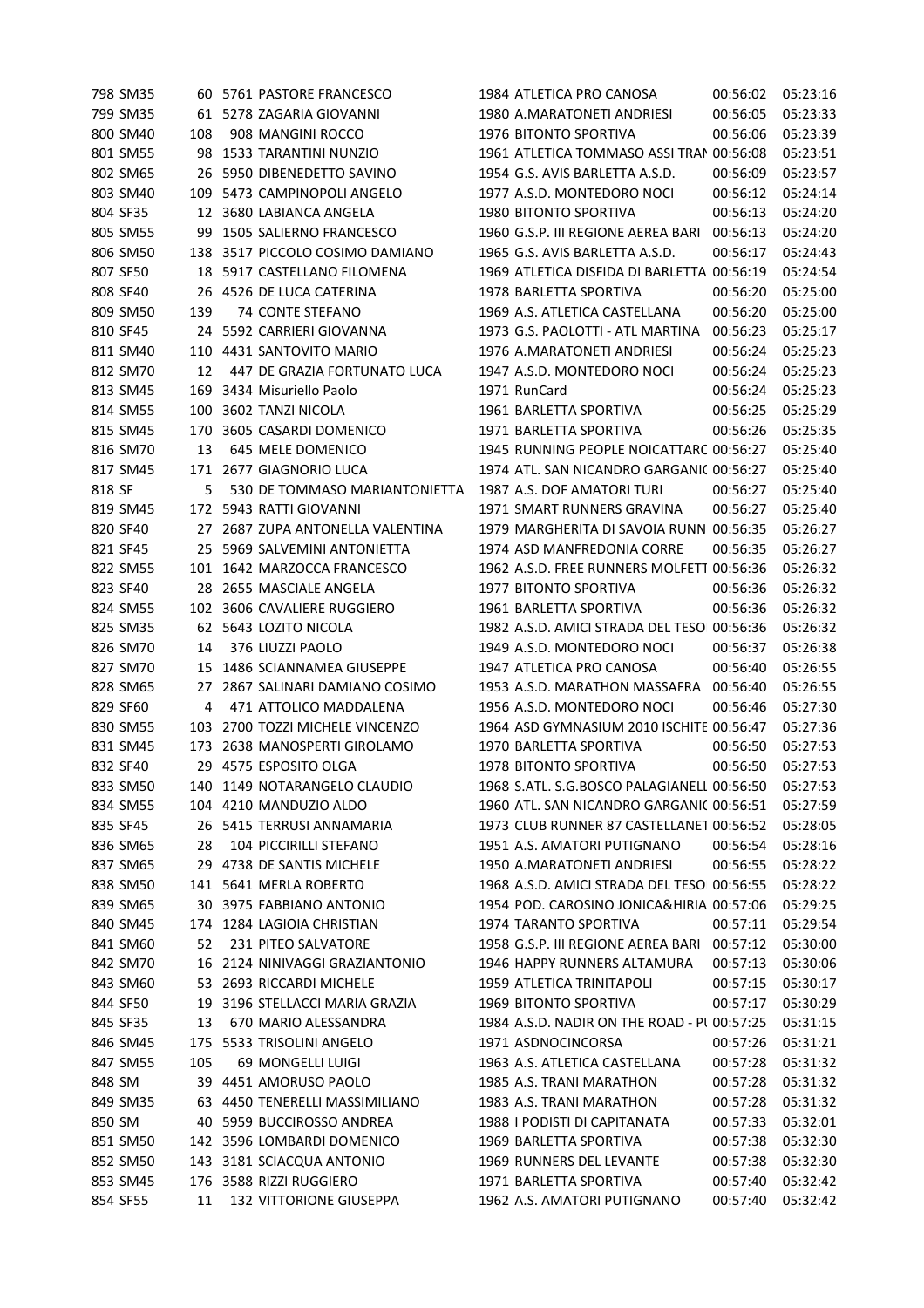| 798 SM35 |     | 60 5761 PASTORE FRANCESCO        | 1984 ATLETICA PRO CANOSA                            | 00:56:02 | 05:23:16             |
|----------|-----|----------------------------------|-----------------------------------------------------|----------|----------------------|
| 799 SM35 |     | 61 5278 ZAGARIA GIOVANNI         | 1980 A.MARATONETI ANDRIESI                          | 00:56:05 | 05:23:33             |
| 800 SM40 | 108 | 908 MANGINI ROCCO                | 1976 BITONTO SPORTIVA                               | 00:56:06 | 05:23:39             |
| 801 SM55 |     | 98 1533 TARANTINI NUNZIO         | 1961 ATLETICA TOMMASO ASSI TRAM 00:56:08            |          | 05:23:51             |
| 802 SM65 |     | 26 5950 DIBENEDETTO SAVINO       | 1954 G.S. AVIS BARLETTA A.S.D.                      | 00:56:09 | 05:23:57             |
| 803 SM40 |     | 109 5473 CAMPINOPOLI ANGELO      | 1977 A.S.D. MONTEDORO NOCI                          | 00:56:12 | 05:24:14             |
| 804 SF35 |     | 12 3680 LABIANCA ANGELA          | 1980 BITONTO SPORTIVA                               | 00:56:13 | 05:24:20             |
| 805 SM55 | 99  | 1505 SALIERNO FRANCESCO          | 1960 G.S.P. III REGIONE AEREA BARI                  | 00:56:13 | 05:24:20             |
| 806 SM50 |     | 138 3517 PICCOLO COSIMO DAMIANO  | 1965 G.S. AVIS BARLETTA A.S.D.                      | 00:56:17 | 05:24:43             |
| 807 SF50 | 18  | 5917 CASTELLANO FILOMENA         | 1969 ATLETICA DISFIDA DI BARLETTA 00:56:19          |          | 05:24:54             |
| 808 SF40 | 26  | 4526 DE LUCA CATERINA            | 1978 BARLETTA SPORTIVA                              | 00:56:20 | 05:25:00             |
| 809 SM50 | 139 | 74 CONTE STEFANO                 | 1969 A.S. ATLETICA CASTELLANA                       | 00:56:20 | 05:25:00             |
| 810 SF45 | 24  | 5592 CARRIERI GIOVANNA           | 1973 G.S. PAOLOTTI - ATL MARTINA                    | 00:56:23 | 05:25:17             |
| 811 SM40 |     | 110 4431 SANTOVITO MARIO         | 1976 A.MARATONETI ANDRIESI                          | 00:56:24 | 05:25:23             |
| 812 SM70 | 12  | 447 DE GRAZIA FORTUNATO LUCA     | 1947 A.S.D. MONTEDORO NOCI                          | 00:56:24 | 05:25:23             |
| 813 SM45 | 169 | 3434 Misuriello Paolo            | 1971 RunCard                                        | 00:56:24 | 05:25:23             |
| 814 SM55 | 100 | 3602 TANZI NICOLA                | 1961 BARLETTA SPORTIVA                              | 00:56:25 | 05:25:29             |
| 815 SM45 | 170 | 3605 CASARDI DOMENICO            | 1971 BARLETTA SPORTIVA                              | 00:56:26 | 05:25:35             |
| 816 SM70 | 13  | 645 MELE DOMENICO                | 1945 RUNNING PEOPLE NOICATTARC 00:56:27             |          | 05:25:40             |
| 817 SM45 |     | 171 2677 GIAGNORIO LUCA          | 1974 ATL. SAN NICANDRO GARGANI( 00:56:27            |          | 05:25:40             |
| 818 SF   | 5   | 530 DE TOMMASO MARIANTONIETTA    | 1987 A.S. DOF AMATORI TURI                          | 00:56:27 | 05:25:40             |
|          |     | 172 5943 RATTI GIOVANNI          | 1971 SMART RUNNERS GRAVINA                          | 00:56:27 |                      |
| 819 SM45 |     | 27 2687 ZUPA ANTONELLA VALENTINA | 1979 MARGHERITA DI SAVOIA RUNN 00:56:35             |          | 05:25:40<br>05:26:27 |
| 820 SF40 |     |                                  |                                                     |          |                      |
| 821 SF45 |     | 25 5969 SALVEMINI ANTONIETTA     | 1974 ASD MANFREDONIA CORRE                          | 00:56:35 | 05:26:27             |
| 822 SM55 |     | 101 1642 MARZOCCA FRANCESCO      | 1962 A.S.D. FREE RUNNERS MOLFETT 00:56:36           |          | 05:26:32             |
| 823 SF40 |     | 28 2655 MASCIALE ANGELA          | 1977 BITONTO SPORTIVA                               | 00:56:36 | 05:26:32             |
| 824 SM55 |     | 102 3606 CAVALIERE RUGGIERO      | 1961 BARLETTA SPORTIVA                              | 00:56:36 | 05:26:32             |
| 825 SM35 |     | 62 5643 LOZITO NICOLA            | 1982 A.S.D. AMICI STRADA DEL TESO 00:56:36          |          | 05:26:32             |
| 826 SM70 | 14  | 376 LIUZZI PAOLO                 | 1949 A.S.D. MONTEDORO NOCI                          | 00:56:37 | 05:26:38             |
| 827 SM70 | 15  | 1486 SCIANNAMEA GIUSEPPE         | 1947 ATLETICA PRO CANOSA                            | 00:56:40 | 05:26:55             |
| 828 SM65 |     | 27 2867 SALINARI DAMIANO COSIMO  | 1953 A.S.D. MARATHON MASSAFRA                       | 00:56:40 | 05:26:55             |
| 829 SF60 | 4   | 471 ATTOLICO MADDALENA           | 1956 A.S.D. MONTEDORO NOCI                          | 00:56:46 | 05:27:30             |
| 830 SM55 | 103 | 2700 TOZZI MICHELE VINCENZO      | 1964 ASD GYMNASIUM 2010 ISCHITE 00:56:47            |          | 05:27:36             |
| 831 SM45 |     | 173 2638 MANOSPERTI GIROLAMO     | 1970 BARLETTA SPORTIVA                              | 00:56:50 | 05:27:53             |
| 832 SF40 |     | 29 4575 ESPOSITO OLGA            | <b>1978 BITONTO SPORTIVA</b>                        | 00:56:50 | 05:27:53             |
| 833 SM50 |     | 140 1149 NOTARANGELO CLAUDIO     | 1968 S.ATL. S.G.BOSCO PALAGIANELL 00:56:50 05:27:53 |          |                      |
| 834 SM55 |     | 104 4210 MANDUZIO ALDO           | 1960 ATL. SAN NICANDRO GARGANI( 00:56:51            |          | 05:27:59             |
| 835 SF45 |     | 26 5415 TERRUSI ANNAMARIA        | 1973 CLUB RUNNER 87 CASTELLANET 00:56:52            |          | 05:28:05             |
| 836 SM65 | 28  | <b>104 PICCIRILLI STEFANO</b>    | 1951 A.S. AMATORI PUTIGNANO                         | 00:56:54 | 05:28:16             |
| 837 SM65 |     | 29 4738 DE SANTIS MICHELE        | 1950 A.MARATONETI ANDRIESI                          | 00:56:55 | 05:28:22             |
| 838 SM50 | 141 | 5641 MERLA ROBERTO               | 1968 A.S.D. AMICI STRADA DEL TESO 00:56:55          |          | 05:28:22             |
| 839 SM65 |     | 30 3975 FABBIANO ANTONIO         | 1954 POD. CAROSINO JONICA&HIRIA 00:57:06            |          | 05:29:25             |
| 840 SM45 |     | 174 1284 LAGIOIA CHRISTIAN       | <b>1974 TARANTO SPORTIVA</b>                        | 00:57:11 | 05:29:54             |
| 841 SM60 | 52  | 231 PITEO SALVATORE              | 1958 G.S.P. III REGIONE AEREA BARI 00:57:12         |          | 05:30:00             |
| 842 SM70 |     | 16 2124 NINIVAGGI GRAZIANTONIO   | 1946 HAPPY RUNNERS ALTAMURA                         | 00:57:13 | 05:30:06             |
| 843 SM60 |     | 53 2693 RICCARDI MICHELE         | 1959 ATLETICA TRINITAPOLI                           | 00:57:15 | 05:30:17             |
| 844 SF50 | 19  | 3196 STELLACCI MARIA GRAZIA      | 1969 BITONTO SPORTIVA                               | 00:57:17 | 05:30:29             |
| 845 SF35 | 13  | 670 MARIO ALESSANDRA             | 1984 A.S.D. NADIR ON THE ROAD - PI 00:57:25         |          | 05:31:15             |
| 846 SM45 |     | 175 5533 TRISOLINI ANGELO        | 1971 ASDNOCINCORSA                                  | 00:57:26 | 05:31:21             |
| 847 SM55 | 105 | 69 MONGELLI LUIGI                | 1963 A.S. ATLETICA CASTELLANA                       | 00:57:28 | 05:31:32             |
| 848 SM   |     | 39 4451 AMORUSO PAOLO            | 1985 A.S. TRANI MARATHON                            | 00:57:28 | 05:31:32             |
| 849 SM35 |     | 63 4450 TENERELLI MASSIMILIANO   | 1983 A.S. TRANI MARATHON                            | 00:57:28 | 05:31:32             |
| 850 SM   | 40  | 5959 BUCCIROSSO ANDREA           | 1988   PODISTI DI CAPITANATA                        | 00:57:33 | 05:32:01             |
| 851 SM50 |     | 142 3596 LOMBARDI DOMENICO       | 1969 BARLETTA SPORTIVA                              | 00:57:38 | 05:32:30             |
| 852 SM50 |     | 143 3181 SCIACQUA ANTONIO        | 1969 RUNNERS DEL LEVANTE                            | 00:57:38 | 05:32:30             |
| 853 SM45 |     | 176 3588 RIZZI RUGGIERO          | 1971 BARLETTA SPORTIVA                              | 00:57:40 | 05:32:42             |
| 854 SF55 | 11  | <b>132 VITTORIONE GIUSEPPA</b>   | 1962 A.S. AMATORI PUTIGNANO                         | 00:57:40 | 05:32:42             |
|          |     |                                  |                                                     |          |                      |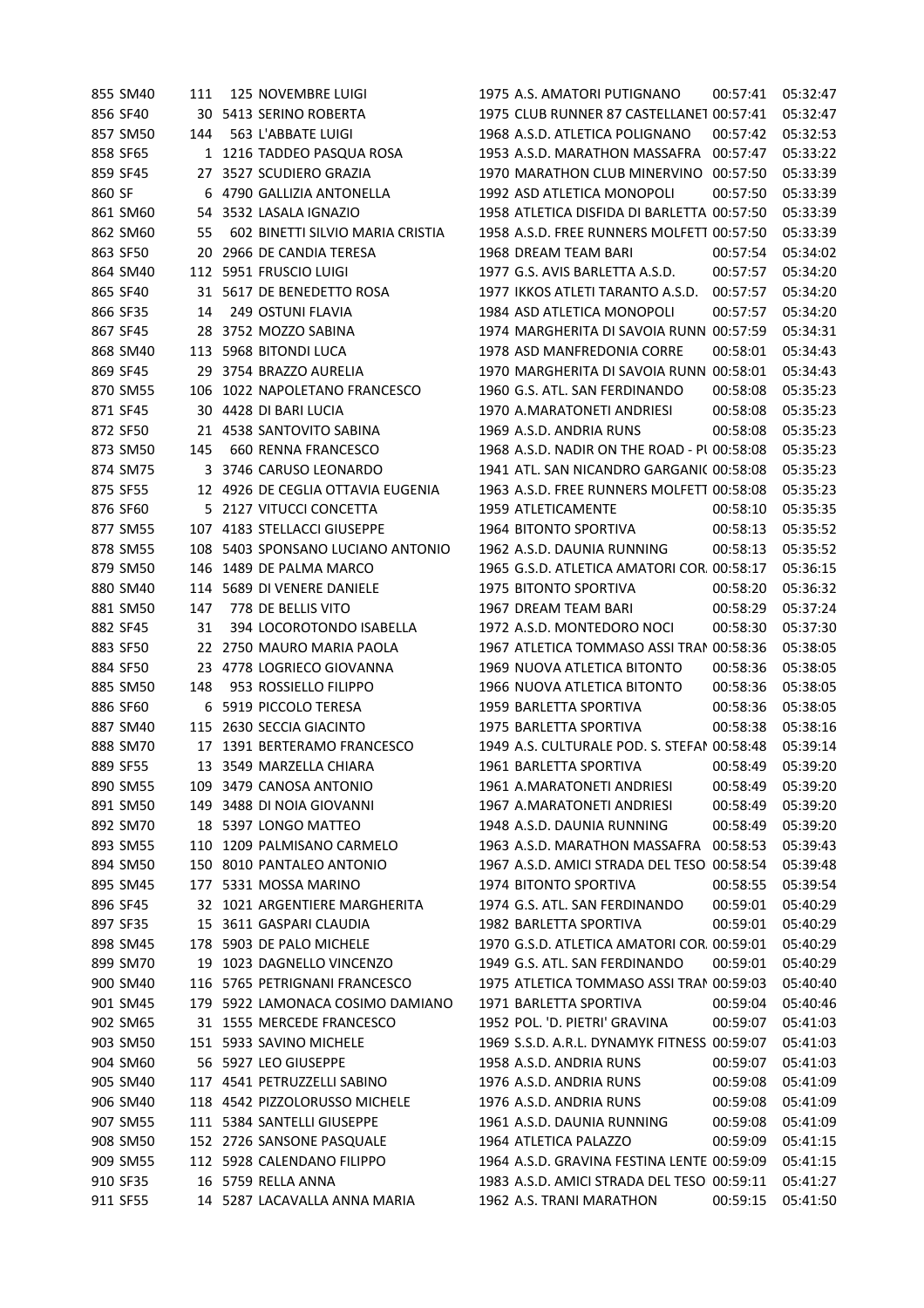|          | 855 SM40 | 111 | <b>125 NOVEMBRE LUIGI</b>         | 1975 A.S. AMATORI PUTIGNANO                 | 00:57:41          | 05:32:47 |
|----------|----------|-----|-----------------------------------|---------------------------------------------|-------------------|----------|
| 856 SF40 |          |     | 30 5413 SERINO ROBERTA            | 1975 CLUB RUNNER 87 CASTELLANET 00:57:41    |                   | 05:32:47 |
|          | 857 SM50 | 144 | 563 L'ABBATE LUIGI                | 1968 A.S.D. ATLETICA POLIGNANO              | 00:57:42          | 05:32:53 |
| 858 SF65 |          |     | 1 1216 TADDEO PASQUA ROSA         | 1953 A.S.D. MARATHON MASSAFRA               | 00:57:47          | 05:33:22 |
| 859 SF45 |          |     | 27 3527 SCUDIERO GRAZIA           | 1970 MARATHON CLUB MINERVINO                | 00:57:50          | 05:33:39 |
| 860 SF   |          |     | 6 4790 GALLIZIA ANTONELLA         | 1992 ASD ATLETICA MONOPOLI                  | 00:57:50          | 05:33:39 |
|          | 861 SM60 |     | 54 3532 LASALA IGNAZIO            | 1958 ATLETICA DISFIDA DI BARLETTA 00:57:50  |                   | 05:33:39 |
|          | 862 SM60 | 55  | 602 BINETTI SILVIO MARIA CRISTIA  | 1958 A.S.D. FREE RUNNERS MOLFETT 00:57:50   |                   | 05:33:39 |
|          | 863 SF50 |     | 20 2966 DE CANDIA TERESA          | 1968 DREAM TEAM BARI                        | 00:57:54          | 05:34:02 |
|          | 864 SM40 |     | 112 5951 FRUSCIO LUIGI            | 1977 G.S. AVIS BARLETTA A.S.D.              | 00:57:57          | 05:34:20 |
| 865 SF40 |          |     | 31 5617 DE BENEDETTO ROSA         | 1977 IKKOS ATLETI TARANTO A.S.D.            | 00:57:57          | 05:34:20 |
| 866 SF35 |          | 14  | 249 OSTUNI FLAVIA                 | 1984 ASD ATLETICA MONOPOLI                  | 00:57:57          | 05:34:20 |
| 867 SF45 |          | 28  | 3752 MOZZO SABINA                 | 1974 MARGHERITA DI SAVOIA RUNN 00:57:59     |                   | 05:34:31 |
|          | 868 SM40 |     | 113 5968 BITONDI LUCA             | 1978 ASD MANFREDONIA CORRE                  | 00:58:01          | 05:34:43 |
|          | 869 SF45 | 29  | 3754 BRAZZO AURELIA               | 1970 MARGHERITA DI SAVOIA RUNN 00:58:01     |                   | 05:34:43 |
|          | 870 SM55 | 106 | 1022 NAPOLETANO FRANCESCO         | 1960 G.S. ATL. SAN FERDINANDO               | 00:58:08          | 05:35:23 |
| 871 SF45 |          |     | 30 4428 DI BARI LUCIA             | 1970 A.MARATONETI ANDRIESI                  | 00:58:08          | 05:35:23 |
| 872 SF50 |          |     | 21 4538 SANTOVITO SABINA          | 1969 A.S.D. ANDRIA RUNS                     | 00:58:08          | 05:35:23 |
|          | 873 SM50 | 145 | 660 RENNA FRANCESCO               | 1968 A.S.D. NADIR ON THE ROAD - PI 00:58:08 |                   | 05:35:23 |
|          | 874 SM75 |     | 3 3746 CARUSO LEONARDO            | 1941 ATL. SAN NICANDRO GARGANI( 00:58:08    |                   | 05:35:23 |
| 875 SF55 |          |     | 12 4926 DE CEGLIA OTTAVIA EUGENIA | 1963 A.S.D. FREE RUNNERS MOLFETT 00:58:08   |                   | 05:35:23 |
| 876 SF60 |          | 5.  | 2127 VITUCCI CONCETTA             | 1959 ATLETICAMENTE                          | 00:58:10          | 05:35:35 |
|          | 877 SM55 |     | 107 4183 STELLACCI GIUSEPPE       | 1964 BITONTO SPORTIVA                       | 00:58:13          | 05:35:52 |
|          |          |     |                                   |                                             |                   |          |
|          | 878 SM55 |     | 108 5403 SPONSANO LUCIANO ANTONIO | 1962 A.S.D. DAUNIA RUNNING                  | 00:58:13          | 05:35:52 |
|          | 879 SM50 |     | 146 1489 DE PALMA MARCO           | 1965 G.S.D. ATLETICA AMATORI COR. 00:58:17  |                   | 05:36:15 |
|          | 880 SM40 |     | 114 5689 DI VENERE DANIELE        | 1975 BITONTO SPORTIVA                       | 00:58:20          | 05:36:32 |
|          | 881 SM50 | 147 | 778 DE BELLIS VITO                | 1967 DREAM TEAM BARI                        | 00:58:29          | 05:37:24 |
| 882 SF45 |          | 31  | 394 LOCOROTONDO ISABELLA          | 1972 A.S.D. MONTEDORO NOCI                  | 00:58:30          | 05:37:30 |
| 883 SF50 |          | 22  | 2750 MAURO MARIA PAOLA            | 1967 ATLETICA TOMMASO ASSI TRAM 00:58:36    |                   | 05:38:05 |
| 884 SF50 |          | 23  | 4778 LOGRIECO GIOVANNA            | 1969 NUOVA ATLETICA BITONTO                 | 00:58:36          | 05:38:05 |
|          | 885 SM50 | 148 | 953 ROSSIELLO FILIPPO             | 1966 NUOVA ATLETICA BITONTO                 | 00:58:36          | 05:38:05 |
|          | 886 SF60 |     | 6 5919 PICCOLO TERESA             | 1959 BARLETTA SPORTIVA                      | 00:58:36          | 05:38:05 |
|          | 887 SM40 |     | 115 2630 SECCIA GIACINTO          | 1975 BARLETTA SPORTIVA                      | 00:58:38          | 05:38:16 |
|          | 888 SM70 |     | 17 1391 BERTERAMO FRANCESCO       | 1949 A.S. CULTURALE POD. S. STEFAN 00:58:48 |                   | 05:39:14 |
| 889 SF55 |          |     | 13 3549 MARZELLA CHIARA           | 1961 BARLETTA SPORTIVA                      | 00:58:49          | 05:39:20 |
|          | 890 SM55 |     | 109 3479 CANOSA ANTONIO           | 1961 A.MARATONETI ANDRIESI                  | 00:58:49 05:39:20 |          |
|          | 891 SM50 |     | 149 3488 DI NOIA GIOVANNI         | 1967 A.MARATONETI ANDRIESI                  | 00:58:49          | 05:39:20 |
|          | 892 SM70 |     | 18 5397 LONGO MATTEO              | 1948 A.S.D. DAUNIA RUNNING                  | 00:58:49          | 05:39:20 |
|          | 893 SM55 |     | 110 1209 PALMISANO CARMELO        | 1963 A.S.D. MARATHON MASSAFRA               | 00:58:53          | 05:39:43 |
|          | 894 SM50 |     | 150 8010 PANTALEO ANTONIO         | 1967 A.S.D. AMICI STRADA DEL TESO 00:58:54  |                   | 05:39:48 |
|          | 895 SM45 | 177 | 5331 MOSSA MARINO                 | 1974 BITONTO SPORTIVA                       | 00:58:55          | 05:39:54 |
|          | 896 SF45 |     | 32 1021 ARGENTIERE MARGHERITA     | 1974 G.S. ATL. SAN FERDINANDO               | 00:59:01          | 05:40:29 |
|          | 897 SF35 |     | 15 3611 GASPARI CLAUDIA           | 1982 BARLETTA SPORTIVA                      | 00:59:01          | 05:40:29 |
|          | 898 SM45 |     | 178 5903 DE PALO MICHELE          | 1970 G.S.D. ATLETICA AMATORI COR. 00:59:01  |                   | 05:40:29 |
|          | 899 SM70 |     | 19 1023 DAGNELLO VINCENZO         | 1949 G.S. ATL. SAN FERDINANDO               | 00:59:01          | 05:40:29 |
|          | 900 SM40 |     | 116 5765 PETRIGNANI FRANCESCO     | 1975 ATLETICA TOMMASO ASSI TRAM 00:59:03    |                   | 05:40:40 |
|          | 901 SM45 |     | 179 5922 LAMONACA COSIMO DAMIANO  | 1971 BARLETTA SPORTIVA                      | 00:59:04          | 05:40:46 |
|          | 902 SM65 |     | 31 1555 MERCEDE FRANCESCO         | 1952 POL. 'D. PIETRI' GRAVINA               | 00:59:07          | 05:41:03 |
|          | 903 SM50 |     | 151 5933 SAVINO MICHELE           | 1969 S.S.D. A.R.L. DYNAMYK FITNESS 00:59:07 |                   | 05:41:03 |
|          | 904 SM60 |     | 56 5927 LEO GIUSEPPE              | 1958 A.S.D. ANDRIA RUNS                     | 00:59:07          | 05:41:03 |
|          | 905 SM40 |     | 117 4541 PETRUZZELLI SABINO       | 1976 A.S.D. ANDRIA RUNS                     | 00:59:08          | 05:41:09 |
|          | 906 SM40 |     | 118 4542 PIZZOLORUSSO MICHELE     | 1976 A.S.D. ANDRIA RUNS                     | 00:59:08          | 05:41:09 |
|          | 907 SM55 |     | 111 5384 SANTELLI GIUSEPPE        | 1961 A.S.D. DAUNIA RUNNING                  | 00:59:08          | 05:41:09 |
|          | 908 SM50 |     | 152 2726 SANSONE PASQUALE         | 1964 ATLETICA PALAZZO                       | 00:59:09          | 05:41:15 |
|          | 909 SM55 |     | 112 5928 CALENDANO FILIPPO        | 1964 A.S.D. GRAVINA FESTINA LENTE 00:59:09  |                   | 05:41:15 |
|          | 910 SF35 |     | 16 5759 RELLA ANNA                | 1983 A.S.D. AMICI STRADA DEL TESO 00:59:11  |                   | 05:41:27 |
|          | 911 SF55 |     | 14 5287 LACAVALLA ANNA MARIA      | 1962 A.S. TRANI MARATHON                    | 00:59:15          | 05:41:50 |
|          |          |     |                                   |                                             |                   |          |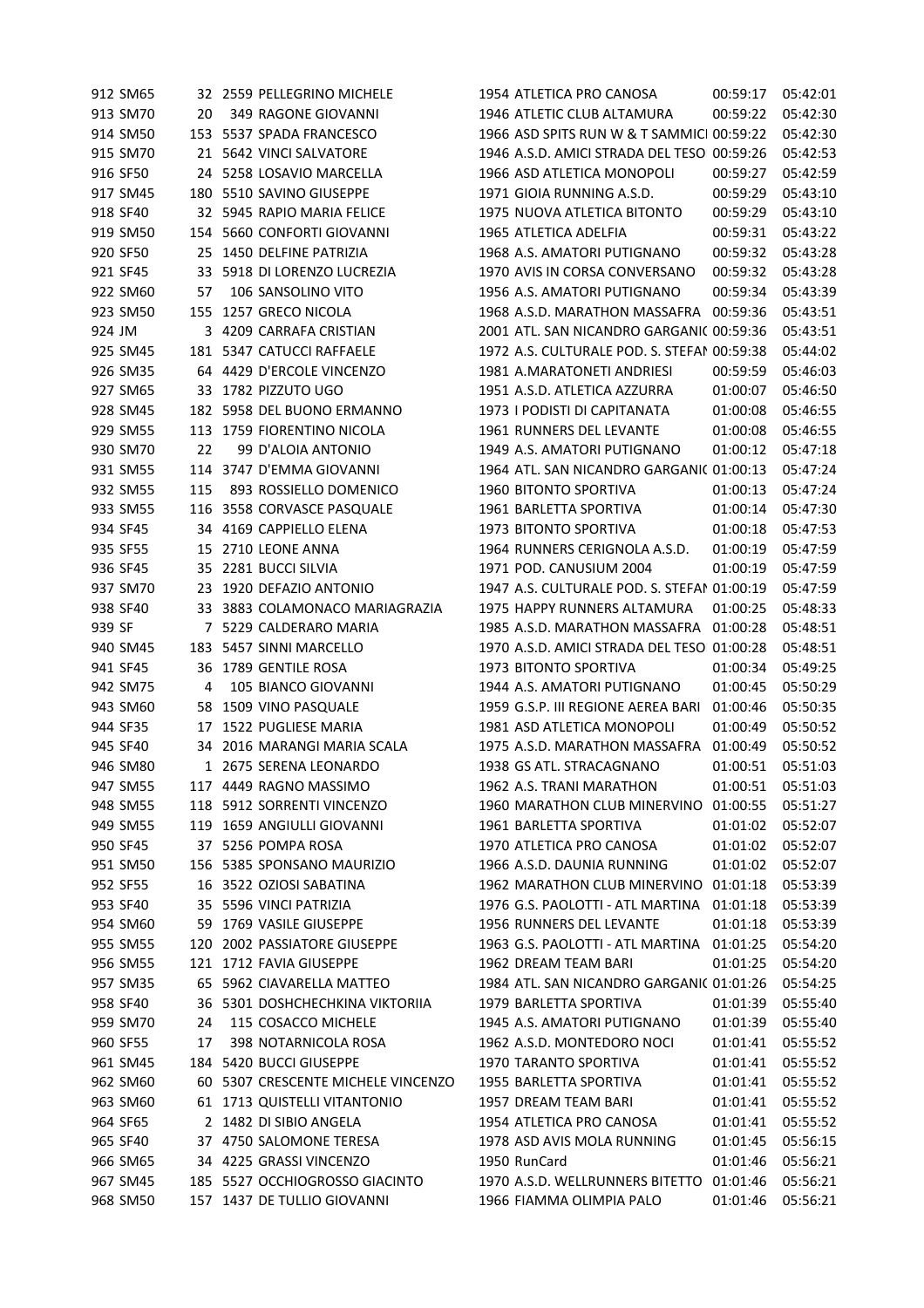| 912 SM65 |     | 32 2559 PELLEGRINO MICHELE                            | 1954 ATLETICA PRO CANOSA                    | 00:59:17           | 05:42:01 |
|----------|-----|-------------------------------------------------------|---------------------------------------------|--------------------|----------|
| 913 SM70 | 20  | 349 RAGONE GIOVANNI                                   | 1946 ATLETIC CLUB ALTAMURA                  | 00:59:22           | 05:42:30 |
| 914 SM50 |     | 153 5537 SPADA FRANCESCO                              | 1966 ASD SPITS RUN W & T SAMMICI 00:59:22   |                    | 05:42:30 |
| 915 SM70 |     | 21 5642 VINCI SALVATORE                               | 1946 A.S.D. AMICI STRADA DEL TESO 00:59:26  |                    | 05:42:53 |
| 916 SF50 |     | 24 5258 LOSAVIO MARCELLA                              | 1966 ASD ATLETICA MONOPOLI                  | 00:59:27           | 05:42:59 |
| 917 SM45 |     | 180 5510 SAVINO GIUSEPPE                              | 1971 GIOIA RUNNING A.S.D.                   | 00:59:29           | 05:43:10 |
| 918 SF40 |     | 32 5945 RAPIO MARIA FELICE                            | 1975 NUOVA ATLETICA BITONTO                 | 00:59:29           | 05:43:10 |
| 919 SM50 |     | 154 5660 CONFORTI GIOVANNI                            | 1965 ATLETICA ADELFIA                       | 00:59:31           | 05:43:22 |
| 920 SF50 |     | 25 1450 DELFINE PATRIZIA                              | 1968 A.S. AMATORI PUTIGNANO                 | 00:59:32           | 05:43:28 |
| 921 SF45 |     | 33 5918 DI LORENZO LUCREZIA                           | 1970 AVIS IN CORSA CONVERSANO               | 00:59:32           | 05:43:28 |
| 922 SM60 | 57  | 106 SANSOLINO VITO                                    | 1956 A.S. AMATORI PUTIGNANO                 | 00:59:34           | 05:43:39 |
| 923 SM50 |     | 155 1257 GRECO NICOLA                                 | 1968 A.S.D. MARATHON MASSAFRA               | 00:59:36           | 05:43:51 |
| 924 JM   |     | 3 4209 CARRAFA CRISTIAN                               | 2001 ATL. SAN NICANDRO GARGANI( 00:59:36    |                    | 05:43:51 |
| 925 SM45 |     | 181 5347 CATUCCI RAFFAELE                             | 1972 A.S. CULTURALE POD. S. STEFAN 00:59:38 |                    | 05:44:02 |
| 926 SM35 | 64  | 4429 D'ERCOLE VINCENZO                                | 1981 A.MARATONETI ANDRIESI                  | 00:59:59           | 05:46:03 |
| 927 SM65 | 33  | 1782 PIZZUTO UGO                                      | 1951 A.S.D. ATLETICA AZZURRA                | 01:00:07           | 05:46:50 |
| 928 SM45 | 182 | 5958 DEL BUONO ERMANNO                                | 1973   PODISTI DI CAPITANATA                | 01:00:08           | 05:46:55 |
| 929 SM55 |     | 113 1759 FIORENTINO NICOLA                            | 1961 RUNNERS DEL LEVANTE                    | 01:00:08           | 05:46:55 |
| 930 SM70 | 22  | 99 D'ALOIA ANTONIO                                    | 1949 A.S. AMATORI PUTIGNANO                 | 01:00:12           | 05:47:18 |
| 931 SM55 |     | 114 3747 D'EMMA GIOVANNI                              | 1964 ATL. SAN NICANDRO GARGANI( 01:00:13    |                    | 05:47:24 |
| 932 SM55 | 115 | 893 ROSSIELLO DOMENICO                                | 1960 BITONTO SPORTIVA                       | 01:00:13           | 05:47:24 |
|          |     |                                                       | 1961 BARLETTA SPORTIVA                      | 01:00:14           | 05:47:30 |
| 933 SM55 |     | 116 3558 CORVASCE PASQUALE<br>34 4169 CAPPIELLO ELENA |                                             |                    |          |
| 934 SF45 |     |                                                       | 1973 BITONTO SPORTIVA                       | 01:00:18           | 05:47:53 |
| 935 SF55 |     | 15 2710 LEONE ANNA                                    | 1964 RUNNERS CERIGNOLA A.S.D.               | 01:00:19           | 05:47:59 |
| 936 SF45 |     | 35 2281 BUCCI SILVIA                                  | 1971 POD. CANUSIUM 2004                     | 01:00:19           | 05:47:59 |
| 937 SM70 |     | 23 1920 DEFAZIO ANTONIO                               | 1947 A.S. CULTURALE POD. S. STEFAN 01:00:19 |                    | 05:47:59 |
| 938 SF40 |     | 33 3883 COLAMONACO MARIAGRAZIA                        | 1975 HAPPY RUNNERS ALTAMURA                 | 01:00:25           | 05:48:33 |
| 939 SF   |     | 7 5229 CALDERARO MARIA                                | 1985 A.S.D. MARATHON MASSAFRA               | 01:00:28           | 05:48:51 |
| 940 SM45 |     | 183 5457 SINNI MARCELLO                               | 1970 A.S.D. AMICI STRADA DEL TESO 01:00:28  |                    | 05:48:51 |
| 941 SF45 | 36  | 1789 GENTILE ROSA                                     | 1973 BITONTO SPORTIVA                       | 01:00:34           | 05:49:25 |
| 942 SM75 | 4   | 105 BIANCO GIOVANNI                                   | 1944 A.S. AMATORI PUTIGNANO                 | 01:00:45           | 05:50:29 |
| 943 SM60 | 58  | 1509 VINO PASQUALE                                    | 1959 G.S.P. III REGIONE AEREA BARI          | 01:00:46           | 05:50:35 |
| 944 SF35 | 17  | 1522 PUGLIESE MARIA                                   | 1981 ASD ATLETICA MONOPOLI                  | 01:00:49           | 05:50:52 |
| 945 SF40 | 34  | 2016 MARANGI MARIA SCALA                              | 1975 A.S.D. MARATHON MASSAFRA               | 01:00:49           | 05:50:52 |
| 946 SM80 |     | 1 2675 SERENA LEONARDO                                | 1938 GS ATL. STRACAGNANO                    | 01:00:51           | 05:51:03 |
| 947 SM55 |     | 117 4449 RAGNO MASSIMO                                | 1962 A.S. TRANI MARATHON                    | 01:00:51  05:51:03 |          |
| 948 SM55 |     | 118 5912 SORRENTI VINCENZO                            | 1960 MARATHON CLUB MINERVINO 01:00:55       |                    | 05:51:27 |
| 949 SM55 |     | 119 1659 ANGIULLI GIOVANNI                            | 1961 BARLETTA SPORTIVA                      | 01:01:02           | 05:52:07 |
| 950 SF45 |     | 37 5256 POMPA ROSA                                    | 1970 ATLETICA PRO CANOSA                    | 01:01:02           | 05:52:07 |
| 951 SM50 |     | 156 5385 SPONSANO MAURIZIO                            | 1966 A.S.D. DAUNIA RUNNING                  | 01:01:02           | 05:52:07 |
| 952 SF55 |     | 16 3522 OZIOSI SABATINA                               | 1962 MARATHON CLUB MINERVINO 01:01:18       |                    | 05:53:39 |
| 953 SF40 |     | 35 5596 VINCI PATRIZIA                                | 1976 G.S. PAOLOTTI - ATL MARTINA 01:01:18   |                    | 05:53:39 |
| 954 SM60 |     | 59 1769 VASILE GIUSEPPE                               | 1956 RUNNERS DEL LEVANTE                    | 01:01:18           | 05:53:39 |
| 955 SM55 |     | 120 2002 PASSIATORE GIUSEPPE                          | 1963 G.S. PAOLOTTI - ATL MARTINA 01:01:25   |                    | 05:54:20 |
| 956 SM55 |     | 121 1712 FAVIA GIUSEPPE                               | 1962 DREAM TEAM BARI                        | 01:01:25           | 05:54:20 |
| 957 SM35 |     | 65 5962 CIAVARELLA MATTEO                             | 1984 ATL. SAN NICANDRO GARGANIC 01:01:26    |                    | 05:54:25 |
| 958 SF40 |     | 36 5301 DOSHCHECHKINA VIKTORIIA                       | 1979 BARLETTA SPORTIVA                      | 01:01:39           | 05:55:40 |
| 959 SM70 | 24  | 115 COSACCO MICHELE                                   | 1945 A.S. AMATORI PUTIGNANO                 | 01:01:39           | 05:55:40 |
| 960 SF55 | 17  | 398 NOTARNICOLA ROSA                                  | 1962 A.S.D. MONTEDORO NOCI                  | 01:01:41           | 05:55:52 |
| 961 SM45 |     | 184 5420 BUCCI GIUSEPPE                               | 1970 TARANTO SPORTIVA                       | 01:01:41           | 05:55:52 |
| 962 SM60 |     | 60 5307 CRESCENTE MICHELE VINCENZO                    | 1955 BARLETTA SPORTIVA                      | 01:01:41           | 05:55:52 |
| 963 SM60 |     | 61 1713 QUISTELLI VITANTONIO                          | 1957 DREAM TEAM BARI                        | 01:01:41           | 05:55:52 |
| 964 SF65 |     | 2 1482 DI SIBIO ANGELA                                | 1954 ATLETICA PRO CANOSA                    | 01:01:41           | 05:55:52 |
| 965 SF40 |     | 37 4750 SALOMONE TERESA                               | 1978 ASD AVIS MOLA RUNNING                  | 01:01:45           | 05:56:15 |
| 966 SM65 | 34  | 4225 GRASSI VINCENZO                                  | 1950 RunCard                                | 01:01:46           | 05:56:21 |
| 967 SM45 |     | 185 5527 OCCHIOGROSSO GIACINTO                        | 1970 A.S.D. WELLRUNNERS BITETTO 01:01:46    |                    | 05:56:21 |
|          |     |                                                       |                                             |                    |          |
| 968 SM50 |     | 157 1437 DE TULLIO GIOVANNI                           | 1966 FIAMMA OLIMPIA PALO                    | 01:01:46           | 05:56:21 |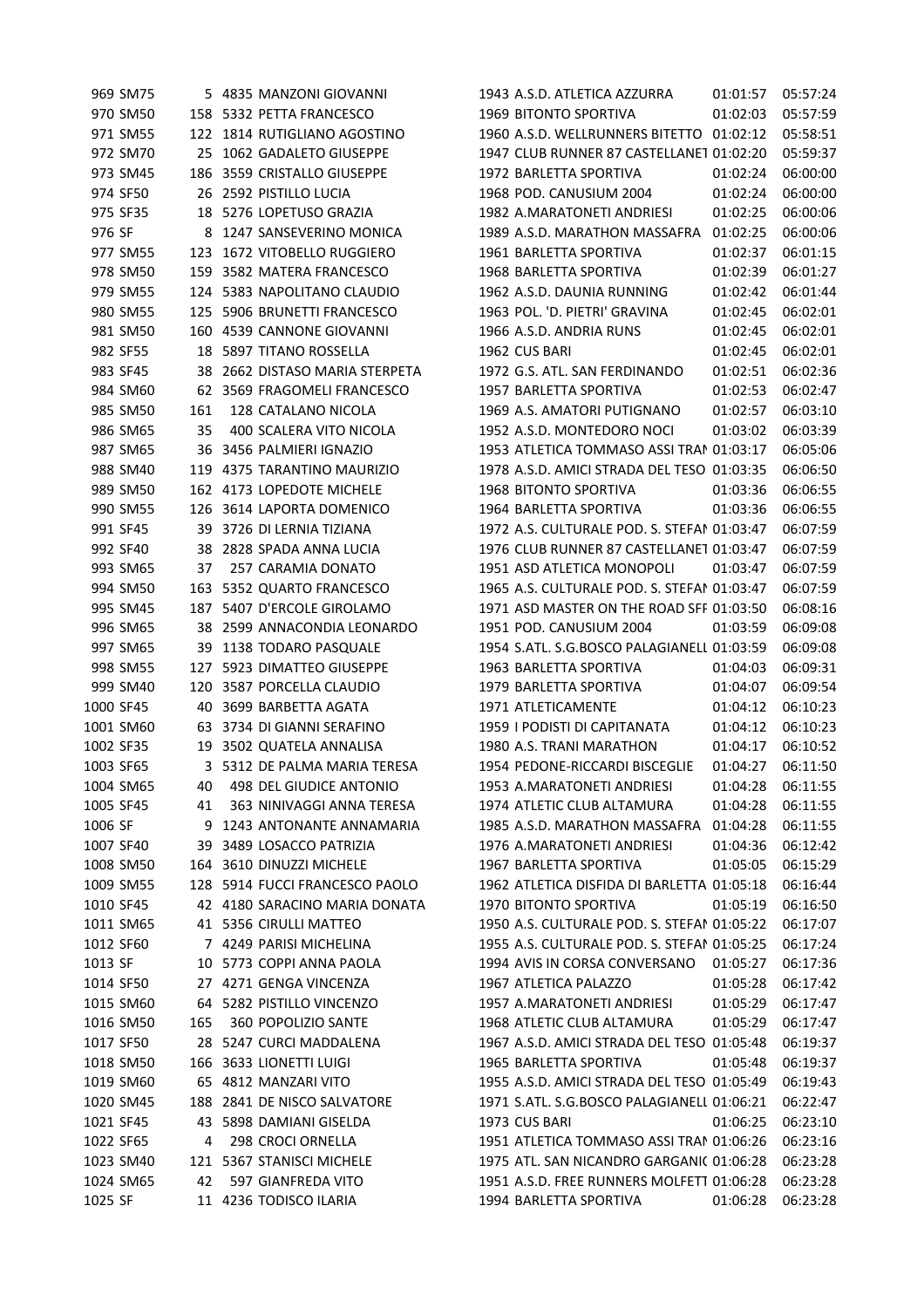|           | 969 SM75  |     | 5 4835 MANZONI GIOVANNI        | 1943 A.S.D. ATLETICA AZZURRA                | 01:01:57 | 05:57:24 |
|-----------|-----------|-----|--------------------------------|---------------------------------------------|----------|----------|
|           | 970 SM50  |     | 158 5332 PETTA FRANCESCO       | 1969 BITONTO SPORTIVA                       | 01:02:03 | 05:57:59 |
|           | 971 SM55  |     | 122 1814 RUTIGLIANO AGOSTINO   | 1960 A.S.D. WELLRUNNERS BITETTO 01:02:12    |          | 05:58:51 |
|           | 972 SM70  |     | 25 1062 GADALETO GIUSEPPE      | 1947 CLUB RUNNER 87 CASTELLANET 01:02:20    |          | 05:59:37 |
|           | 973 SM45  |     | 186 3559 CRISTALLO GIUSEPPE    | 1972 BARLETTA SPORTIVA                      | 01:02:24 | 06:00:00 |
|           | 974 SF50  |     | 26 2592 PISTILLO LUCIA         | 1968 POD. CANUSIUM 2004                     | 01:02:24 | 06:00:00 |
|           | 975 SF35  |     | 18 5276 LOPETUSO GRAZIA        | 1982 A.MARATONETI ANDRIESI                  | 01:02:25 | 06:00:06 |
| 976 SF    |           |     | 8 1247 SANSEVERINO MONICA      | 1989 A.S.D. MARATHON MASSAFRA 01:02:25      |          | 06:00:06 |
|           | 977 SM55  |     | 123 1672 VITOBELLO RUGGIERO    | 1961 BARLETTA SPORTIVA                      | 01:02:37 | 06:01:15 |
|           | 978 SM50  |     | 159 3582 MATERA FRANCESCO      | 1968 BARLETTA SPORTIVA                      | 01:02:39 | 06:01:27 |
|           | 979 SM55  |     | 124 5383 NAPOLITANO CLAUDIO    | 1962 A.S.D. DAUNIA RUNNING                  | 01:02:42 | 06:01:44 |
|           | 980 SM55  |     | 125 5906 BRUNETTI FRANCESCO    | 1963 POL. 'D. PIETRI' GRAVINA               | 01:02:45 | 06:02:01 |
|           | 981 SM50  |     | 160 4539 CANNONE GIOVANNI      | 1966 A.S.D. ANDRIA RUNS                     | 01:02:45 | 06:02:01 |
|           | 982 SF55  |     | 18 5897 TITANO ROSSELLA        | 1962 CUS BARI                               | 01:02:45 | 06:02:01 |
|           | 983 SF45  |     | 38 2662 DISTASO MARIA STERPETA | 1972 G.S. ATL. SAN FERDINANDO               | 01:02:51 | 06:02:36 |
|           | 984 SM60  |     | 62 3569 FRAGOMELI FRANCESCO    | 1957 BARLETTA SPORTIVA                      | 01:02:53 | 06:02:47 |
|           | 985 SM50  | 161 | 128 CATALANO NICOLA            | 1969 A.S. AMATORI PUTIGNANO                 | 01:02:57 | 06:03:10 |
|           | 986 SM65  | 35  | 400 SCALERA VITO NICOLA        | 1952 A.S.D. MONTEDORO NOCI                  | 01:03:02 | 06:03:39 |
|           | 987 SM65  |     | 36 3456 PALMIERI IGNAZIO       | 1953 ATLETICA TOMMASO ASSI TRAM 01:03:17    |          | 06:05:06 |
|           | 988 SM40  |     | 119 4375 TARANTINO MAURIZIO    | 1978 A.S.D. AMICI STRADA DEL TESO 01:03:35  |          | 06:06:50 |
|           | 989 SM50  |     | 162 4173 LOPEDOTE MICHELE      | 1968 BITONTO SPORTIVA                       | 01:03:36 | 06:06:55 |
|           | 990 SM55  |     | 126 3614 LAPORTA DOMENICO      | 1964 BARLETTA SPORTIVA                      | 01:03:36 | 06:06:55 |
|           | 991 SF45  |     | 39 3726 DI LERNIA TIZIANA      | 1972 A.S. CULTURALE POD. S. STEFAN 01:03:47 |          | 06:07:59 |
|           | 992 SF40  |     | 38 2828 SPADA ANNA LUCIA       | 1976 CLUB RUNNER 87 CASTELLANET 01:03:47    |          | 06:07:59 |
|           | 993 SM65  | 37  | 257 CARAMIA DONATO             | 1951 ASD ATLETICA MONOPOLI                  | 01:03:47 | 06:07:59 |
|           | 994 SM50  |     | 163 5352 QUARTO FRANCESCO      | 1965 A.S. CULTURALE POD. S. STEFAN 01:03:47 |          | 06:07:59 |
|           | 995 SM45  |     | 187 5407 D'ERCOLE GIROLAMO     | 1971 ASD MASTER ON THE ROAD SFF 01:03:50    |          | 06:08:16 |
|           | 996 SM65  |     | 38 2599 ANNACONDIA LEONARDO    | 1951 POD. CANUSIUM 2004                     | 01:03:59 | 06:09:08 |
|           | 997 SM65  | 39  | 1138 TODARO PASQUALE           | 1954 S.ATL. S.G.BOSCO PALAGIANELI 01:03:59  |          | 06:09:08 |
|           | 998 SM55  | 127 | 5923 DIMATTEO GIUSEPPE         | 1963 BARLETTA SPORTIVA                      | 01:04:03 | 06:09:31 |
|           | 999 SM40  |     | 120 3587 PORCELLA CLAUDIO      | 1979 BARLETTA SPORTIVA                      | 01:04:07 | 06:09:54 |
|           | 1000 SF45 | 40  | 3699 BARBETTA AGATA            | 1971 ATLETICAMENTE                          | 01:04:12 | 06:10:23 |
|           | 1001 SM60 |     | 63 3734 DI GIANNI SERAFINO     | 1959 I PODISTI DI CAPITANATA                | 01:04:12 | 06:10:23 |
| 1002 SF35 |           |     | 19 3502 QUATELA ANNALISA       | 1980 A.S. TRANI MARATHON                    | 01:04:17 | 06:10:52 |
| 1003 SF65 |           |     | 3 5312 DE PALMA MARIA TERESA   | 1954 PEDONE-RICCARDI BISCEGLIE              | 01:04:27 | 06:11:50 |
|           | 1004 SM65 |     | 40 498 DEL GIUDICE ANTONIO     | 1953 A.MARATONETI ANDRIESI                  | 01:04:28 | 06:11:55 |
| 1005 SF45 |           | 41  | 363 NINIVAGGI ANNA TERESA      | 1974 ATLETIC CLUB ALTAMURA                  | 01:04:28 | 06:11:55 |
| 1006 SF   |           |     | 9 1243 ANTONANTE ANNAMARIA     | 1985 A.S.D. MARATHON MASSAFRA 01:04:28      |          | 06:11:55 |
|           | 1007 SF40 |     | 39 3489 LOSACCO PATRIZIA       | 1976 A.MARATONETI ANDRIESI                  | 01:04:36 | 06:12:42 |
|           | 1008 SM50 |     | 164 3610 DINUZZI MICHELE       | 1967 BARLETTA SPORTIVA                      | 01:05:05 | 06:15:29 |
|           | 1009 SM55 |     | 128 5914 FUCCI FRANCESCO PAOLO | 1962 ATLETICA DISFIDA DI BARLETTA 01:05:18  |          | 06:16:44 |
| 1010 SF45 |           |     | 42 4180 SARACINO MARIA DONATA  | <b>1970 BITONTO SPORTIVA</b>                | 01:05:19 | 06:16:50 |
|           | 1011 SM65 |     | 41 5356 CIRULLI MATTEO         | 1950 A.S. CULTURALE POD. S. STEFAN 01:05:22 |          | 06:17:07 |
|           | 1012 SF60 |     | 7 4249 PARISI MICHELINA        | 1955 A.S. CULTURALE POD. S. STEFAN 01:05:25 |          | 06:17:24 |
| 1013 SF   |           |     | 10 5773 COPPI ANNA PAOLA       | 1994 AVIS IN CORSA CONVERSANO               | 01:05:27 | 06:17:36 |
|           | 1014 SF50 |     | 27 4271 GENGA VINCENZA         | 1967 ATLETICA PALAZZO                       | 01:05:28 | 06:17:42 |
|           | 1015 SM60 |     | 64 5282 PISTILLO VINCENZO      | 1957 A.MARATONETI ANDRIESI                  | 01:05:29 | 06:17:47 |
|           | 1016 SM50 | 165 | 360 POPOLIZIO SANTE            | 1968 ATLETIC CLUB ALTAMURA                  | 01:05:29 | 06:17:47 |
|           | 1017 SF50 |     | 28 5247 CURCI MADDALENA        | 1967 A.S.D. AMICI STRADA DEL TESO 01:05:48  |          | 06:19:37 |
|           | 1018 SM50 |     | 166 3633 LIONETTI LUIGI        | 1965 BARLETTA SPORTIVA                      | 01:05:48 | 06:19:37 |
|           | 1019 SM60 |     | 65 4812 MANZARI VITO           | 1955 A.S.D. AMICI STRADA DEL TESO 01:05:49  |          | 06:19:43 |
|           | 1020 SM45 |     | 188 2841 DE NISCO SALVATORE    | 1971 S.ATL. S.G.BOSCO PALAGIANELI 01:06:21  |          | 06:22:47 |
|           | 1021 SF45 |     | 43 5898 DAMIANI GISELDA        | 1973 CUS BARI                               | 01:06:25 | 06:23:10 |
|           | 1022 SF65 | 4   | 298 CROCI ORNELLA              | 1951 ATLETICA TOMMASO ASSI TRAN 01:06:26    |          | 06:23:16 |
|           | 1023 SM40 |     | 121 5367 STANISCI MICHELE      | 1975 ATL. SAN NICANDRO GARGANIC 01:06:28    |          | 06:23:28 |
|           | 1024 SM65 | 42  | 597 GIANFREDA VITO             | 1951 A.S.D. FREE RUNNERS MOLFETT 01:06:28   |          | 06:23:28 |
| 1025 SF   |           |     | 11 4236 TODISCO ILARIA         | 1994 BARLETTA SPORTIVA                      | 01:06:28 | 06:23:28 |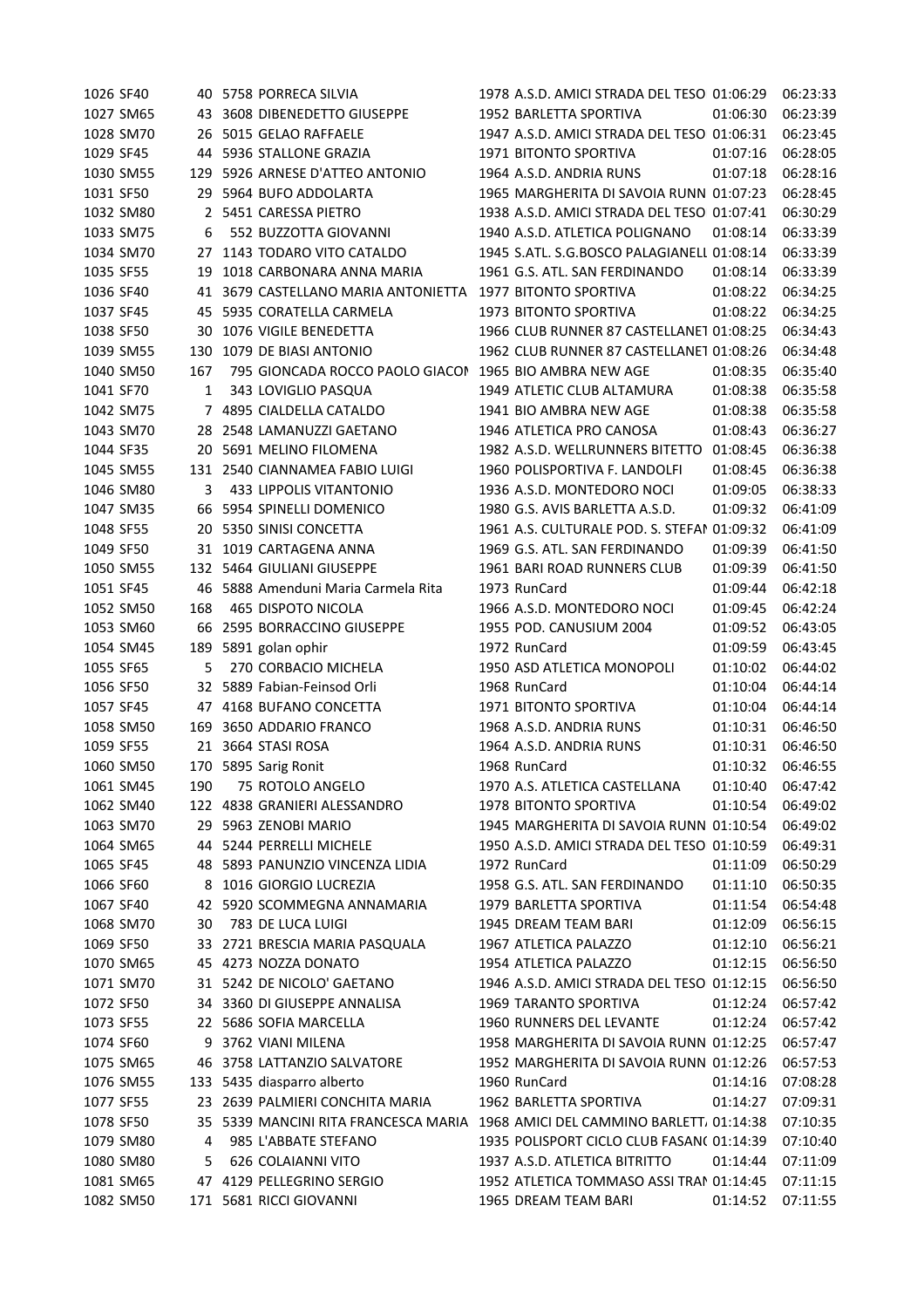| 1026 SF40 |              | 40 5758 PORRECA SILVIA                                    | 1978 A.S.D. AMICI STRADA DEL TESO 01:06:29                                    |                   | 06:23:33 |
|-----------|--------------|-----------------------------------------------------------|-------------------------------------------------------------------------------|-------------------|----------|
| 1027 SM65 |              | 43 3608 DIBENEDETTO GIUSEPPE                              | 1952 BARLETTA SPORTIVA                                                        | 01:06:30          | 06:23:39 |
| 1028 SM70 |              | 26 5015 GELAO RAFFAELE                                    | 1947 A.S.D. AMICI STRADA DEL TESO 01:06:31                                    |                   | 06:23:45 |
| 1029 SF45 |              | 44 5936 STALLONE GRAZIA                                   | 1971 BITONTO SPORTIVA                                                         | 01:07:16          | 06:28:05 |
| 1030 SM55 |              | 129 5926 ARNESE D'ATTEO ANTONIO                           | 1964 A.S.D. ANDRIA RUNS                                                       | 01:07:18          | 06:28:16 |
| 1031 SF50 |              | 29 5964 BUFO ADDOLARTA                                    | 1965 MARGHERITA DI SAVOIA RUNN 01:07:23                                       |                   | 06:28:45 |
| 1032 SM80 |              | 2 5451 CARESSA PIETRO                                     | 1938 A.S.D. AMICI STRADA DEL TESO 01:07:41                                    |                   | 06:30:29 |
| 1033 SM75 | 6            | 552 BUZZOTTA GIOVANNI                                     | 1940 A.S.D. ATLETICA POLIGNANO                                                | 01:08:14          | 06:33:39 |
| 1034 SM70 |              | 27 1143 TODARO VITO CATALDO                               | 1945 S.ATL. S.G.BOSCO PALAGIANELI 01:08:14                                    |                   | 06:33:39 |
| 1035 SF55 | 19           | 1018 CARBONARA ANNA MARIA                                 | 1961 G.S. ATL. SAN FERDINANDO                                                 | 01:08:14          | 06:33:39 |
| 1036 SF40 |              | 41 3679 CASTELLANO MARIA ANTONIETTA 1977 BITONTO SPORTIVA |                                                                               | 01:08:22          | 06:34:25 |
| 1037 SF45 | 45           | 5935 CORATELLA CARMELA                                    | 1973 BITONTO SPORTIVA                                                         | 01:08:22          | 06:34:25 |
| 1038 SF50 | 30           | 1076 VIGILE BENEDETTA                                     | 1966 CLUB RUNNER 87 CASTELLANET 01:08:25                                      |                   | 06:34:43 |
| 1039 SM55 | 130          | 1079 DE BIASI ANTONIO                                     | 1962 CLUB RUNNER 87 CASTELLANET 01:08:26                                      |                   | 06:34:48 |
| 1040 SM50 | 167          | 795 GIONCADA ROCCO PAOLO GIACON 1965 BIO AMBRA NEW AGE    |                                                                               | 01:08:35          | 06:35:40 |
| 1041 SF70 | $\mathbf{1}$ | 343 LOVIGLIO PASQUA                                       | 1949 ATLETIC CLUB ALTAMURA                                                    | 01:08:38          | 06:35:58 |
| 1042 SM75 |              | 7 4895 CIALDELLA CATALDO                                  | 1941 BIO AMBRA NEW AGE                                                        | 01:08:38          | 06:35:58 |
| 1043 SM70 |              | 28 2548 LAMANUZZI GAETANO                                 | 1946 ATLETICA PRO CANOSA                                                      | 01:08:43          | 06:36:27 |
| 1044 SF35 |              | 20 5691 MELINO FILOMENA                                   | 1982 A.S.D. WELLRUNNERS BITETTO 01:08:45                                      |                   | 06:36:38 |
| 1045 SM55 |              | 131 2540 CIANNAMEA FABIO LUIGI                            | 1960 POLISPORTIVA F. LANDOLFI                                                 | 01:08:45          | 06:36:38 |
| 1046 SM80 | 3            | <b>433 LIPPOLIS VITANTONIO</b>                            | 1936 A.S.D. MONTEDORO NOCI                                                    | 01:09:05          | 06:38:33 |
| 1047 SM35 |              | 66 5954 SPINELLI DOMENICO                                 | 1980 G.S. AVIS BARLETTA A.S.D.                                                | 01:09:32          | 06:41:09 |
| 1048 SF55 |              | 20 5350 SINISI CONCETTA                                   | 1961 A.S. CULTURALE POD. S. STEFAN 01:09:32                                   |                   | 06:41:09 |
| 1049 SF50 |              | 31 1019 CARTAGENA ANNA                                    | 1969 G.S. ATL. SAN FERDINANDO                                                 | 01:09:39          | 06:41:50 |
|           |              |                                                           |                                                                               |                   |          |
| 1050 SM55 |              | 132 5464 GIULIANI GIUSEPPE                                | 1961 BARI ROAD RUNNERS CLUB                                                   | 01:09:39          | 06:41:50 |
| 1051 SF45 |              | 46 5888 Amenduni Maria Carmela Rita                       | 1973 RunCard                                                                  | 01:09:44          | 06:42:18 |
| 1052 SM50 | 168          | 465 DISPOTO NICOLA                                        | 1966 A.S.D. MONTEDORO NOCI                                                    | 01:09:45          | 06:42:24 |
| 1053 SM60 | 66           | 2595 BORRACCINO GIUSEPPE                                  | 1955 POD. CANUSIUM 2004                                                       | 01:09:52          | 06:43:05 |
| 1054 SM45 |              | 189 5891 golan ophir                                      | 1972 RunCard                                                                  | 01:09:59          | 06:43:45 |
| 1055 SF65 | 5            | 270 CORBACIO MICHELA                                      | 1950 ASD ATLETICA MONOPOLI                                                    | 01:10:02          | 06:44:02 |
| 1056 SF50 |              | 32 5889 Fabian-Feinsod Orli                               | 1968 RunCard                                                                  | 01:10:04          | 06:44:14 |
| 1057 SF45 |              | 47 4168 BUFANO CONCETTA                                   | 1971 BITONTO SPORTIVA                                                         | 01:10:04          | 06:44:14 |
| 1058 SM50 |              | 169 3650 ADDARIO FRANCO                                   | 1968 A.S.D. ANDRIA RUNS                                                       | 01:10:31          | 06:46:50 |
| 1059 SF55 |              | 21 3664 STASI ROSA                                        | 1964 A.S.D. ANDRIA RUNS                                                       | 01:10:31          | 06:46:50 |
| 1060 SM50 |              | 170 5895 Sarig Ronit                                      | 1968 RunCard                                                                  | 01:10:32          | 06:46:55 |
| 1061 SM45 |              | 190 75 ROTOLO ANGELO                                      | 1970 A.S. ATLETICA CASTELLANA                                                 | 01:10:40 06:47:42 |          |
| 1062 SM40 |              | 122 4838 GRANIERI ALESSANDRO                              | 1978 BITONTO SPORTIVA                                                         | 01:10:54          | 06:49:02 |
| 1063 SM70 |              | 29 5963 ZENOBI MARIO                                      | 1945 MARGHERITA DI SAVOIA RUNN 01:10:54                                       |                   | 06:49:02 |
| 1064 SM65 |              | 44 5244 PERRELLI MICHELE                                  | 1950 A.S.D. AMICI STRADA DEL TESO 01:10:59                                    |                   | 06:49:31 |
| 1065 SF45 |              | 48 5893 PANUNZIO VINCENZA LIDIA                           | 1972 RunCard                                                                  | 01:11:09          | 06:50:29 |
| 1066 SF60 | 8            | 1016 GIORGIO LUCREZIA                                     | 1958 G.S. ATL. SAN FERDINANDO                                                 | 01:11:10          | 06:50:35 |
| 1067 SF40 |              | 42 5920 SCOMMEGNA ANNAMARIA                               | 1979 BARLETTA SPORTIVA                                                        | 01:11:54          | 06:54:48 |
| 1068 SM70 | 30           | 783 DE LUCA LUIGI                                         | 1945 DREAM TEAM BARI                                                          | 01:12:09          | 06:56:15 |
| 1069 SF50 |              | 33 2721 BRESCIA MARIA PASQUALA                            | 1967 ATLETICA PALAZZO                                                         | 01:12:10          | 06:56:21 |
| 1070 SM65 |              | 45 4273 NOZZA DONATO                                      | 1954 ATLETICA PALAZZO                                                         | 01:12:15          | 06:56:50 |
| 1071 SM70 |              | 31 5242 DE NICOLO' GAETANO                                | 1946 A.S.D. AMICI STRADA DEL TESO 01:12:15                                    |                   | 06:56:50 |
| 1072 SF50 |              | 34 3360 DI GIUSEPPE ANNALISA                              | 1969 TARANTO SPORTIVA                                                         | 01:12:24          | 06:57:42 |
| 1073 SF55 |              | 22 5686 SOFIA MARCELLA                                    | 1960 RUNNERS DEL LEVANTE                                                      | 01:12:24          | 06:57:42 |
| 1074 SF60 |              | 9 3762 VIANI MILENA                                       | 1958 MARGHERITA DI SAVOIA RUNN 01:12:25                                       |                   | 06:57:47 |
| 1075 SM65 |              | 46 3758 LATTANZIO SALVATORE                               | 1952 MARGHERITA DI SAVOIA RUNN 01:12:26                                       |                   | 06:57:53 |
| 1076 SM55 |              | 133 5435 diasparro alberto                                | 1960 RunCard                                                                  | 01:14:16          | 07:08:28 |
| 1077 SF55 |              | 23 2639 PALMIERI CONCHITA MARIA                           | 1962 BARLETTA SPORTIVA                                                        | 01:14:27          | 07:09:31 |
| 1078 SF50 |              |                                                           | 35 5339 MANCINI RITA FRANCESCA MARIA 1968 AMICI DEL CAMMINO BARLETT, 01:14:38 |                   | 07:10:35 |
| 1079 SM80 | 4            | 985 L'ABBATE STEFANO                                      | 1935 POLISPORT CICLO CLUB FASAN( 01:14:39                                     |                   | 07:10:40 |
| 1080 SM80 | 5.           | <b>626 COLAIANNI VITO</b>                                 | 1937 A.S.D. ATLETICA BITRITTO                                                 | 01:14:44          | 07:11:09 |
| 1081 SM65 |              | 47 4129 PELLEGRINO SERGIO                                 | 1952 ATLETICA TOMMASO ASSI TRAN 01:14:45                                      |                   | 07:11:15 |
| 1082 SM50 |              | 171 5681 RICCI GIOVANNI                                   | 1965 DREAM TEAM BARI                                                          | 01:14:52          | 07:11:55 |
|           |              |                                                           |                                                                               |                   |          |